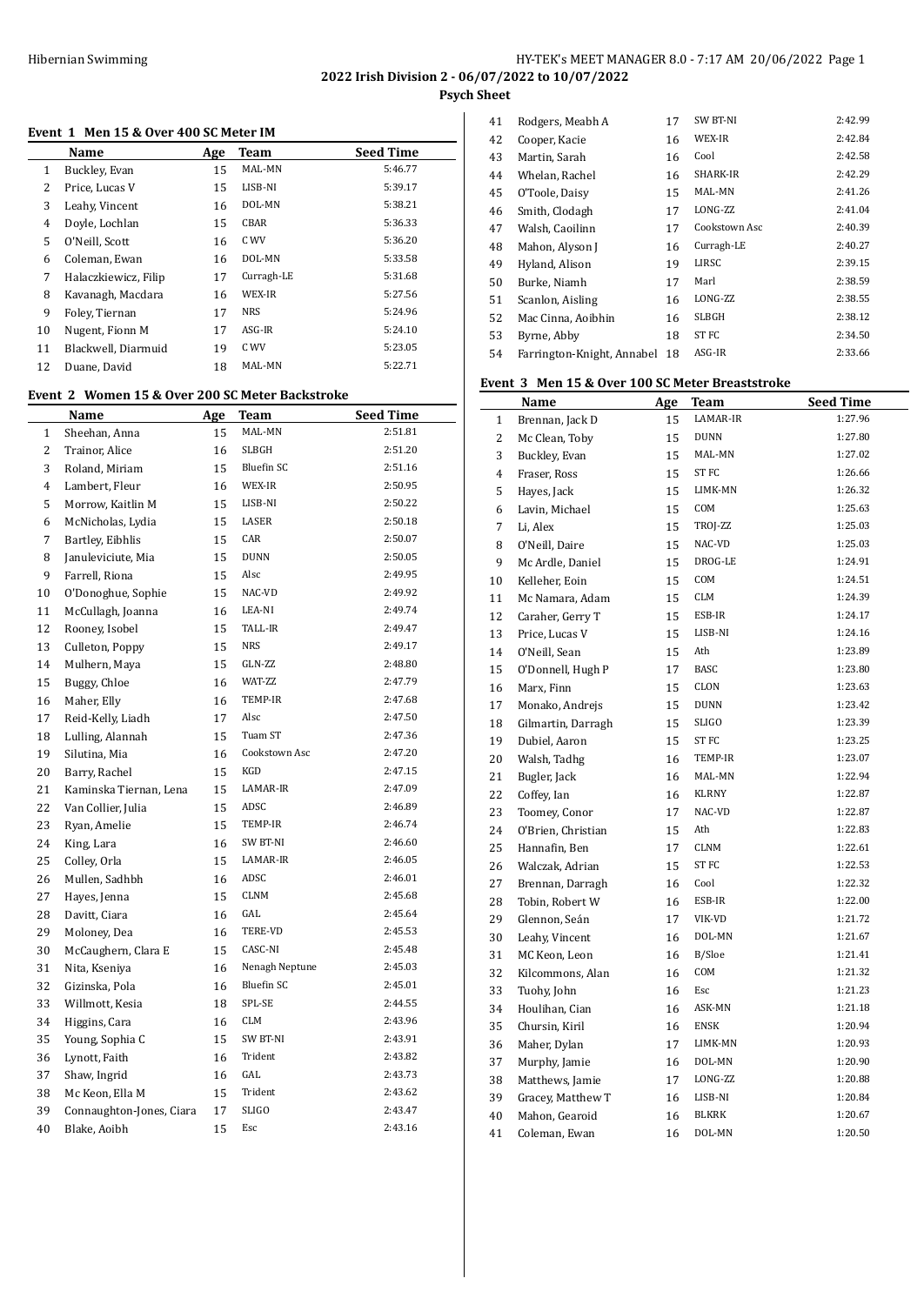# **Event 1 Men 15 & Over 400 SC Meter IM**

|                      |             |            | <b>Seed Time</b>                                |
|----------------------|-------------|------------|-------------------------------------------------|
| Buckley, Evan        | 15          | MAL-MN     | 5:46.77                                         |
| Price, Lucas V       | 15          | LISB-NI    | 5:39.17                                         |
| Leahy, Vincent       | 16          | DOL-MN     | 5:38.21                                         |
| Doyle, Lochlan       | 15          | CBAR       | 5:36.33                                         |
| O'Neill, Scott       | 16          | C WV       | 5:36.20                                         |
| Coleman, Ewan        | 16          | DOL-MN     | 5:33.58                                         |
| Halaczkiewicz, Filip | 17          | Curragh-LE | 5:31.68                                         |
| Kavanagh, Macdara    | 16          | WEX-IR     | 5:27.56                                         |
| Foley, Tiernan       | 17          | <b>NRS</b> | 5:24.96                                         |
| Nugent, Fionn M      | 17          | ASG-IR     | 5:24.10                                         |
| Blackwell, Diarmuid  | 19          | C WV       | 5:23.05                                         |
| Duane, David         | 18          | MAL-MN     | 5:22.71                                         |
|                      | <b>Name</b> | Age        | плене тритин то се отен тоо вертесен пл<br>Team |

## **Event 2 Women 15 & Over 200 SC Meter Backstroke**

|              | Name                     | <u>Age</u> | <u>Team</u>       | <b>Seed Time</b> |
|--------------|--------------------------|------------|-------------------|------------------|
| $\mathbf{1}$ | Sheehan, Anna            | 15         | MAL-MN            | 2:51.81          |
| 2            | Trainor, Alice           | 16         | SLBGH             | 2:51.20          |
| 3            | Roland, Miriam           | 15         | <b>Bluefin SC</b> | 2:51.16          |
| 4            | Lambert, Fleur           | 16         | WEX-IR            | 2:50.95          |
| 5            | Morrow, Kaitlin M        | 15         | LISB-NI           | 2:50.22          |
| 6            | McNicholas, Lydia        | 15         | LASER             | 2:50.18          |
| 7            | Bartley, Eibhlis         | 15         | CAR               | 2:50.07          |
| 8            | Januleviciute, Mia       | 15         | <b>DUNN</b>       | 2:50.05          |
| 9            | Farrell, Riona           | 15         | Alsc              | 2:49.95          |
| 10           | O'Donoghue, Sophie       | 15         | NAC-VD            | 2:49.92          |
| 11           | McCullagh, Joanna        | 16         | LEA-NI            | 2:49.74          |
| 12           | Rooney, Isobel           | 15         | TALL-IR           | 2:49.47          |
| 13           | Culleton, Poppy          | 15         | <b>NRS</b>        | 2:49.17          |
| 14           | Mulhern, Maya            | 15         | GLN-ZZ            | 2:48.80          |
| 15           | Buggy, Chloe             | 16         | WAT-ZZ            | 2:47.79          |
| 16           | Maher, Elly              | 16         | TEMP-IR           | 2:47.68          |
| 17           | Reid-Kelly, Liadh        | 17         | Alsc              | 2:47.50          |
| 18           | Lulling, Alannah         | 15         | Tuam ST           | 2:47.36          |
| 19           | Silutina, Mia            | 16         | Cookstown Asc     | 2:47.20          |
| 20           | Barry, Rachel            | 15         | KGD               | 2:47.15          |
| 21           | Kaminska Tiernan, Lena   | 15         | LAMAR-IR          | 2:47.09          |
| 22           | Van Collier, Julia       | 15         | ADSC              | 2:46.89          |
| 23           | Ryan, Amelie             | 15         | TEMP-IR           | 2:46.74          |
| 24           | King, Lara               | 16         | SW BT-NI          | 2:46.60          |
| 25           | Colley, Orla             | 15         | LAMAR-IR          | 2:46.05          |
| 26           | Mullen, Sadhbh           | 16         | ADSC              | 2:46.01          |
| 27           | Hayes, Jenna             | 15         | CLNM              | 2:45.68          |
| 28           | Davitt, Ciara            | 16         | GAL               | 2:45.64          |
| 29           | Moloney, Dea             | 16         | TERE-VD           | 2:45.53          |
| 30           | McCaughern, Clara E      | 15         | CASC-NI           | 2:45.48          |
| 31           | Nita, Kseniya            | 16         | Nenagh Neptune    | 2:45.03          |
| 32           | Gizinska, Pola           | 16         | <b>Bluefin SC</b> | 2:45.01          |
| 33           | Willmott, Kesia          | 18         | SPL-SE            | 2:44.55          |
| 34           | Higgins, Cara            | 16         | CLM               | 2:43.96          |
| 35           | Young, Sophia C          | 15         | SW BT-NI          | 2:43.91          |
| 36           | Lynott, Faith            | 16         | Trident           | 2:43.82          |
| 37           | Shaw, Ingrid             | 16         | GAL               | 2:43.73          |
| 38           | Mc Keon, Ella M          | 15         | Trident           | 2:43.62          |
| 39           | Connaughton-Jones, Ciara | 17         | <b>SLIGO</b>      | 2:43.47          |
| 40           | Blake, Aoibh             | 15         | Esc               | 2:43.16          |

| 41 | Rodgers, Meabh A           | 17 | SW BT-NI      | 2:42.99 |
|----|----------------------------|----|---------------|---------|
| 42 | Cooper, Kacie              | 16 | WEX-IR        | 2:42.84 |
| 43 | Martin, Sarah              | 16 | Cool          | 2:42.58 |
| 44 | Whelan, Rachel             | 16 | SHARK-IR      | 2:42.29 |
| 45 | O'Toole, Daisy             | 15 | MAL-MN        | 2:41.26 |
| 46 | Smith, Clodagh             | 17 | LONG-ZZ       | 2:41.04 |
| 47 | Walsh, Caoilinn            | 17 | Cookstown Asc | 2:40.39 |
| 48 | Mahon, Alyson J            | 16 | Curragh-LE    | 2:40.27 |
| 49 | Hyland, Alison             | 19 | LIRSC         | 2:39.15 |
| 50 | Burke, Niamh               | 17 | Marl          | 2:38.59 |
| 51 | Scanlon, Aisling           | 16 | LONG-ZZ       | 2:38.55 |
| 52 | Mac Cinna, Aoibhin         | 16 | SLBGH         | 2:38.12 |
| 53 | Byrne, Abby                | 18 | ST FC         | 2:34.50 |
| 54 | Farrington-Knight, Annabel | 18 | ASG-IR        | 2:33.66 |

# **Event 3 Men 15 & Over 100 SC Meter Breaststroke**

|                | Name               | <u>Age</u> | <b>Team</b>      | <b>Seed Time</b> |
|----------------|--------------------|------------|------------------|------------------|
| $\mathbf{1}$   | Brennan, Jack D    | 15         | LAMAR-IR         | 1:27.96          |
| 2              | Mc Clean, Toby     | 15         | <b>DUNN</b>      | 1:27.80          |
| 3              | Buckley, Evan      | 15         | MAL-MN           | 1:27.02          |
| $\overline{4}$ | Fraser, Ross       | 15         | ST <sub>FC</sub> | 1:26.66          |
| 5              | Hayes, Jack        | 15         | LIMK-MN          | 1:26.32          |
| 6              | Lavin, Michael     | 15         | COM              | 1:25.63          |
| 7              | Li, Alex           | 15         | TROJ-ZZ          | 1:25.03          |
| 8              | O'Neill, Daire     | 15         | NAC-VD           | 1:25.03          |
| 9              | Mc Ardle, Daniel   | 15         | DROG-LE          | 1:24.91          |
| 10             | Kelleher, Eoin     | 15         | COM              | 1:24.51          |
| 11             | Mc Namara, Adam    | 15         | <b>CLM</b>       | 1:24.39          |
| 12             | Caraher, Gerry T   | 15         | ESB-IR           | 1:24.17          |
| 13             | Price, Lucas V     | 15         | LISB-NI          | 1:24.16          |
| 14             | O'Neill, Sean      | 15         | Ath              | 1:23.89          |
| 15             | O'Donnell, Hugh P  | 17         | <b>BASC</b>      | 1:23.80          |
| 16             | Marx, Finn         | 15         | CLON             | 1:23.63          |
| 17             | Monako, Andrejs    | 15         | <b>DUNN</b>      | 1:23.42          |
| 18             | Gilmartin, Darragh | 15         | SLIGO            | 1:23.39          |
| 19             | Dubiel, Aaron      | 15         | ST <sub>FC</sub> | 1:23.25          |
| 20             | Walsh, Tadhg       | 16         | TEMP-IR          | 1:23.07          |
| 21             | Bugler, Jack       | 16         | MAL-MN           | 1:22.94          |
| 22             | Coffey, Ian        | 16         | <b>KLRNY</b>     | 1:22.87          |
| 23             | Toomey, Conor      | 17         | NAC-VD           | 1:22.87          |
| 24             | O'Brien, Christian | 15         | Ath              | 1:22.83          |
| 25             | Hannafin, Ben      | 17         | <b>CLNM</b>      | 1:22.61          |
| 26             | Walczak, Adrian    | 15         | ST FC            | 1:22.53          |
| 27             | Brennan, Darragh   | 16         | Cool             | 1:22.32          |
| 28             | Tobin, Robert W    | 16         | ESB-IR           | 1:22.00          |
| 29             | Glennon, Seán      | 17         | VIK-VD           | 1:21.72          |
| 30             | Leahy, Vincent     | 16         | DOL-MN           | 1:21.67          |
| 31             | MC Keon, Leon      | 16         | B/Sloe           | 1:21.41          |
| 32             | Kilcommons, Alan   | 16         | COM              | 1:21.32          |
| 33             | Tuohy, John        | 16         | Esc              | 1:21.23          |
| 34             | Houlihan, Cian     | 16         | ASK-MN           | 1:21.18          |
| 35             | Chursin, Kiril     | 16         | <b>ENSK</b>      | 1:20.94          |
| 36             | Maher, Dylan       | 17         | LIMK-MN          | 1:20.93          |
| 37             | Murphy, Jamie      | 16         | DOL-MN           | 1:20.90          |
| 38             | Matthews, Jamie    | 17         | LONG-ZZ          | 1:20.88          |
| 39             | Gracey, Matthew T  | 16         | LISB-NI          | 1:20.84          |
| 40             | Mahon, Gearoid     | 16         | <b>BLKRK</b>     | 1:20.67          |
| 41             | Coleman, Ewan      | 16         | DOL-MN           | 1:20.50          |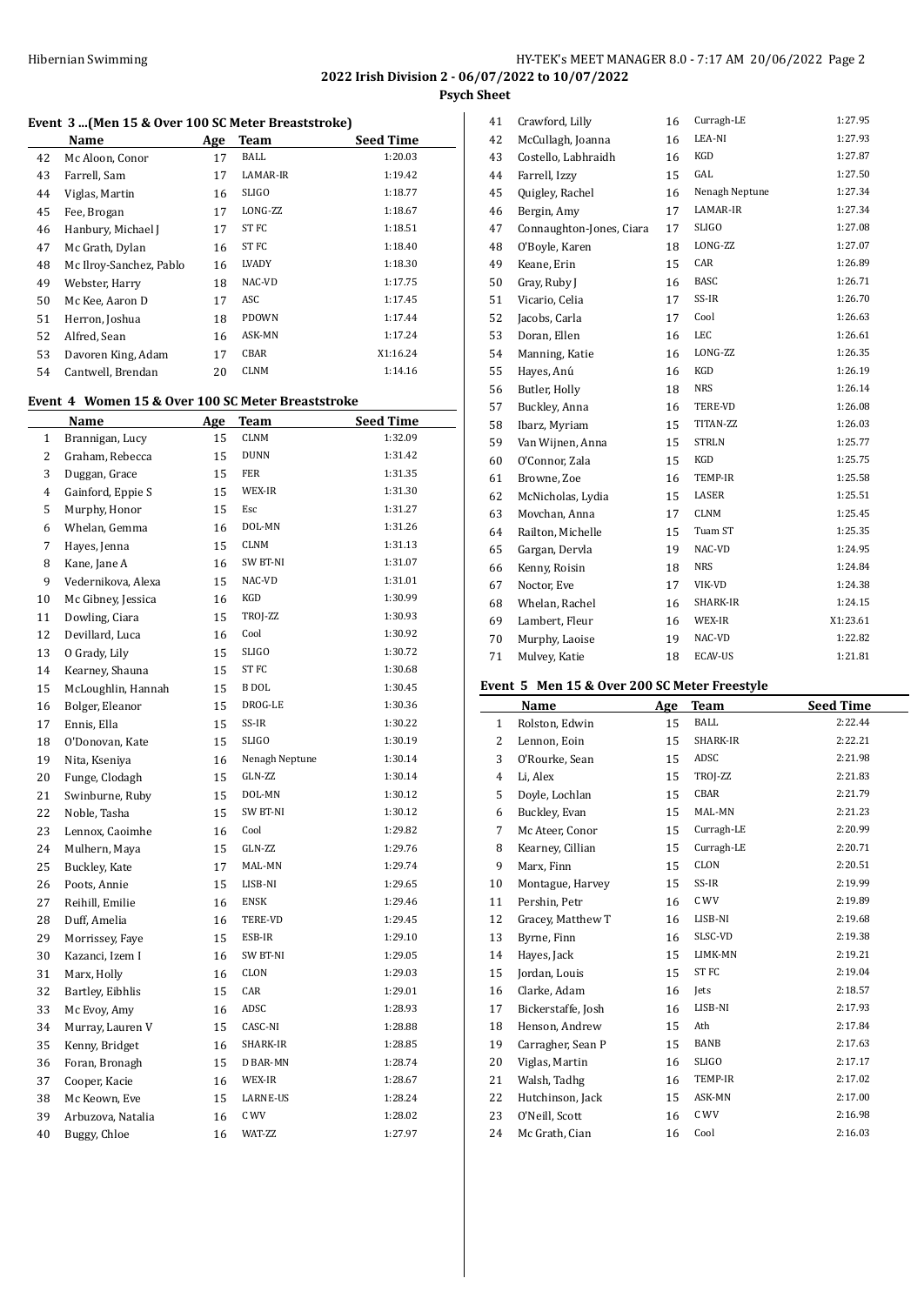#### **Event 3 ...(Men 15 & Over 100 SC Meter Breaststroke)**

|    | Name                    | Age | <b>Team</b>      | <b>Seed Time</b> |
|----|-------------------------|-----|------------------|------------------|
| 42 | Mc Aloon, Conor         | 17  | BALL             | 1:20.03          |
| 43 | Farrell, Sam            | 17  | LAMAR-IR         | 1:19.42          |
| 44 | Viglas, Martin          | 16  | <b>SLIGO</b>     | 1:18.77          |
| 45 | Fee, Brogan             | 17  | LONG-ZZ          | 1:18.67          |
| 46 | Hanbury, Michael J      | 17  | ST <sub>FC</sub> | 1:18.51          |
| 47 | Mc Grath, Dylan         | 16  | ST FC            | 1:18.40          |
| 48 | Mc Ilroy-Sanchez, Pablo | 16  | LVADY            | 1:18.30          |
| 49 | Webster, Harry          | 18  | NAC-VD           | 1:17.75          |
| 50 | Mc Kee, Aaron D         | 17  | ASC              | 1:17.45          |
| 51 | Herron, Joshua          | 18  | <b>PDOWN</b>     | 1:17.44          |
| 52 | Alfred, Sean            | 16  | ASK-MN           | 1:17.24          |
| 53 | Davoren King, Adam      | 17  | CBAR             | X1:16.24         |
| 54 | Cantwell, Brendan       | 20  | <b>CLNM</b>      | 1:14.16          |

#### **Event 4 Women 15 & Over 100 SC Meter Breaststroke**

|                | Name               | <u>Age</u> | <b>Team</b>     | <b>Seed Time</b> |
|----------------|--------------------|------------|-----------------|------------------|
| $\mathbf{1}$   | Brannigan, Lucy    | 15         | <b>CLNM</b>     | 1:32.09          |
| $\overline{2}$ | Graham, Rebecca    | 15         | <b>DUNN</b>     | 1:31.42          |
| 3              | Duggan, Grace      | 15         | <b>FER</b>      | 1:31.35          |
| 4              | Gainford, Eppie S  | 15         | WEX-IR          | 1:31.30          |
| 5              | Murphy, Honor      | 15         | Esc             | 1:31.27          |
| 6              | Whelan, Gemma      | 16         | DOL-MN          | 1:31.26          |
| 7              | Hayes, Jenna       | 15         | <b>CLNM</b>     | 1:31.13          |
| 8              | Kane, Jane A       | 16         | SW BT-NI        | 1:31.07          |
| 9              | Vedernikova, Alexa | 15         | NAC-VD          | 1:31.01          |
| 10             | Mc Gibney, Jessica | 16         | KGD             | 1:30.99          |
| 11             | Dowling, Ciara     | 15         | TROJ-ZZ         | 1:30.93          |
| 12             | Devillard, Luca    | 16         | Cool            | 1:30.92          |
| 13             | O Grady, Lily      | 15         | <b>SLIGO</b>    | 1:30.72          |
| 14             | Kearney, Shauna    | 15         | ST FC           | 1:30.68          |
| 15             | McLoughlin, Hannah | 15         | <b>B</b> DOL    | 1:30.45          |
| 16             | Bolger, Eleanor    | 15         | DROG-LE         | 1:30.36          |
| 17             | Ennis, Ella        | 15         | SS-IR           | 1:30.22          |
| 18             | O'Donovan, Kate    | 15         | SLIGO           | 1:30.19          |
| 19             | Nita, Kseniya      | 16         | Nenagh Neptune  | 1:30.14          |
| 20             | Funge, Clodagh     | 15         | GLN-ZZ          | 1:30.14          |
| 21             | Swinburne, Ruby    | 15         | DOL-MN          | 1:30.12          |
| 22             | Noble, Tasha       | 15         | <b>SW BT-NI</b> | 1:30.12          |
| 23             | Lennox, Caoimhe    | 16         | Cool            | 1:29.82          |
| 24             | Mulhern, Maya      | 15         | GLN-ZZ          | 1:29.76          |
| 25             | Buckley, Kate      | 17         | MAL-MN          | 1:29.74          |
| 26             | Poots, Annie       | 15         | LISB-NI         | 1:29.65          |
| 27             | Reihill, Emilie    | 16         | <b>ENSK</b>     | 1:29.46          |
| 28             | Duff, Amelia       | 16         | TERE-VD         | 1:29.45          |
| 29             | Morrissey, Faye    | 15         | ESB-IR          | 1:29.10          |
| 30             | Kazanci, Izem I    | 16         | SW BT-NI        | 1:29.05          |
| 31             | Marx, Holly        | 16         | <b>CLON</b>     | 1:29.03          |
| 32             | Bartley, Eibhlis   | 15         | CAR             | 1:29.01          |
| 33             | Mc Evoy, Amy       | 16         | ADSC            | 1:28.93          |
| 34             | Murray, Lauren V   | 15         | CASC-NI         | 1:28.88          |
| 35             | Kenny, Bridget     | 16         | SHARK-IR        | 1:28.85          |
| 36             | Foran, Bronagh     | 15         | D BAR-MN        | 1:28.74          |
| 37             | Cooper, Kacie      | 16         | WEX-IR          | 1:28.67          |
| 38             | Mc Keown, Eve      | 15         | LARNE-US        | 1:28.24          |
| 39             | Arbuzova, Natalia  | 16         | C WV            | 1:28.02          |
| 40             | Buggy, Chloe       | 16         | WAT-ZZ          | 1:27.97          |

| 41 | Crawford, Lilly          | 16 | Curragh-LE     | 1:27.95  |
|----|--------------------------|----|----------------|----------|
| 42 | McCullagh, Joanna        | 16 | LEA-NI         | 1:27.93  |
| 43 | Costello, Labhraidh      | 16 | KGD            | 1:27.87  |
| 44 | Farrell, Izzy            | 15 | GAL            | 1:27.50  |
| 45 | Quigley, Rachel          | 16 | Nenagh Neptune | 1:27.34  |
| 46 | Bergin, Amy              | 17 | LAMAR-IR       | 1:27.34  |
| 47 | Connaughton-Jones, Ciara | 17 | <b>SLIGO</b>   | 1:27.08  |
| 48 | O'Boyle, Karen           | 18 | LONG-ZZ        | 1:27.07  |
| 49 | Keane, Erin              | 15 | CAR            | 1:26.89  |
| 50 | Gray, Ruby J             | 16 | <b>BASC</b>    | 1:26.71  |
| 51 | Vicario, Celia           | 17 | SS-IR          | 1:26.70  |
| 52 | Jacobs, Carla            | 17 | Cool           | 1:26.63  |
| 53 | Doran, Ellen             | 16 | LEC            | 1:26.61  |
| 54 | Manning, Katie           | 16 | LONG-ZZ        | 1:26.35  |
| 55 | Hayes, Anú               | 16 | <b>KGD</b>     | 1:26.19  |
| 56 | Butler, Holly            | 18 | <b>NRS</b>     | 1:26.14  |
| 57 | Buckley, Anna            | 16 | TERE-VD        | 1:26.08  |
| 58 | Ibarz, Myriam            | 15 | TITAN-ZZ       | 1:26.03  |
| 59 | Van Wijnen, Anna         | 15 | <b>STRLN</b>   | 1:25.77  |
| 60 | O'Connor, Zala           | 15 | KGD            | 1:25.75  |
| 61 | Browne, Zoe              | 16 | TEMP-IR        | 1:25.58  |
| 62 | McNicholas, Lydia        | 15 | LASER          | 1:25.51  |
| 63 | Movchan, Anna            | 17 | <b>CLNM</b>    | 1:25.45  |
| 64 | Railton, Michelle        | 15 | Tuam ST        | 1:25.35  |
| 65 | Gargan, Dervla           | 19 | NAC-VD         | 1:24.95  |
| 66 | Kenny, Roisin            | 18 | <b>NRS</b>     | 1:24.84  |
| 67 | Noctor, Eve              | 17 | VIK-VD         | 1:24.38  |
| 68 | Whelan, Rachel           | 16 | SHARK-IR       | 1:24.15  |
| 69 | Lambert, Fleur           | 16 | WEX-IR         | X1:23.61 |
| 70 | Murphy, Laoise           | 19 | NAC-VD         | 1:22.82  |
| 71 | Mulvey, Katie            | 18 | <b>ECAV-US</b> | 1:21.81  |

#### **Event 5 Men 15 & Over 200 SC Meter Freestyle**

|              | Name               | Age | <b>Team</b>  | <b>Seed Time</b> |
|--------------|--------------------|-----|--------------|------------------|
| $\mathbf{1}$ | Rolston, Edwin     | 15  | <b>BALL</b>  | 2:22.44          |
| 2            | Lennon, Eoin       | 15  | SHARK-IR     | 2:22.21          |
| 3            | O'Rourke, Sean     | 15  | ADSC         | 2:21.98          |
| 4            | Li, Alex           | 15  | TROJ-ZZ      | 2:21.83          |
| 5            | Doyle, Lochlan     | 15  | CBAR         | 2:21.79          |
| 6            | Buckley, Evan      | 15  | MAL-MN       | 2:21.23          |
| 7            | Mc Ateer, Conor    | 15  | Curragh-LE   | 2:20.99          |
| 8            | Kearney, Cillian   | 15  | Curragh-LE   | 2:20.71          |
| 9            | Marx, Finn         | 15  | CLON         | 2:20.51          |
| 10           | Montague, Harvey   | 15  | SS-IR        | 2:19.99          |
| 11           | Pershin, Petr      | 16  | C WV         | 2:19.89          |
| 12           | Gracey, Matthew T  | 16  | LISB-NI      | 2:19.68          |
| 13           | Byrne, Finn        | 16  | SLSC-VD      | 2:19.38          |
| 14           | Hayes, Jack        | 15  | LIMK-MN      | 2:19.21          |
| 15           | Jordan, Louis      | 15  | ST FC        | 2:19.04          |
| 16           | Clarke, Adam       | 16  | Jets         | 2:18.57          |
| 17           | Bickerstaffe, Josh | 16  | LISB-NI      | 2:17.93          |
| 18           | Henson, Andrew     | 15  | Ath          | 2:17.84          |
| 19           | Carragher, Sean P  | 15  | BANB         | 2:17.63          |
| 20           | Viglas, Martin     | 16  | <b>SLIGO</b> | 2:17.17          |
| 21           | Walsh, Tadhg       | 16  | TEMP-IR      | 2:17.02          |
| 22           | Hutchinson, Jack   | 15  | ASK-MN       | 2:17.00          |
| 23           | O'Neill, Scott     | 16  | C WV         | 2:16.98          |
| 24           | Mc Grath, Cian     | 16  | Cool         | 2:16.03          |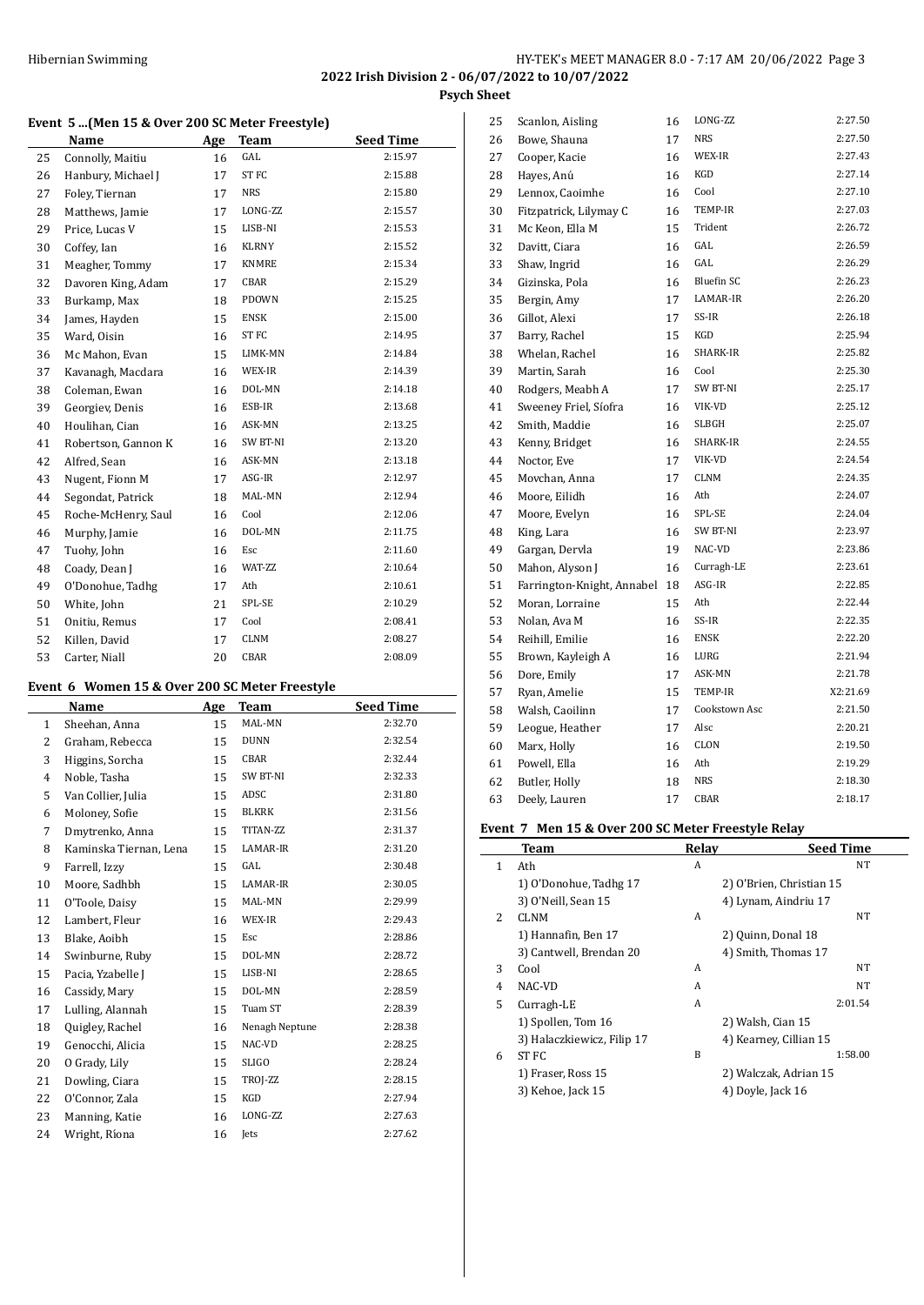**Event 5 ...(Men 15 & Over 200 SC Meter Freestyle)**

|    | <b>Name</b>         | Age | Team             | <b>Seed Time</b> |
|----|---------------------|-----|------------------|------------------|
| 25 | Connolly, Maitiu    | 16  | GAL              | 2:15.97          |
| 26 | Hanbury, Michael J  | 17  | ST <sub>FC</sub> | 2:15.88          |
| 27 | Foley, Tiernan      | 17  | <b>NRS</b>       | 2:15.80          |
| 28 | Matthews, Jamie     | 17  | LONG-ZZ          | 2:15.57          |
| 29 | Price, Lucas V      | 15  | LISB-NI          | 2:15.53          |
| 30 | Coffey, Ian         | 16  | <b>KLRNY</b>     | 2:15.52          |
| 31 | Meagher, Tommy      | 17  | <b>KNMRE</b>     | 2:15.34          |
| 32 | Davoren King, Adam  | 17  | CBAR             | 2:15.29          |
| 33 | Burkamp, Max        | 18  | <b>PDOWN</b>     | 2:15.25          |
| 34 | James, Hayden       | 15  | <b>ENSK</b>      | 2:15.00          |
| 35 | Ward, Oisin         | 16  | ST <sub>FC</sub> | 2:14.95          |
| 36 | Mc Mahon, Evan      | 15  | LIMK-MN          | 2:14.84          |
| 37 | Kavanagh, Macdara   | 16  | WEX-IR           | 2:14.39          |
| 38 | Coleman, Ewan       | 16  | DOL-MN           | 2:14.18          |
| 39 | Georgiev, Denis     | 16  | ESB-IR           | 2:13.68          |
| 40 | Houlihan, Cian      | 16  | ASK-MN           | 2:13.25          |
| 41 | Robertson, Gannon K | 16  | SW BT-NI         | 2:13.20          |
| 42 | Alfred, Sean        | 16  | ASK-MN           | 2:13.18          |
| 43 | Nugent, Fionn M     | 17  | ASG-IR           | 2:12.97          |
| 44 | Segondat, Patrick   | 18  | MAL-MN           | 2:12.94          |
| 45 | Roche-McHenry, Saul | 16  | Cool             | 2:12.06          |
| 46 | Murphy, Jamie       | 16  | DOL-MN           | 2:11.75          |
| 47 | Tuohy, John         | 16  | Esc              | 2:11.60          |
| 48 | Coady, Dean J       | 16  | WAT-ZZ           | 2:10.64          |
| 49 | O'Donohue, Tadhg    | 17  | Ath              | 2:10.61          |
| 50 | White, John         | 21  | SPL-SE           | 2:10.29          |
| 51 | Onitiu, Remus       | 17  | Cool             | 2:08.41          |
| 52 | Killen, David       | 17  | <b>CLNM</b>      | 2:08.27          |
| 53 | Carter, Niall       | 20  | CBAR             | 2:08.09          |

#### **Event 6 Women 15 & Over 200 SC Meter Freestyle**

|              | Name                   | Age | Team           | <b>Seed Time</b> |
|--------------|------------------------|-----|----------------|------------------|
| $\mathbf{1}$ | Sheehan, Anna          | 15  | MAL-MN         | 2:32.70          |
| 2            | Graham, Rebecca        | 15  | <b>DUNN</b>    | 2:32.54          |
| 3            | Higgins, Sorcha        | 15  | CBAR           | 2:32.44          |
| 4            | Noble, Tasha           | 15  | SW BT-NI       | 2:32.33          |
| 5            | Van Collier, Julia     | 15  | ADSC           | 2:31.80          |
| 6            | Moloney, Sofie         | 15  | <b>BLKRK</b>   | 2:31.56          |
| 7            | Dmytrenko, Anna        | 15  | TITAN-ZZ       | 2:31.37          |
| 8            | Kaminska Tiernan, Lena | 15  | LAMAR-IR       | 2:31.20          |
| 9            | Farrell, Izzy          | 15  | GAL            | 2:30.48          |
| 10           | Moore, Sadhbh          | 15  | LAMAR-IR       | 2:30.05          |
| 11           | O'Toole, Daisy         | 15  | MAL-MN         | 2:29.99          |
| 12           | Lambert, Fleur         | 16  | WEX-IR         | 2:29.43          |
| 13           | Blake, Aoibh           | 15  | Esc            | 2:28.86          |
| 14           | Swinburne, Ruby        | 15  | DOL-MN         | 2:28.72          |
| 15           | Pacia, Yzabelle J      | 15  | LISB-NI        | 2:28.65          |
| 16           | Cassidy, Mary          | 15  | DOL-MN         | 2:28.59          |
| 17           | Lulling, Alannah       | 15  | Tuam ST        | 2:28.39          |
| 18           | Quigley, Rachel        | 16  | Nenagh Neptune | 2:28.38          |
| 19           | Genocchi, Alicia       | 15  | NAC-VD         | 2:28.25          |
| 20           | O Grady, Lily          | 15  | <b>SLIGO</b>   | 2:28.24          |
| 21           | Dowling, Ciara         | 15  | TROJ-ZZ        | 2:28.15          |
| 22           | O'Connor, Zala         | 15  | KGD            | 2:27.94          |
| 23           | Manning, Katie         | 16  | LONG-ZZ        | 2:27.63          |
| 24           | Wright, Ríona          | 16  | Jets           | 2:27.62          |

| Scanlon, Aisling           | 16 | LONG-ZZ           | 2:27.50  |
|----------------------------|----|-------------------|----------|
| Bowe, Shauna               | 17 | <b>NRS</b>        | 2:27.50  |
| Cooper, Kacie              | 16 | WEX-IR            | 2:27.43  |
| Hayes, Anú                 | 16 | KGD               | 2:27.14  |
| Lennox, Caoimhe            | 16 | Cool              | 2:27.10  |
| Fitzpatrick, Lilymay C     | 16 | TEMP-IR           | 2:27.03  |
| Mc Keon, Ella M            | 15 | Trident           | 2:26.72  |
| Davitt, Ciara              | 16 | GAL               | 2:26.59  |
| Shaw, Ingrid               | 16 | GAL               | 2:26.29  |
| Gizinska, Pola             | 16 | <b>Bluefin SC</b> | 2:26.23  |
| Bergin, Amy                | 17 | LAMAR-IR          | 2:26.20  |
| Gillot, Alexi              | 17 | SS-IR             | 2:26.18  |
| Barry, Rachel              | 15 | KGD               | 2:25.94  |
| Whelan, Rachel             | 16 | SHARK-IR          | 2:25.82  |
| Martin, Sarah              | 16 | Cool              | 2:25.30  |
| Rodgers, Meabh A           | 17 | SW BT-NI          | 2:25.17  |
| Sweeney Friel, Síofra      | 16 | VIK-VD            | 2:25.12  |
| Smith, Maddie              | 16 | SLBGH             | 2:25.07  |
| Kenny, Bridget             | 16 | SHARK-IR          | 2:24.55  |
| Noctor, Eve                | 17 | VIK-VD            | 2:24.54  |
| Movchan, Anna              | 17 | <b>CLNM</b>       | 2:24.35  |
| Moore, Eilidh              | 16 | Ath               | 2:24.07  |
| Moore, Evelyn              | 16 | SPL-SE            | 2:24.04  |
| King, Lara                 | 16 | SW BT-NI          | 2:23.97  |
| Gargan, Dervla             | 19 | NAC-VD            | 2:23.86  |
| Mahon, Alyson J            | 16 | Curragh-LE        | 2:23.61  |
| Farrington-Knight, Annabel | 18 | ASG-IR            | 2:22.85  |
| Moran, Lorraine            | 15 | Ath               | 2:22.44  |
| Nolan, Ava M               | 16 | SS-IR             | 2:22.35  |
| Reihill, Emilie            | 16 | ENSK              | 2:22.20  |
| Brown, Kayleigh A          | 16 | LURG              | 2:21.94  |
| Dore, Emily                | 17 | ASK-MN            | 2:21.78  |
| Ryan, Amelie               | 15 | TEMP-IR           | X2:21.69 |
| Walsh, Caoilinn            | 17 | Cookstown Asc     | 2:21.50  |
| Leogue, Heather            | 17 | Alsc              | 2:20.21  |
| Marx, Holly                | 16 | CLON              | 2:19.50  |
| Powell, Ella               | 16 | Ath               | 2:19.29  |
| Butler, Holly              | 18 | <b>NRS</b>        | 2:18.30  |
| Deely, Lauren              | 17 | CBAR              | 2:18.17  |
|                            |    |                   |          |

# **Event 7 Men 15 & Over 200 SC Meter Freestyle Relay**

|   | Team                       | Relay | <b>Seed Time</b>         |
|---|----------------------------|-------|--------------------------|
| 1 | Ath                        | A     | NT                       |
|   | 1) O'Donohue, Tadhg 17     |       | 2) O'Brien, Christian 15 |
|   | 3) O'Neill, Sean 15        |       | 4) Lynam, Aindriu 17     |
| 2 | <b>CLNM</b>                | A     | NT                       |
|   | 1) Hannafin, Ben 17        |       | 2) Quinn, Donal 18       |
|   | 3) Cantwell, Brendan 20    |       | 4) Smith, Thomas 17      |
| 3 | Cool                       | A     | NT                       |
| 4 | NAC-VD                     | A     | NT                       |
| 5 | Curragh-LE                 | A     | 2:01.54                  |
|   | 1) Spollen, Tom 16         |       | 2) Walsh, Cian 15        |
|   | 3) Halaczkiewicz, Filip 17 |       | 4) Kearney, Cillian 15   |
| 6 | ST FC                      | B     | 1:58.00                  |
|   | 1) Fraser, Ross 15         |       | 2) Walczak, Adrian 15    |
|   | 3) Kehoe, Jack 15          |       | 4) Doyle, Jack 16        |
|   |                            |       |                          |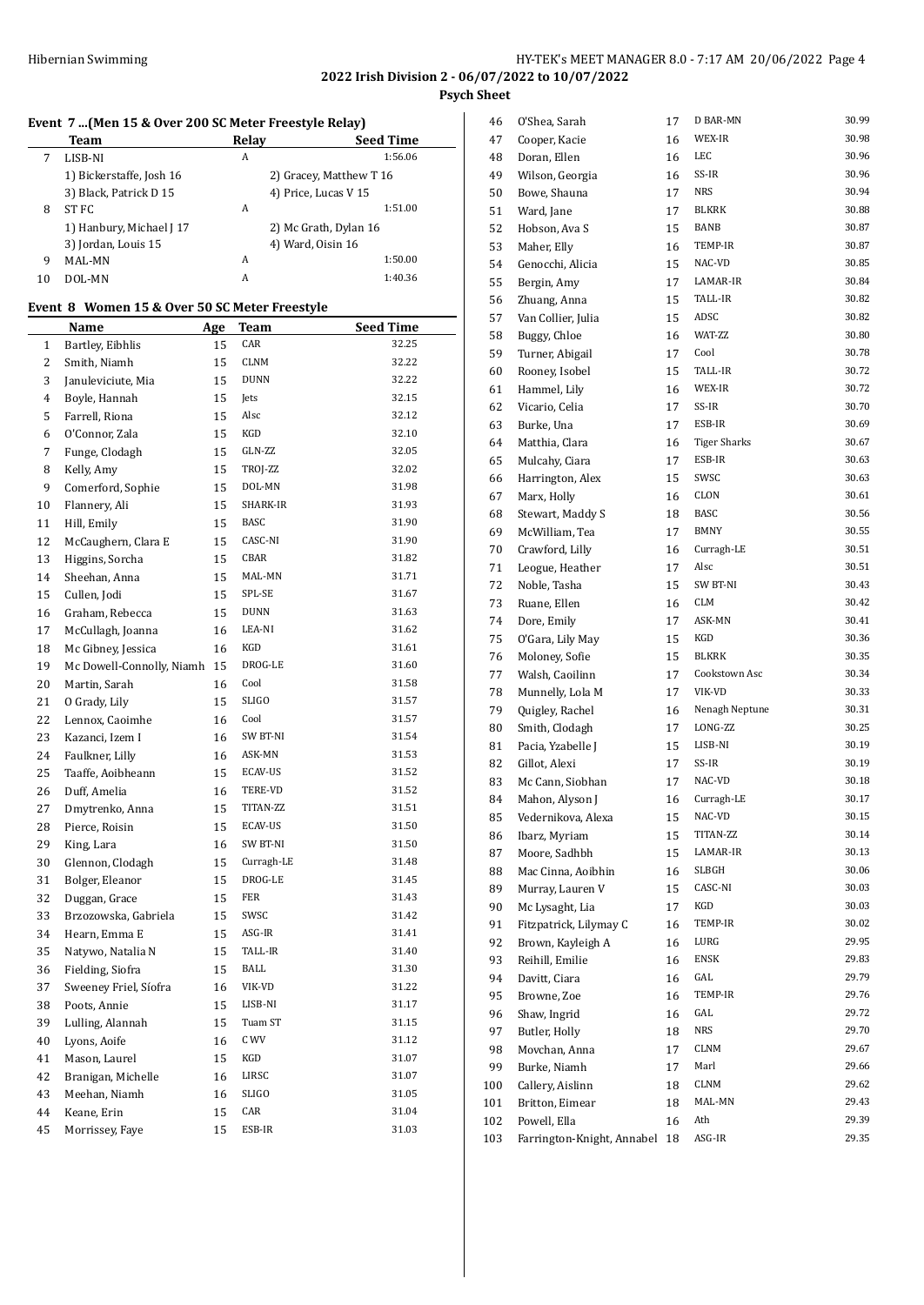**2022 Irish Division 2 - 06/07/2022 to 10/07/2022**

**Psych Sheet**

#### **Event 7 ...(Men 15 & Over 200 SC Meter Freestyle Relay)**

|    | Team                     | Relay | <b>Seed Time</b>        |  |  |
|----|--------------------------|-------|-------------------------|--|--|
|    | LISB-NI                  | А     | 1:56.06                 |  |  |
|    | 1) Bickerstaffe, Josh 16 |       | 2) Gracey, Matthew T 16 |  |  |
|    | 3) Black, Patrick D 15   |       | 4) Price, Lucas V 15    |  |  |
| 8  | ST FC                    | А     | 1:51.00                 |  |  |
|    | 1) Hanbury, Michael J 17 |       | 2) Mc Grath, Dylan 16   |  |  |
|    | 3) Jordan, Louis 15      |       | 4) Ward, Oisin 16       |  |  |
| 9  | MAL-MN                   | А     | 1:50.00                 |  |  |
| 10 | DOL-MN                   | A     | 1:40.36                 |  |  |

#### **Event 8 Women 15 & Over 50 SC Meter Freestyle**

|              | <b>Name</b>               | <u>Age</u> | <b>Team</b>    | <b>Seed Time</b> |
|--------------|---------------------------|------------|----------------|------------------|
| $\mathbf{1}$ | Bartley, Eibhlis          | 15         | CAR            | 32.25            |
| 2            | Smith, Niamh              | 15         | CLNM           | 32.22            |
| 3            | Januleviciute, Mia        | 15         | <b>DUNN</b>    | 32.22            |
| 4            | Boyle, Hannah             | 15         | Jets           | 32.15            |
| 5            | Farrell, Riona            | 15         | Alsc           | 32.12            |
| 6            | O'Connor, Zala            | 15         | KGD            | 32.10            |
| 7            | Funge, Clodagh            | 15         | GLN-ZZ         | 32.05            |
| 8            | Kelly, Amy                | 15         | TROJ-ZZ        | 32.02            |
| 9            | Comerford, Sophie         | 15         | DOL-MN         | 31.98            |
| 10           | Flannery, Ali             | 15         | SHARK-IR       | 31.93            |
| 11           | Hill, Emily               | 15         | <b>BASC</b>    | 31.90            |
| 12           | McCaughern, Clara E       | 15         | CASC-NI        | 31.90            |
| 13           | Higgins, Sorcha           | 15         | CBAR           | 31.82            |
| 14           | Sheehan, Anna             | 15         | MAL-MN         | 31.71            |
| 15           | Cullen, Jodi              | 15         | SPL-SE         | 31.67            |
| 16           | Graham, Rebecca           | 15         | <b>DUNN</b>    | 31.63            |
| 17           | McCullagh, Joanna         | 16         | LEA-NI         | 31.62            |
| 18           | Mc Gibney, Jessica        | 16         | KGD            | 31.61            |
| 19           | Mc Dowell-Connolly, Niamh | 15         | DROG-LE        | 31.60            |
| 20           | Martin, Sarah             | 16         | Cool           | 31.58            |
| 21           | O Grady, Lily             | 15         | <b>SLIGO</b>   | 31.57            |
| 22           | Lennox, Caoimhe           | 16         | Cool           | 31.57            |
| 23           | Kazanci, Izem I           | 16         | SW BT-NI       | 31.54            |
| 24           | Faulkner, Lilly           | 16         | ASK-MN         | 31.53            |
| 25           | Taaffe, Aoibheann         | 15         | ECAV-US        | 31.52            |
| 26           | Duff, Amelia              | 16         | TERE-VD        | 31.52            |
| 27           | Dmytrenko, Anna           | 15         | TITAN-ZZ       | 31.51            |
| 28           | Pierce, Roisin            | 15         | ECAV-US        | 31.50            |
| 29           | King, Lara                | 16         | SW BT-NI       | 31.50            |
| 30           | Glennon, Clodagh          | 15         | Curragh-LE     | 31.48            |
| 31           | Bolger, Eleanor           | 15         | DROG-LE        | 31.45            |
| 32           | Duggan, Grace             | 15         | FER            | 31.43            |
| 33           | Brzozowska, Gabriela      | 15         | SWSC           | 31.42            |
| 34           | Hearn, Emma E             | 15         | ASG-IR         | 31.41            |
| 35           | Natywo, Natalia N         | 15         | <b>TALL-IR</b> | 31.40            |
| 36           | Fielding, Siofra          | 15         | BALL           | 31.30            |
| 37           | Sweeney Friel, Síofra     | 16         | VIK-VD         | 31.22            |
| 38           | Poots, Annie              | 15         | LISB-NI        | 31.17            |
| 39           | Lulling, Alannah          | 15         | Tuam ST        | 31.15            |
| 40           | Lyons, Aoife              | 16         | C WV           | 31.12            |
| 41           | Mason, Laurel             | 15         | KGD            | 31.07            |
| 42           | Branigan, Michelle        | 16         | LIRSC          | 31.07            |
| 43           | Meehan, Niamh             | 16         | SLIGO          | 31.05            |
| 44           | Keane, Erin               | 15         | CAR            | 31.04            |
| 45           | Morrissey, Faye           | 15         | ESB-IR         | 31.03            |

| 46  | O'Shea, Sarah              | 17 | D BAR-MN            | 30.99 |
|-----|----------------------------|----|---------------------|-------|
| 47  | Cooper, Kacie              | 16 | WEX-IR              | 30.98 |
| 48  | Doran, Ellen               | 16 | LEC                 | 30.96 |
| 49  | Wilson, Georgia            | 16 | SS-IR               | 30.96 |
| 50  | Bowe, Shauna               | 17 | <b>NRS</b>          | 30.94 |
| 51  | Ward, Jane                 | 17 | <b>BLKRK</b>        | 30.88 |
| 52  | Hobson, Ava S              | 15 | BANB                | 30.87 |
| 53  | Maher, Elly                | 16 | TEMP-IR             | 30.87 |
| 54  | Genocchi, Alicia           | 15 | NAC-VD              | 30.85 |
| 55  | Bergin, Amy                | 17 | LAMAR-IR            | 30.84 |
| 56  | Zhuang, Anna               | 15 | TALL-IR             | 30.82 |
| 57  | Van Collier, Julia         | 15 | <b>ADSC</b>         | 30.82 |
| 58  | Buggy, Chloe               | 16 | WAT-ZZ              | 30.80 |
| 59  | Turner, Abigail            | 17 | Cool                | 30.78 |
| 60  | Rooney, Isobel             | 15 | TALL-IR             | 30.72 |
| 61  | Hammel, Lily               | 16 | WEX-IR              | 30.72 |
| 62  | Vicario, Celia             | 17 | SS-IR               | 30.70 |
| 63  | Burke, Una                 | 17 | ESB-IR              | 30.69 |
| 64  | Matthia, Clara             | 16 | <b>Tiger Sharks</b> | 30.67 |
| 65  | Mulcahy, Ciara             | 17 | ESB-IR              | 30.63 |
| 66  | Harrington, Alex           | 15 | SWSC                | 30.63 |
| 67  | Marx, Holly                | 16 | CLON                | 30.61 |
| 68  | Stewart, Maddy S           | 18 | BASC                | 30.56 |
| 69  | McWilliam, Tea             | 17 | BMNY                | 30.55 |
| 70  | Crawford, Lilly            | 16 | Curragh-LE          | 30.51 |
| 71  | Leogue, Heather            | 17 | Alsc                | 30.51 |
| 72  | Noble, Tasha               | 15 | SW BT-NI            | 30.43 |
| 73  | Ruane, Ellen               | 16 | CLM                 | 30.42 |
| 74  | Dore, Emily                | 17 | ASK-MN              | 30.41 |
| 75  | O'Gara, Lily May           | 15 | KGD                 | 30.36 |
| 76  | Moloney, Sofie             | 15 | <b>BLKRK</b>        | 30.35 |
| 77  | Walsh, Caoilinn            | 17 | Cookstown Asc       | 30.34 |
| 78  | Munnelly, Lola M           | 17 | VIK-VD              | 30.33 |
| 79  | Quigley, Rachel            | 16 | Nenagh Neptune      | 30.31 |
| 80  | Smith, Clodagh             | 17 | LONG-ZZ             | 30.25 |
| 81  | Pacia, Yzabelle J          | 15 | LISB-NI             | 30.19 |
| 82  | Gillot, Alexi              | 17 | SS-IR               | 30.19 |
| 83  | Mc Cann, Siobhan           | 17 | NAC-VD              | 30.18 |
| 84  | Mahon, Alyson J            | 16 | Curragh-LE          | 30.17 |
| 85  | Vedernikova, Alexa         | 15 | NAC-VD              | 30.15 |
| 86  | Ibarz, Myriam              | 15 | TITAN-ZZ            | 30.14 |
| 87  | Moore, Sadhbh              | 15 | LAMAR-IR            | 30.13 |
| 88  | Mac Cinna, Aoibhin         | 16 | SLBGH               | 30.06 |
| 89  | Murray, Lauren V           | 15 | CASC-NI             | 30.03 |
| 90  | Mc Lysaght, Lia            | 17 | KGD                 | 30.03 |
| 91  | Fitzpatrick, Lilymay C     | 16 | TEMP-IR             | 30.02 |
| 92  | Brown, Kayleigh A          | 16 | LURG                | 29.95 |
| 93  | Reihill, Emilie            | 16 | <b>ENSK</b>         | 29.83 |
| 94  | Davitt, Ciara              | 16 | GAL                 | 29.79 |
| 95  | Browne, Zoe                | 16 | TEMP-IR             | 29.76 |
| 96  | Shaw, Ingrid               | 16 | GAL                 | 29.72 |
| 97  | Butler, Holly              | 18 | NRS                 | 29.70 |
| 98  | Movchan, Anna              | 17 | CLNM                | 29.67 |
| 99  | Burke, Niamh               | 17 | Marl                | 29.66 |
| 100 | Callery, Aislinn           | 18 | CLNM                | 29.62 |
| 101 | Britton, Eimear            | 18 | MAL-MN              | 29.43 |
| 102 | Powell, Ella               | 16 | Ath                 | 29.39 |
| 103 | Farrington-Knight, Annabel | 18 | ASG-IR              | 29.35 |
|     |                            |    |                     |       |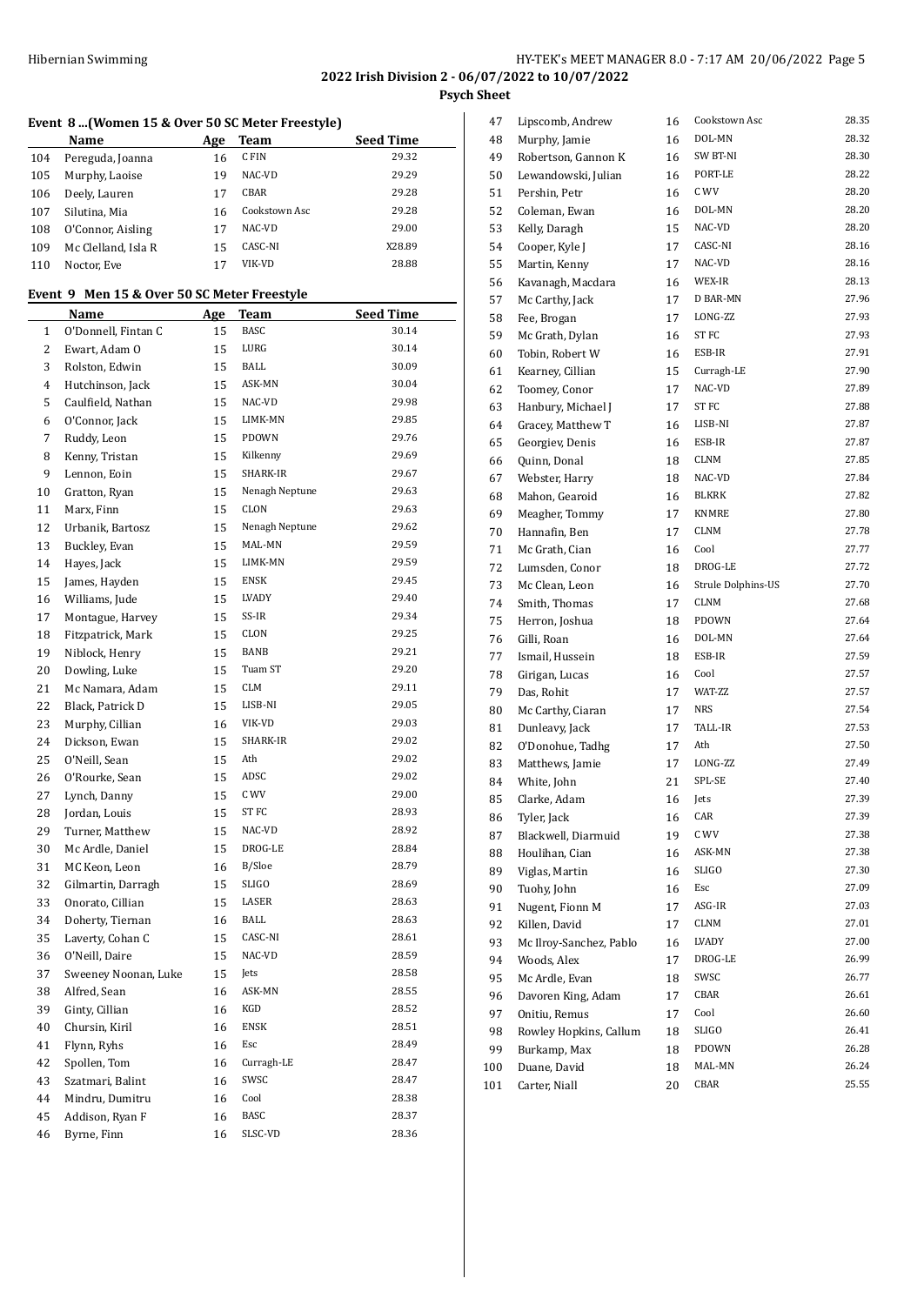# **Event 8 ...(Women 15 & Over 50 SC Meter Freestyle)**

|     | Name                | Age | Team          | <b>Seed Time</b> |
|-----|---------------------|-----|---------------|------------------|
| 104 | Pereguda, Joanna    | 16  | C FIN         | 29.32            |
| 105 | Murphy, Laoise      | 19  | NAC-VD        | 29.29            |
| 106 | Deely, Lauren       | 17  | CBAR          | 29.28            |
| 107 | Silutina, Mia       | 16  | Cookstown Asc | 29.28            |
| 108 | O'Connor, Aisling   | 17  | NAC-VD        | 29.00            |
| 109 | Mc Clelland, Isla R | 15  | CASC-NI       | X28.89           |
| 110 | Noctor, Eve         | 17  | VIK-VD        | 28.88            |

# **Event 9 Men 15 & Over 50 SC Meter Freestyle**

|    | Name                 | <u>Age</u> | <b>Team</b>    | <b>Seed Time</b> |
|----|----------------------|------------|----------------|------------------|
| 1  | O'Donnell, Fintan C  | 15         | BASC           | 30.14            |
| 2  | Ewart, Adam O        | 15         | LURG           | 30.14            |
| 3  | Rolston, Edwin       | 15         | BALL           | 30.09            |
| 4  | Hutchinson, Jack     | 15         | ASK-MN         | 30.04            |
| 5  | Caulfield, Nathan    | 15         | NAC-VD         | 29.98            |
| 6  | O'Connor, Jack       | 15         | LIMK-MN        | 29.85            |
| 7  | Ruddy, Leon          | 15         | PDOWN          | 29.76            |
| 8  | Kenny, Tristan       | 15         | Kilkenny       | 29.69            |
| 9  | Lennon, Eoin         | 15         | SHARK-IR       | 29.67            |
| 10 | Gratton, Ryan        | 15         | Nenagh Neptune | 29.63            |
| 11 | Marx, Finn           | 15         | CLON           | 29.63            |
| 12 | Urbanik, Bartosz     | 15         | Nenagh Neptune | 29.62            |
| 13 | Buckley, Evan        | 15         | MAL-MN         | 29.59            |
| 14 | Hayes, Jack          | 15         | LIMK-MN        | 29.59            |
| 15 | James, Hayden        | 15         | <b>ENSK</b>    | 29.45            |
| 16 | Williams, Jude       | 15         | LVADY          | 29.40            |
| 17 | Montague, Harvey     | 15         | SS-IR          | 29.34            |
| 18 | Fitzpatrick, Mark    | 15         | CLON           | 29.25            |
| 19 | Niblock, Henry       | 15         | BANB           | 29.21            |
| 20 | Dowling, Luke        | 15         | Tuam ST        | 29.20            |
| 21 | Mc Namara, Adam      | 15         | CLM            | 29.11            |
| 22 | Black, Patrick D     | 15         | LISB-NI        | 29.05            |
| 23 | Murphy, Cillian      | 16         | VIK-VD         | 29.03            |
| 24 | Dickson, Ewan        | 15         | SHARK-IR       | 29.02            |
| 25 | O'Neill, Sean        | 15         | Ath            | 29.02            |
| 26 | O'Rourke, Sean       | 15         | ADSC           | 29.02            |
| 27 | Lynch, Danny         | 15         | C WV           | 29.00            |
| 28 | Jordan, Louis        | 15         | ST FC          | 28.93            |
| 29 | Turner, Matthew      | 15         | NAC-VD         | 28.92            |
| 30 | Mc Ardle, Daniel     | 15         | DROG-LE        | 28.84            |
| 31 | MC Keon, Leon        | 16         | B/Sloe         | 28.79            |
| 32 | Gilmartin, Darragh   | 15         | SLIGO          | 28.69            |
| 33 | Onorato, Cillian     | 15         | LASER          | 28.63            |
| 34 | Doherty, Tiernan     | 16         | BALL           | 28.63            |
| 35 | Laverty, Cohan C     | 15         | CASC-NI        | 28.61            |
| 36 | O'Neill, Daire       | 15         | NAC-VD         | 28.59            |
| 37 | Sweeney Noonan, Luke | 15         | Jets           | 28.58            |
| 38 | Alfred, Sean         | 16         | ASK-MN         | 28.55            |
| 39 | Ginty, Cillian       | 16         | KGD            | 28.52            |
| 40 | Chursin, Kiril       | 16         | <b>ENSK</b>    | 28.51            |
| 41 | Flynn, Ryhs          | 16         | Esc            | 28.49            |
| 42 | Spollen, Tom         | 16         | Curragh-LE     | 28.47            |
| 43 | Szatmari, Balint     | 16         | SWSC           | 28.47            |
| 44 | Mindru, Dumitru      | 16         | Cool           | 28.38            |
| 45 | Addison, Ryan F      | 16         | BASC           | 28.37            |
| 46 | Byrne, Finn          | 16         | SLSC-VD        | 28.36            |

| 47  | Lipscomb, Andrew        | 16 | Cookstown Asc      | 28.35 |
|-----|-------------------------|----|--------------------|-------|
| 48  | Murphy, Jamie           | 16 | DOL-MN             | 28.32 |
| 49  | Robertson, Gannon K     | 16 | SW BT-NI           | 28.30 |
| 50  | Lewandowski, Julian     | 16 | PORT-LE            | 28.22 |
| 51  | Pershin, Petr           | 16 | C WV               | 28.20 |
| 52  | Coleman, Ewan           | 16 | DOL-MN             | 28.20 |
| 53  | Kelly, Daragh           | 15 | NAC-VD             | 28.20 |
| 54  | Cooper, Kyle J          | 17 | CASC-NI            | 28.16 |
| 55  | Martin, Kenny           | 17 | NAC-VD             | 28.16 |
| 56  | Kavanagh, Macdara       | 16 | WEX-IR             | 28.13 |
| 57  | Mc Carthy, Jack         | 17 | <b>D BAR-MN</b>    | 27.96 |
| 58  | Fee, Brogan             | 17 | LONG-ZZ            | 27.93 |
| 59  | Mc Grath, Dylan         | 16 | <b>STFC</b>        | 27.93 |
| 60  | Tobin, Robert W         | 16 | ESB-IR             | 27.91 |
| 61  | Kearney, Cillian        | 15 | Curragh-LE         | 27.90 |
| 62  | Toomey, Conor           | 17 | NAC-VD             | 27.89 |
| 63  | Hanbury, Michael J      | 17 | ST FC              | 27.88 |
| 64  | Gracey, Matthew T       | 16 | LISB-NI            | 27.87 |
| 65  | Georgiev, Denis         | 16 | ESB-IR             | 27.87 |
| 66  | Quinn, Donal            | 18 | CLNM               | 27.85 |
| 67  | Webster, Harry          | 18 | NAC-VD             | 27.84 |
| 68  | Mahon, Gearoid          | 16 | <b>BLKRK</b>       | 27.82 |
| 69  | Meagher, Tommy          | 17 | <b>KNMRE</b>       | 27.80 |
| 70  | Hannafin, Ben           | 17 | <b>CLNM</b>        | 27.78 |
| 71  | Mc Grath, Cian          | 16 | Cool               | 27.77 |
| 72  | Lumsden, Conor          | 18 | DROG-LE            | 27.72 |
| 73  | Mc Clean, Leon          | 16 | Strule Dolphins-US | 27.70 |
| 74  | Smith, Thomas           | 17 | CLNM               | 27.68 |
| 75  | Herron, Joshua          | 18 | PDOWN              | 27.64 |
| 76  | Gilli, Roan             | 16 | DOL-MN             | 27.64 |
| 77  | Ismail, Hussein         | 18 | ESB-IR             | 27.59 |
| 78  | Girigan, Lucas          | 16 | Cool               | 27.57 |
| 79  | Das, Rohit              | 17 | WAT-ZZ             | 27.57 |
| 80  | Mc Carthy, Ciaran       | 17 | <b>NRS</b>         | 27.54 |
| 81  | Dunleavy, Jack          | 17 | TALL-IR            | 27.53 |
| 82  | O'Donohue, Tadhg        | 17 | Ath                | 27.50 |
| 83  | Matthews, Jamie         | 17 | LONG-ZZ            | 27.49 |
| 84  | White, John             | 21 | SPL-SE             | 27.40 |
| 85  | Clarke, Adam            | 16 | Jets               | 27.39 |
| 86  | Tyler, Jack             | 16 | CAR                | 27.39 |
| 87  | Blackwell, Diarmuid     | 19 | C WV               | 27.38 |
| 88  | Houlihan, Cian          | 16 | ASK-MN             | 27.38 |
| 89  | Viglas, Martin          | 16 | SLIGO              | 27.30 |
| 90  | Tuohy, John             | 16 | Esc                | 27.09 |
| 91  | Nugent, Fionn M         | 17 | ASG-IR             | 27.03 |
| 92  | Killen, David           | 17 | CLNM               | 27.01 |
| 93  | Mc Ilroy-Sanchez, Pablo | 16 | LVADY              | 27.00 |
| 94  | Woods, Alex             | 17 | DROG-LE            | 26.99 |
| 95  | Mc Ardle, Evan          | 18 | SWSC               | 26.77 |
| 96  | Davoren King, Adam      | 17 | CBAR               | 26.61 |
| 97  | Onitiu, Remus           | 17 | Cool               | 26.60 |
| 98  | Rowley Hopkins, Callum  | 18 | SLIGO              | 26.41 |
| 99  | Burkamp, Max            | 18 | PDOWN              | 26.28 |
| 100 | Duane, David            | 18 | MAL-MN             | 26.24 |
| 101 | Carter, Niall           | 20 | CBAR               | 25.55 |
|     |                         |    |                    |       |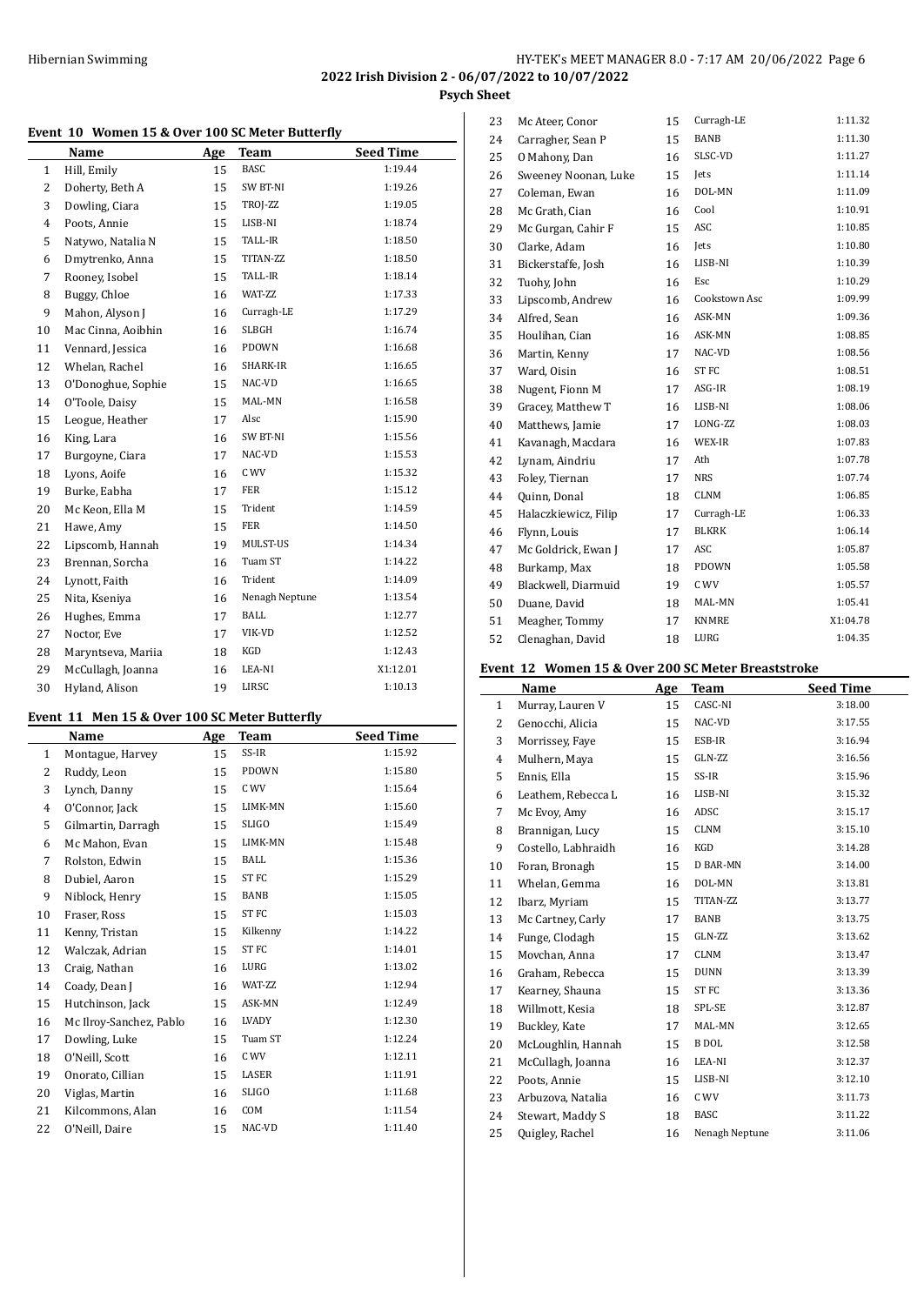$\overline{a}$ 

# **Event 10 Women 15 & Over 100 SC Meter Butterfly**

| TVCIIL       | πv<br>women 15 & Over 100 5G meter butterily |     |                |                  |
|--------------|----------------------------------------------|-----|----------------|------------------|
|              | Name                                         | Age | Team           | <b>Seed Time</b> |
| $\mathbf{1}$ | Hill, Emily                                  | 15  | <b>BASC</b>    | 1:19.44          |
| 2            | Doherty, Beth A                              | 15  | SW BT-NI       | 1:19.26          |
| 3            | Dowling, Ciara                               | 15  | TROJ-ZZ        | 1:19.05          |
| 4            | Poots, Annie                                 | 15  | LISB-NI        | 1:18.74          |
| 5            | Natywo, Natalia N                            | 15  | TALL-IR        | 1:18.50          |
| 6            | Dmytrenko, Anna                              | 15  | TITAN-ZZ       | 1:18.50          |
| 7            | Rooney, Isobel                               | 15  | TALL-IR        | 1:18.14          |
| 8            | Buggy, Chloe                                 | 16  | WAT-ZZ         | 1:17.33          |
| 9            | Mahon, Alyson J                              | 16  | Curragh-LE     | 1:17.29          |
| 10           | Mac Cinna, Aoibhin                           | 16  | SLBGH          | 1:16.74          |
| 11           | Vennard, Jessica                             | 16  | PDOWN          | 1:16.68          |
| 12           | Whelan, Rachel                               | 16  | SHARK-IR       | 1:16.65          |
| 13           | O'Donoghue, Sophie                           | 15  | NAC-VD         | 1:16.65          |
| 14           | O'Toole, Daisy                               | 15  | MAL-MN         | 1:16.58          |
| 15           | Leogue, Heather                              | 17  | Alsc           | 1:15.90          |
| 16           | King, Lara                                   | 16  | SW BT-NI       | 1:15.56          |
| 17           | Burgoyne, Ciara                              | 17  | NAC-VD         | 1:15.53          |
| 18           | Lyons, Aoife                                 | 16  | C WV           | 1:15.32          |
| 19           | Burke, Eabha                                 | 17  | <b>FER</b>     | 1:15.12          |
| 20           | Mc Keon, Ella M                              | 15  | Trident        | 1:14.59          |
| 21           | Hawe, Amy                                    | 15  | <b>FER</b>     | 1:14.50          |
| 22           | Lipscomb, Hannah                             | 19  | MULST-US       | 1:14.34          |
| 23           | Brennan, Sorcha                              | 16  | Tuam ST        | 1:14.22          |
| 24           | Lynott, Faith                                | 16  | Trident        | 1:14.09          |
| 25           | Nita, Kseniya                                | 16  | Nenagh Neptune | 1:13.54          |
| 26           | Hughes, Emma                                 | 17  | BALL           | 1:12.77          |
| 27           | Noctor, Eve                                  | 17  | VIK-VD         | 1:12.52          |
| 28           | Maryntseva, Mariia                           | 18  | KGD            | 1:12.43          |
| 29           | McCullagh, Joanna                            | 16  | LEA-NI         | X1:12.01         |
| 30           | Hyland, Alison                               | 19  | LIRSC          | 1:10.13          |

# **Event 11 Men 15 & Over 100 SC Meter Butterfly**

|              | EVEIN II MENIJ&OVEI IOO SC METER BUTTERIJY |            |                  |                  |
|--------------|--------------------------------------------|------------|------------------|------------------|
|              | Name                                       | <b>Age</b> | <b>Team</b>      | <b>Seed Time</b> |
| $\mathbf{1}$ | Montague, Harvey                           | 15         | SS-IR            | 1:15.92          |
| 2            | Ruddy, Leon                                | 15         | PDOWN            | 1:15.80          |
| 3            | Lynch, Danny                               | 15         | C WV             | 1:15.64          |
| 4            | O'Connor, Jack                             | 15         | LIMK-MN          | 1:15.60          |
| 5            | Gilmartin, Darragh                         | 15         | <b>SLIGO</b>     | 1:15.49          |
| 6            | Mc Mahon, Evan                             | 15         | LIMK-MN          | 1:15.48          |
| 7            | Rolston, Edwin                             | 15         | <b>BALL</b>      | 1:15.36          |
| 8            | Dubiel, Aaron                              | 15         | ST <sub>FC</sub> | 1:15.29          |
| 9            | Niblock, Henry                             | 15         | BANB             | 1:15.05          |
| 10           | Fraser, Ross                               | 15         | ST <sub>FC</sub> | 1:15.03          |
| 11           | Kenny, Tristan                             | 15         | Kilkenny         | 1:14.22          |
| 12           | Walczak, Adrian                            | 15         | ST FC            | 1:14.01          |
| 13           | Craig, Nathan                              | 16         | LURG             | 1:13.02          |
| 14           | Coady, Dean J                              | 16         | WAT-ZZ           | 1:12.94          |
| 15           | Hutchinson, Jack                           | 15         | ASK-MN           | 1:12.49          |
| 16           | Mc Ilroy-Sanchez, Pablo                    | 16         | LVADY            | 1:12.30          |
| 17           | Dowling, Luke                              | 15         | Tuam ST          | 1:12.24          |
| 18           | O'Neill, Scott                             | 16         | C WV             | 1:12.11          |
| 19           | Onorato, Cillian                           | 15         | LASER            | 1:11.91          |
| 20           | Viglas, Martin                             | 16         | <b>SLIGO</b>     | 1:11.68          |
| 21           | Kilcommons, Alan                           | 16         | COM              | 1:11.54          |
| 22           | O'Neill, Daire                             | 15         | NAC-VD           | 1:11.40          |

| 23 | Mc Ateer, Conor      | 15 | Curragh-LE       | 1:11.32  |
|----|----------------------|----|------------------|----------|
| 24 | Carragher, Sean P    | 15 | BANB             | 1:11.30  |
| 25 | O Mahony, Dan        | 16 | SLSC-VD          | 1:11.27  |
| 26 | Sweeney Noonan, Luke | 15 | <b>Jets</b>      | 1:11.14  |
| 27 | Coleman, Ewan        | 16 | DOL-MN           | 1:11.09  |
| 28 | Mc Grath, Cian       | 16 | Cool             | 1:10.91  |
| 29 | Mc Gurgan, Cahir F   | 15 | ASC              | 1:10.85  |
| 30 | Clarke, Adam         | 16 | Jets             | 1:10.80  |
| 31 | Bickerstaffe, Josh   | 16 | LISB-NI          | 1:10.39  |
| 32 | Tuohy, John          | 16 | Esc              | 1:10.29  |
| 33 | Lipscomb, Andrew     | 16 | Cookstown Asc    | 1:09.99  |
| 34 | Alfred, Sean         | 16 | ASK-MN           | 1:09.36  |
| 35 | Houlihan, Cian       | 16 | ASK-MN           | 1:08.85  |
| 36 | Martin, Kenny        | 17 | NAC-VD           | 1:08.56  |
| 37 | Ward, Oisin          | 16 | ST <sub>FC</sub> | 1:08.51  |
| 38 | Nugent, Fionn M      | 17 | $ASG-IR$         | 1:08.19  |
| 39 | Gracey, Matthew T    | 16 | LISB-NI          | 1:08.06  |
| 40 | Matthews, Jamie      | 17 | LONG-ZZ          | 1:08.03  |
| 41 | Kavanagh, Macdara    | 16 | WEX-IR           | 1:07.83  |
| 42 | Lynam, Aindriu       | 17 | Ath              | 1:07.78  |
| 43 | Foley, Tiernan       | 17 | <b>NRS</b>       | 1:07.74  |
| 44 | Quinn, Donal         | 18 | <b>CLNM</b>      | 1:06.85  |
| 45 | Halaczkiewicz, Filip | 17 | Curragh-LE       | 1:06.33  |
| 46 | Flynn, Louis         | 17 | <b>BLKRK</b>     | 1:06.14  |
| 47 | Mc Goldrick, Ewan J  | 17 | ASC              | 1:05.87  |
| 48 | Burkamp, Max         | 18 | PDOWN            | 1:05.58  |
| 49 | Blackwell, Diarmuid  | 19 | C WV             | 1:05.57  |
| 50 | Duane, David         | 18 | MAL-MN           | 1:05.41  |
| 51 | Meagher, Tommy       | 17 | <b>KNMRE</b>     | X1:04.78 |
| 52 | Clenaghan, David     | 18 | LURG             | 1:04.35  |

# **Event 12 Women 15 & Over 200 SC Meter Breaststroke**

|              | VÇIIL 14            |     | <b>WOMEN 15 &amp; OVER 200 5G METER DI CASISTI OKC</b> |                  |
|--------------|---------------------|-----|--------------------------------------------------------|------------------|
|              | Name                | Age | <b>Team</b>                                            | <b>Seed Time</b> |
| $\mathbf{1}$ | Murray, Lauren V    | 15  | CASC-NI                                                | 3:18.00          |
| 2            | Genocchi, Alicia    | 15  | NAC-VD                                                 | 3:17.55          |
| 3            | Morrissey, Faye     | 15  | ESB-IR                                                 | 3:16.94          |
| 4            | Mulhern, Maya       | 15  | GLN-ZZ                                                 | 3:16.56          |
| 5            | Ennis, Ella         | 15  | SS-IR                                                  | 3:15.96          |
| 6            | Leathem, Rebecca L  | 16  | LISB-NI                                                | 3:15.32          |
| 7            | Mc Evoy, Amy        | 16  | ADSC                                                   | 3:15.17          |
| 8            | Brannigan, Lucy     | 15  | CLNM                                                   | 3:15.10          |
| 9            | Costello, Labhraidh | 16  | KGD                                                    | 3:14.28          |
| 10           | Foran, Bronagh      | 15  | D BAR-MN                                               | 3:14.00          |
| 11           | Whelan, Gemma       | 16  | DOL-MN                                                 | 3:13.81          |
| 12           | Ibarz, Myriam       | 15  | TITAN-ZZ                                               | 3:13.77          |
| 13           | Mc Cartney, Carly   | 17  | BANB                                                   | 3:13.75          |
| 14           | Funge, Clodagh      | 15  | GLN-ZZ                                                 | 3:13.62          |
| 15           | Movchan, Anna       | 17  | CLNM                                                   | 3:13.47          |
| 16           | Graham, Rebecca     | 15  | <b>DUNN</b>                                            | 3:13.39          |
| 17           | Kearney, Shauna     | 15  | ST FC                                                  | 3:13.36          |
| 18           | Willmott, Kesia     | 18  | SPL-SE                                                 | 3:12.87          |
| 19           | Buckley, Kate       | 17  | MAL-MN                                                 | 3:12.65          |
| 20           | McLoughlin, Hannah  | 15  | <b>B</b> DOL                                           | 3:12.58          |
| 21           | McCullagh, Joanna   | 16  | LEA-NI                                                 | 3:12.37          |
| 22           | Poots, Annie        | 15  | LISB-NI                                                | 3:12.10          |
| 23           | Arbuzova, Natalia   | 16  | C WV                                                   | 3:11.73          |
| 24           | Stewart, Maddy S    | 18  | <b>BASC</b>                                            | 3:11.22          |
| 25           | Quigley, Rachel     | 16  | Nenagh Neptune                                         | 3:11.06          |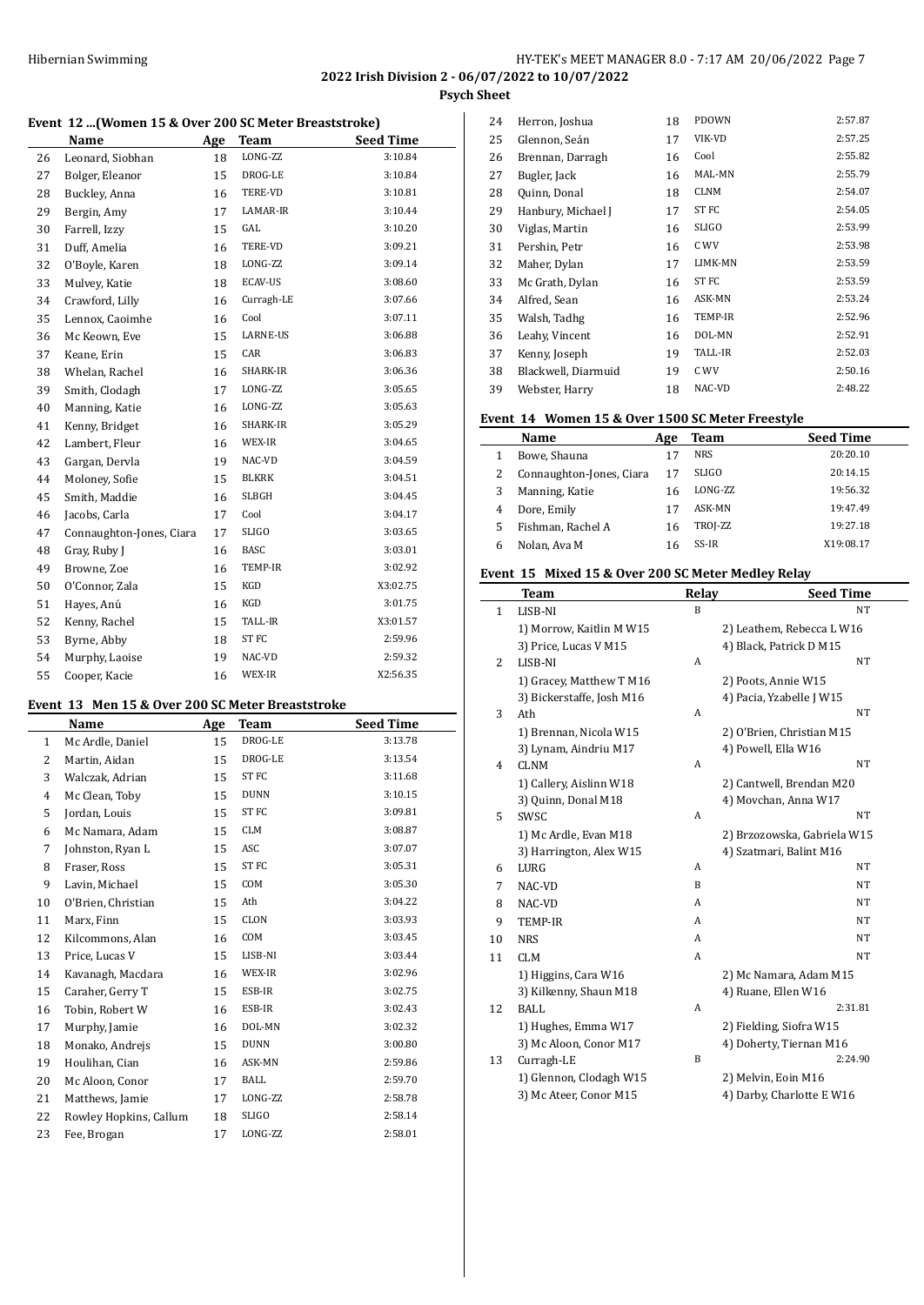**2022 Irish Division 2 - 06/07/2022 to 10/07/2022**

**Psych Sheet**

#### **Event 12 ...(Women 15 & Over 200 SC Meter Breaststroke)**

|    | Name                     | Age | <b>Team</b>  | <b>Seed Time</b> |
|----|--------------------------|-----|--------------|------------------|
| 26 | Leonard, Siobhan         | 18  | LONG-ZZ      | 3:10.84          |
| 27 | Bolger, Eleanor          | 15  | DROG-LE      | 3:10.84          |
| 28 | Buckley, Anna            | 16  | TERE-VD      | 3:10.81          |
| 29 | Bergin, Amy              | 17  | LAMAR-IR     | 3:10.44          |
| 30 | Farrell, Izzy            | 15  | GAL          | 3:10.20          |
| 31 | Duff, Amelia             | 16  | TERE-VD      | 3:09.21          |
| 32 | O'Boyle, Karen           | 18  | LONG-ZZ      | 3:09.14          |
| 33 | Mulvey, Katie            | 18  | ECAV-US      | 3:08.60          |
| 34 | Crawford, Lilly          | 16  | Curragh-LE   | 3:07.66          |
| 35 | Lennox, Caoimhe          | 16  | Cool         | 3:07.11          |
| 36 | Mc Keown, Eve            | 15  | LARNE-US     | 3:06.88          |
| 37 | Keane, Erin              | 15  | CAR          | 3:06.83          |
| 38 | Whelan, Rachel           | 16  | SHARK-IR     | 3:06.36          |
| 39 | Smith, Clodagh           | 17  | LONG-ZZ      | 3:05.65          |
| 40 | Manning, Katie           | 16  | LONG-ZZ      | 3:05.63          |
| 41 | Kenny, Bridget           | 16  | SHARK-IR     | 3:05.29          |
| 42 | Lambert, Fleur           | 16  | WEX-IR       | 3:04.65          |
| 43 | Gargan, Dervla           | 19  | NAC-VD       | 3:04.59          |
| 44 | Moloney, Sofie           | 15  | BLKRK        | 3:04.51          |
| 45 | Smith, Maddie            | 16  | <b>SLBGH</b> | 3:04.45          |
| 46 | Jacobs, Carla            | 17  | Cool         | 3:04.17          |
| 47 | Connaughton-Jones, Ciara | 17  | <b>SLIGO</b> | 3:03.65          |
| 48 | Gray, Ruby J             | 16  | <b>BASC</b>  | 3:03.01          |
| 49 | Browne, Zoe              | 16  | TEMP-IR      | 3:02.92          |
| 50 | O'Connor, Zala           | 15  | KGD          | X3:02.75         |
| 51 | Hayes, Anú               | 16  | KGD          | 3:01.75          |
| 52 | Kenny, Rachel            | 15  | TALL-IR      | X3:01.57         |
| 53 | Byrne, Abby              | 18  | ST FC        | 2:59.96          |
| 54 | Murphy, Laoise           | 19  | NAC-VD       | 2:59.32          |
| 55 | Cooper, Kacie            | 16  | WEX-IR       | X2:56.35         |

# **Event 13 Men 15 & Over 200 SC Meter Breaststroke**

| Event 15 Men 15 & Over 200 SC Meter Breaststruke |                        |     |              |                  |
|--------------------------------------------------|------------------------|-----|--------------|------------------|
|                                                  | Name                   | Age | Team         | <b>Seed Time</b> |
| $\mathbf{1}$                                     | Mc Ardle, Daniel       | 15  | DROG-LE      | 3:13.78          |
| 2                                                | Martin, Aidan          | 15  | DROG-LE      | 3:13.54          |
| 3                                                | Walczak, Adrian        | 15  | ST FC        | 3:11.68          |
| 4                                                | Mc Clean, Toby         | 15  | <b>DUNN</b>  | 3:10.15          |
| 5                                                | Jordan, Louis          | 15  | ST FC        | 3:09.81          |
| 6                                                | Mc Namara, Adam        | 15  | <b>CLM</b>   | 3:08.87          |
| 7                                                | Johnston, Ryan L       | 15  | ASC          | 3:07.07          |
| 8                                                | Fraser, Ross           | 15  | ST FC        | 3:05.31          |
| 9                                                | Lavin, Michael         | 15  | COM          | 3:05.30          |
| 10                                               | O'Brien, Christian     | 15  | Ath          | 3:04.22          |
| 11                                               | Marx, Finn             | 15  | CLON         | 3:03.93          |
| 12                                               | Kilcommons, Alan       | 16  | COM          | 3:03.45          |
| 13                                               | Price, Lucas V         | 15  | LISB-NI      | 3:03.44          |
| 14                                               | Kavanagh, Macdara      | 16  | WEX-IR       | 3:02.96          |
| 15                                               | Caraher, Gerry T       | 15  | ESB-IR       | 3:02.75          |
| 16                                               | Tobin, Robert W        | 16  | ESB-IR       | 3:02.43          |
| 17                                               | Murphy, Jamie          | 16  | DOL-MN       | 3:02.32          |
| 18                                               | Monako, Andrejs        | 15  | <b>DUNN</b>  | 3:00.80          |
| 19                                               | Houlihan, Cian         | 16  | ASK-MN       | 2:59.86          |
| 20                                               | Mc Aloon, Conor        | 17  | <b>BALL</b>  | 2:59.70          |
| 21                                               | Matthews, Jamie        | 17  | LONG-ZZ      | 2:58.78          |
| 22                                               | Rowley Hopkins, Callum | 18  | <b>SLIGO</b> | 2:58.14          |
| 23                                               | Fee, Brogan            | 17  | LONG-ZZ      | 2:58.01          |

| 24 | Herron, Joshua      | 18 | PDOWN            | 2:57.87 |
|----|---------------------|----|------------------|---------|
| 25 | Glennon, Seán       | 17 | VIK-VD           | 2:57.25 |
| 26 | Brennan, Darragh    | 16 | Cool             | 2:55.82 |
| 27 | Bugler, Jack        | 16 | MAL-MN           | 2:55.79 |
| 28 | Quinn, Donal        | 18 | <b>CLNM</b>      | 2:54.07 |
| 29 | Hanbury, Michael J  | 17 | ST FC            | 2:54.05 |
| 30 | Viglas, Martin      | 16 | SLIGO            | 2:53.99 |
| 31 | Pershin, Petr       | 16 | C WV             | 2:53.98 |
| 32 | Maher, Dylan        | 17 | LIMK-MN          | 2:53.59 |
| 33 | Mc Grath, Dylan     | 16 | ST <sub>FC</sub> | 2:53.59 |
| 34 | Alfred, Sean        | 16 | ASK-MN           | 2:53.24 |
| 35 | Walsh, Tadhg        | 16 | TEMP-IR          | 2:52.96 |
| 36 | Leahy, Vincent      | 16 | DOL-MN           | 2:52.91 |
| 37 | Kenny, Joseph       | 19 | TALL-IR          | 2:52.03 |
| 38 | Blackwell, Diarmuid | 19 | C WV             | 2:50.16 |
| 39 | Webster, Harry      | 18 | NAC-VD           | 2:48.22 |
|    |                     |    |                  |         |

#### **Event 14 Women 15 & Over 1500 SC Meter Freestyle**

|   | Name                     | Age | Team         | <b>Seed Time</b> |
|---|--------------------------|-----|--------------|------------------|
|   | Bowe, Shauna             | 17  | <b>NRS</b>   | 20:20.10         |
|   | Connaughton-Jones, Ciara | 17  | <b>SLIGO</b> | 20:14.15         |
|   | Manning, Katie           | 16  | LONG-ZZ      | 19:56.32         |
| 4 | Dore, Emily              | 17  | ASK-MN       | 19:47.49         |
| 5 | Fishman, Rachel A        | 16  | TROJ-ZZ      | 19:27.18         |
| 6 | Nolan, Ava M             | 16  | SS-IR        | X19:08.17        |

#### **Event 15 Mixed 15 & Over 200 SC Meter Medley Relay**

|                | <b>Team</b>               | Relay            | <b>Seed Time</b>            |
|----------------|---------------------------|------------------|-----------------------------|
| $\mathbf{1}$   | LISB-NI                   | B                | <b>NT</b>                   |
|                | 1) Morrow, Kaitlin M W15  |                  | 2) Leathem, Rebecca L W16   |
|                | 3) Price, Lucas V M15     |                  | 4) Black, Patrick D M15     |
| 2              | LISB-NI                   | $\boldsymbol{A}$ | NT                          |
|                | 1) Gracey, Matthew T M16  |                  | 2) Poots, Annie W15         |
|                | 3) Bickerstaffe, Josh M16 |                  | 4) Pacia, Yzabelle J W15    |
| 3              | Ath                       | A                | NT                          |
|                | 1) Brennan, Nicola W15    |                  | 2) O'Brien, Christian M15   |
|                | 3) Lynam, Aindriu M17     |                  | 4) Powell, Ella W16         |
| $\overline{4}$ | <b>CLNM</b>               | A                | NT                          |
|                | 1) Callery, Aislinn W18   |                  | 2) Cantwell, Brendan M20    |
|                | 3) Quinn, Donal M18       |                  | 4) Movchan, Anna W17        |
| 5              | SWSC                      | A                | NT                          |
|                | 1) Mc Ardle, Evan M18     |                  | 2) Brzozowska, Gabriela W15 |
|                | 3) Harrington, Alex W15   |                  | 4) Szatmari, Balint M16     |
| 6              | LURG                      | A                | NT                          |
| 7              | NAC-VD                    | B                | NT                          |
| 8              | NAC-VD                    | A                | NT                          |
| 9              | <b>TEMP-IR</b>            | A                | NT                          |
| 10             | <b>NRS</b>                | A                | NT                          |
| 11             | <b>CLM</b>                | A                | NT                          |
|                | 1) Higgins, Cara W16      |                  | 2) Mc Namara, Adam M15      |
|                | 3) Kilkenny, Shaun M18    |                  | 4) Ruane, Ellen W16         |
| 12             | <b>BALL</b>               | A                | 2:31.81                     |
|                | 1) Hughes, Emma W17       |                  | 2) Fielding, Siofra W15     |
|                | 3) Mc Aloon, Conor M17    |                  | 4) Doherty, Tiernan M16     |
| 13             | Curragh-LE                | B                | 2:24.90                     |
|                | 1) Glennon, Clodagh W15   |                  | 2) Melvin, Eoin M16         |
|                | 3) Mc Ateer, Conor M15    |                  | 4) Darby, Charlotte E W16   |
|                |                           |                  |                             |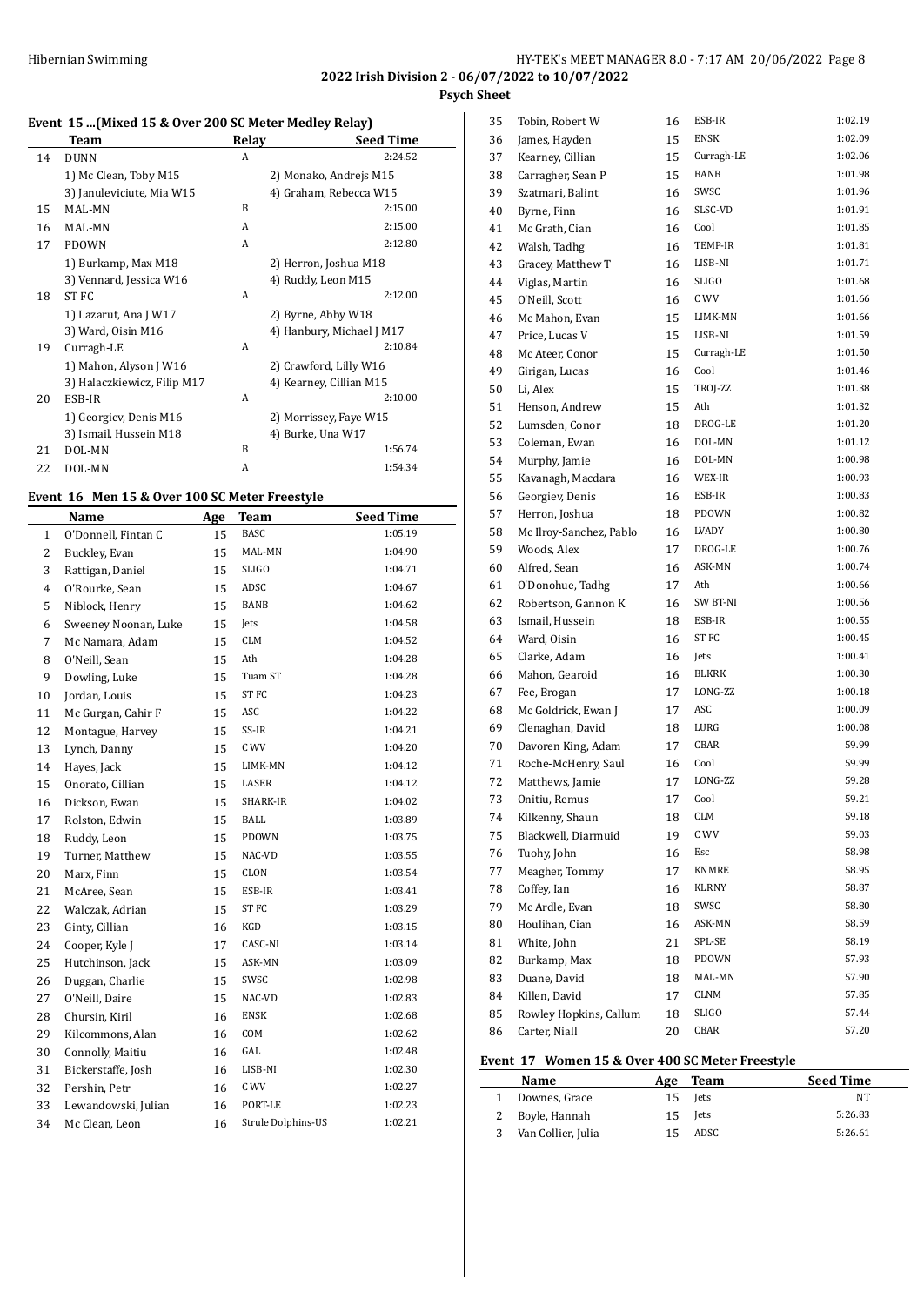# **Event 15 ...(Mixed 15 & Over 200 SC Meter Medley Relay)**

|    | <b>Team</b>                 | Relav | <b>Seed Time</b>          |
|----|-----------------------------|-------|---------------------------|
| 14 | <b>DUNN</b>                 | A     | 2:24.52                   |
|    | 1) Mc Clean, Toby M15       |       | 2) Monako, Andrejs M15    |
|    | 3) Januleviciute, Mia W15   |       | 4) Graham, Rebecca W15    |
| 15 | MAL-MN                      | B     | 2:15.00                   |
| 16 | MAL-MN                      | A     | 2:15.00                   |
| 17 | <b>PDOWN</b>                | A     | 2:12.80                   |
|    | 1) Burkamp, Max M18         |       | 2) Herron, Joshua M18     |
|    | 3) Vennard, Jessica W16     |       | 4) Ruddy, Leon M15        |
| 18 | ST FC                       | A     | 2:12.00                   |
|    | 1) Lazarut, Ana J W17       |       | 2) Byrne, Abby W18        |
|    | 3) Ward, Oisin M16          |       | 4) Hanbury, Michael J M17 |
| 19 | Curragh-LE                  | A     | 2:10.84                   |
|    | 1) Mahon, Alyson J W16      |       | 2) Crawford, Lilly W16    |
|    | 3) Halaczkiewicz, Filip M17 |       | 4) Kearney, Cillian M15   |
| 20 | ESB-IR                      | A     | 2:10.00                   |
|    | 1) Georgiev, Denis M16      |       | 2) Morrissey, Faye W15    |
|    | 3) Ismail, Hussein M18      |       | 4) Burke, Una W17         |
| 21 | DOL-MN                      | B     | 1:56.74                   |
| 22 | DOL-MN                      | A     | 1:54.34                   |

# **Event 16 Men 15 & Over 100 SC Meter Freestyle**

 $\overline{a}$ 

|                | Name                 | Age | <b>Team</b>        | <b>Seed Time</b> |
|----------------|----------------------|-----|--------------------|------------------|
| $\mathbf{1}$   | O'Donnell, Fintan C  | 15  | <b>BASC</b>        | 1:05.19          |
| $\overline{c}$ | Buckley, Evan        | 15  | MAL-MN             | 1:04.90          |
| 3              | Rattigan, Daniel     | 15  | <b>SLIGO</b>       | 1:04.71          |
| 4              | O'Rourke, Sean       | 15  | ADSC               | 1:04.67          |
| 5              | Niblock, Henry       | 15  | BANB               | 1:04.62          |
| 6              | Sweeney Noonan, Luke | 15  | Jets               | 1:04.58          |
| 7              | Mc Namara, Adam      | 15  | CLM                | 1:04.52          |
| 8              | O'Neill, Sean        | 15  | Ath                | 1:04.28          |
| 9              | Dowling, Luke        | 15  | Tuam ST            | 1:04.28          |
| 10             | Jordan, Louis        | 15  | ST <sub>FC</sub>   | 1:04.23          |
| 11             | Mc Gurgan, Cahir F   | 15  | ASC                | 1:04.22          |
| 12             | Montague, Harvey     | 15  | SS-IR              | 1:04.21          |
| 13             | Lynch, Danny         | 15  | C WV               | 1:04.20          |
| 14             | Hayes, Jack          | 15  | LIMK-MN            | 1:04.12          |
| 15             | Onorato, Cillian     | 15  | LASER              | 1:04.12          |
| 16             | Dickson, Ewan        | 15  | SHARK-IR           | 1:04.02          |
| 17             | Rolston, Edwin       | 15  | <b>BALL</b>        | 1:03.89          |
| 18             | Ruddy, Leon          | 15  | PDOWN              | 1:03.75          |
| 19             | Turner, Matthew      | 15  | NAC-VD             | 1:03.55          |
| 20             | Marx, Finn           | 15  | CLON               | 1:03.54          |
| 21             | McAree, Sean         | 15  | ESB-IR             | 1:03.41          |
| 22             | Walczak, Adrian      | 15  | ST FC              | 1:03.29          |
| 23             | Ginty, Cillian       | 16  | KGD                | 1:03.15          |
| 24             | Cooper, Kyle J       | 17  | CASC-NI            | 1:03.14          |
| 25             | Hutchinson, Jack     | 15  | ASK-MN             | 1:03.09          |
| 26             | Duggan, Charlie      | 15  | SWSC               | 1:02.98          |
| 27             | O'Neill, Daire       | 15  | NAC-VD             | 1:02.83          |
| 28             | Chursin, Kiril       | 16  | <b>ENSK</b>        | 1:02.68          |
| 29             | Kilcommons, Alan     | 16  | COM                | 1:02.62          |
| 30             | Connolly, Maitiu     | 16  | GAL                | 1:02.48          |
| 31             | Bickerstaffe, Josh   | 16  | LISB-NI            | 1:02.30          |
| 32             | Pershin, Petr        | 16  | C WV               | 1:02.27          |
| 33             | Lewandowski, Julian  | 16  | PORT-LE            | 1:02.23          |
| 34             | Mc Clean, Leon       | 16  | Strule Dolphins-US | 1:02.21          |

| 35       | Tobin, Robert W                         | 16       | ESB-IR           | 1:02.19        |
|----------|-----------------------------------------|----------|------------------|----------------|
| 36       | James, Hayden                           | 15       | ENSK             | 1:02.09        |
| 37       | Kearney, Cillian                        | 15       | Curragh-LE       | 1:02.06        |
| 38       | Carragher, Sean P                       | 15       | BANB             | 1:01.98        |
| 39       | Szatmari, Balint                        | 16       | SWSC             | 1:01.96        |
| 40       | Byrne, Finn                             | 16       | SLSC-VD          | 1:01.91        |
| 41       | Mc Grath, Cian                          | 16       | Cool             | 1:01.85        |
| 42       | Walsh, Tadhg                            | 16       | TEMP-IR          | 1:01.81        |
| 43       | Gracey, Matthew T                       | 16       | LISB-NI          | 1:01.71        |
| 44       | Viglas, Martin                          | 16       | SLIGO            | 1:01.68        |
| 45       | O'Neill, Scott                          | 16       | C WV             | 1:01.66        |
| 46       | Mc Mahon, Evan                          | 15       | LIMK-MN          | 1:01.66        |
| 47       | Price, Lucas V                          | 15       | LISB-NI          | 1:01.59        |
| 48       | Mc Ateer, Conor                         | 15       | Curragh-LE       | 1:01.50        |
| 49       | Girigan, Lucas                          | 16       | Cool             | 1:01.46        |
| 50       | Li, Alex                                | 15       | TROJ-ZZ          | 1:01.38        |
| 51       | Henson, Andrew                          | 15       | Ath              | 1:01.32        |
| 52       | Lumsden, Conor                          | 18       | DROG-LE          | 1:01.20        |
| 53       | Coleman, Ewan                           | 16       | DOL-MN           | 1:01.12        |
| 54       | Murphy, Jamie                           | 16       | DOL-MN           | 1:00.98        |
| 55       | Kavanagh, Macdara                       | 16       | WEX-IR           | 1:00.93        |
| 56       | Georgiev, Denis                         | 16       | ESB-IR           | 1:00.83        |
| 57       | Herron, Joshua                          | 18       | PDOWN            | 1:00.82        |
| 58       | Mc Ilroy-Sanchez, Pablo                 | 16       | LVADY            | 1:00.80        |
| 59       | Woods, Alex                             | 17       | DROG-LE          | 1:00.76        |
| 60       | Alfred, Sean                            | 16       | ASK-MN           | 1:00.74        |
| 61       | O'Donohue, Tadhg                        | 17       | Ath              | 1:00.66        |
| 62       | Robertson, Gannon K                     | 16       | SW BT-NI         | 1:00.56        |
| 63       | Ismail, Hussein                         | 18       | ESB-IR           | 1:00.55        |
| 64       | Ward, Oisin                             | 16       | ST <sub>FC</sub> | 1:00.45        |
| 65       | Clarke, Adam                            | 16       | Jets             | 1:00.41        |
| 66       | Mahon, Gearoid                          | 16       | BLKRK            | 1:00.30        |
| 67       | Fee, Brogan                             | 17       | LONG-ZZ          | 1:00.18        |
| 68       | Mc Goldrick, Ewan J                     | 17       | ASC              | 1:00.09        |
| 69       | Clenaghan, David                        | 18       | LURG             | 1:00.08        |
| 70       | Davoren King, Adam                      | 17       | CBAR             | 59.99          |
| 71       | Roche-McHenry, Saul                     | 16       | Cool             | 59.99          |
| 72       | Matthews, Jamie                         | 17       | LONG-ZZ          | 59.28          |
| 73       |                                         | 17       | Cool             | 59.21          |
| 74       | Onitiu, Remus<br>Kilkenny, Shaun        | 18       | CLM              | 59.18          |
| 75       | Blackwell, Diarmuid                     | 19       | C WV             | 59.03          |
|          | Tuohy, John                             |          | Esc              | 58.98          |
| 76<br>77 | Meagher, Tommy                          | 16<br>17 | KNMRE            | 58.95          |
|          | Coffey, Ian                             |          | KLRNY            | 58.87          |
| 78<br>79 | Mc Ardle, Evan                          | 16       | SWSC             | 58.80          |
|          | Houlihan, Cian                          | 18       | ASK-MN           | 58.59          |
| 80       |                                         | 16       | SPL-SE           | 58.19          |
| 81       | White, John<br>Burkamp, Max             | 21       | PDOWN            | 57.93          |
| 82       | Duane, David                            | 18       | MAL-MN           | 57.90          |
| 83       |                                         | 18       |                  | 57.85          |
| 84       | Killen, David                           | 17       | CLNM<br>SLIGO    |                |
| 85<br>86 | Rowley Hopkins, Callum<br>Carter, Niall | 18<br>20 | CBAR             | 57.44<br>57.20 |
|          |                                         |          |                  |                |
|          |                                         |          |                  |                |

# **Event 17 Women 15 & Over 400 SC Meter Freestyle**

| Name                 | Age | Team        | <b>Seed Time</b> |
|----------------------|-----|-------------|------------------|
| 1 Downes, Grace      | 15. | <b>Tets</b> | NT               |
| 2 Boyle, Hannah      |     | 15 lets     | 5:26.83          |
| 3 Van Collier, Julia | 15. | ADSC        | 5:26.61          |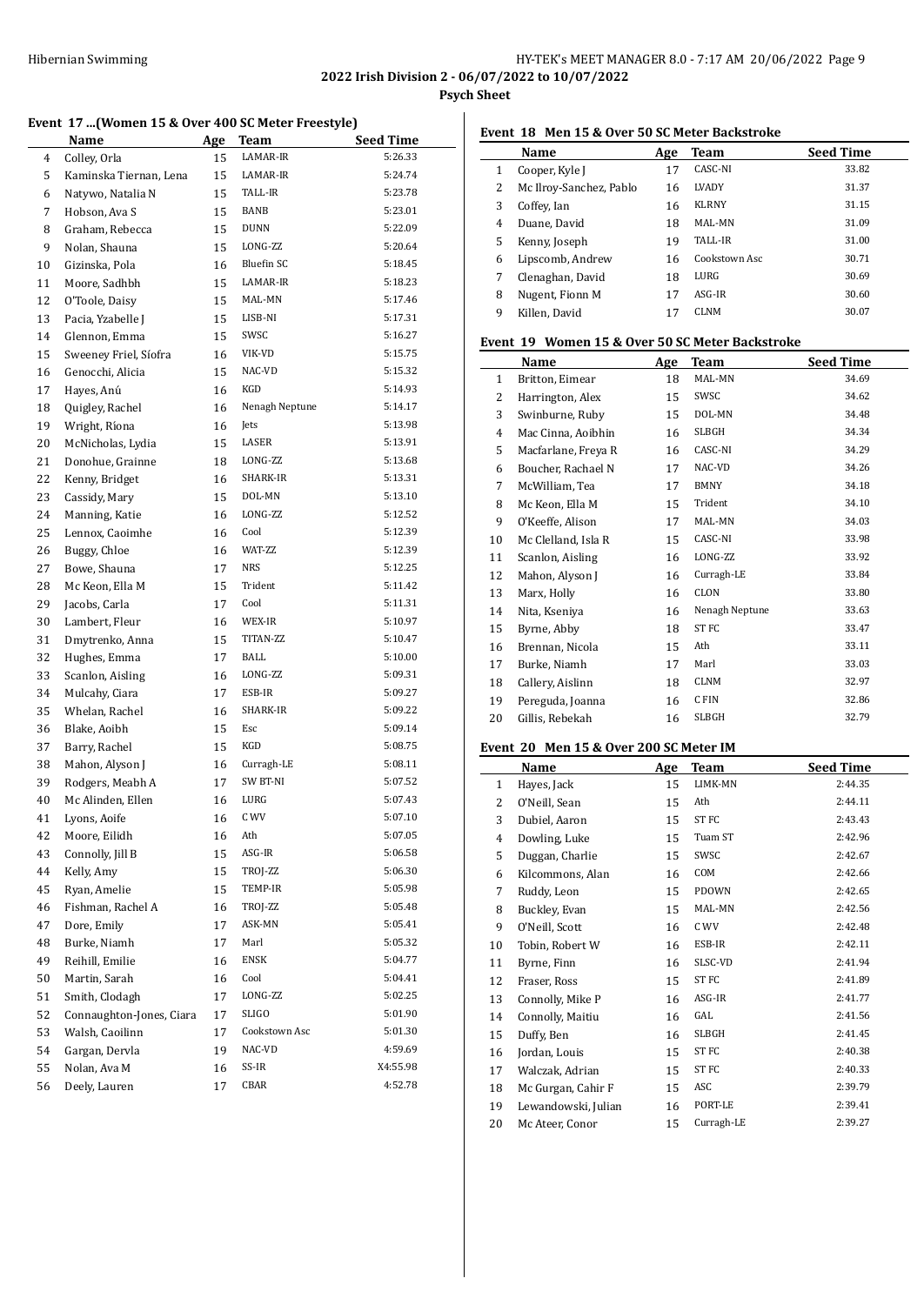# HY-TEK's MEET MANAGER 8.0 - 7:17 AM 20/06/2022 Page 9

**2022 Irish Division 2 - 06/07/2022 to 10/07/2022**

**Psych Sheet**

#### **Event 17 ...(Women 15 & Over 400 SC Meter Freestyle)**

|    | Name                     | <u>Age</u> | Team           | <b>Seed Time</b> |
|----|--------------------------|------------|----------------|------------------|
| 4  | Colley, Orla             | 15         | LAMAR-IR       | 5:26.33          |
| 5  | Kaminska Tiernan, Lena   | 15         | LAMAR-IR       | 5:24.74          |
| 6  | Natywo, Natalia N        | 15         | TALL-IR        | 5:23.78          |
| 7  | Hobson, Ava S            | 15         | BANB           | 5:23.01          |
| 8  | Graham, Rebecca          | 15         | <b>DUNN</b>    | 5:22.09          |
| 9  | Nolan, Shauna            | 15         | LONG-ZZ        | 5:20.64          |
| 10 | Gizinska, Pola           | 16         | Bluefin SC     | 5:18.45          |
| 11 | Moore, Sadhbh            | 15         | LAMAR-IR       | 5:18.23          |
| 12 | O'Toole, Daisy           | 15         | MAL-MN         | 5:17.46          |
| 13 | Pacia, Yzabelle J        | 15         | LISB-NI        | 5:17.31          |
| 14 | Glennon, Emma            | 15         | SWSC           | 5:16.27          |
| 15 | Sweeney Friel, Síofra    | 16         | VIK-VD         | 5:15.75          |
| 16 | Genocchi, Alicia         | 15         | NAC-VD         | 5:15.32          |
| 17 | Hayes, Anú               | 16         | KGD            | 5:14.93          |
| 18 | Quigley, Rachel          | 16         | Nenagh Neptune | 5:14.17          |
| 19 | Wright, Ríona            | 16         | Jets           | 5:13.98          |
| 20 | McNicholas, Lydia        | 15         | LASER          | 5:13.91          |
| 21 | Donohue, Grainne         | 18         | LONG-ZZ        | 5:13.68          |
| 22 | Kenny, Bridget           | 16         | SHARK-IR       | 5:13.31          |
| 23 | Cassidy, Mary            | 15         | DOL-MN         | 5:13.10          |
| 24 | Manning, Katie           | 16         | LONG-ZZ        | 5:12.52          |
| 25 | Lennox, Caoimhe          | 16         | Cool           | 5:12.39          |
| 26 | Buggy, Chloe             | 16         | WAT-ZZ         | 5:12.39          |
| 27 | Bowe, Shauna             | 17         | NRS            | 5:12.25          |
| 28 | Mc Keon, Ella M          | 15         | Trident        | 5:11.42          |
| 29 | Jacobs, Carla            | 17         | Cool           | 5:11.31          |
| 30 | Lambert, Fleur           | 16         | WEX-IR         | 5:10.97          |
| 31 | Dmytrenko, Anna          | 15         | TITAN-ZZ       | 5:10.47          |
| 32 | Hughes, Emma             | 17         | <b>BALL</b>    | 5:10.00          |
| 33 | Scanlon, Aisling         | 16         | LONG-ZZ        | 5:09.31          |
| 34 | Mulcahy, Ciara           | 17         | ESB-IR         | 5:09.27          |
| 35 | Whelan, Rachel           | 16         | SHARK-IR       | 5:09.22          |
| 36 | Blake, Aoibh             | 15         | Esc            | 5:09.14          |
| 37 | Barry, Rachel            | 15         | KGD            | 5:08.75          |
| 38 | Mahon, Alyson J          | 16         | Curragh-LE     | 5:08.11          |
| 39 | Rodgers, Meabh A         | 17         | SW BT-NI       | 5:07.52          |
| 40 | Mc Alinden, Ellen        | 16         | LURG           | 5:07.43          |
| 41 | Lyons, Aoife             | 16         | C WV           | 5:07.10          |
| 42 | Moore, Eilidh            | 16         | Ath            | 5:07.05          |
| 43 | Connolly, Jill B         | 15         | ASG-IR         | 5:06.58          |
| 44 | Kelly, Amy               | 15         | TROJ-ZZ        | 5:06.30          |
| 45 | Ryan, Amelie             | 15         | TEMP-IR        | 5:05.98          |
| 46 | Fishman, Rachel A        | 16         | TROJ-ZZ        | 5:05.48          |
| 47 | Dore, Emily              | 17         | ASK-MN         | 5:05.41          |
| 48 | Burke, Niamh             | 17         | Marl           | 5:05.32          |
| 49 | Reihill, Emilie          | 16         | <b>ENSK</b>    | 5:04.77          |
| 50 | Martin, Sarah            | 16         | Cool           | 5:04.41          |
| 51 | Smith, Clodagh           | 17         | LONG-ZZ        | 5:02.25          |
| 52 | Connaughton-Jones, Ciara | 17         | SLIGO          | 5:01.90          |
| 53 | Walsh, Caoilinn          | 17         | Cookstown Asc  | 5:01.30          |
| 54 | Gargan, Dervla           | 19         | NAC-VD         | 4:59.69          |
| 55 | Nolan, Ava M             | 16         | SS-IR          | X4:55.98         |
| 56 | Deely, Lauren            | 17         | CBAR           | 4:52.78          |

# **Event 18 Men 15 & Over 50 SC Meter Backstroke**

|   | Name                    | Age | Team           | <b>Seed Time</b> |
|---|-------------------------|-----|----------------|------------------|
| 1 | Cooper, Kyle J          | 17  | CASC-NI        | 33.82            |
| 2 | Mc Ilroy-Sanchez, Pablo | 16  | <b>LVADY</b>   | 31.37            |
| 3 | Coffey, Ian             | 16  | <b>KLRNY</b>   | 31.15            |
| 4 | Duane, David            | 18  | MAL-MN         | 31.09            |
| 5 | Kenny, Joseph           | 19  | <b>TALL-IR</b> | 31.00            |
| 6 | Lipscomb, Andrew        | 16  | Cookstown Asc  | 30.71            |
| 7 | Clenaghan, David        | 18  | LURG           | 30.69            |
| 8 | Nugent, Fionn M         | 17  | $ASG-IR$       | 30.60            |
| 9 | Killen. David           | 17  | <b>CLNM</b>    | 30.07            |

#### **Event 19 Women 15 & Over 50 SC Meter Backstroke**

|              | Name                | Age | <b>Team</b>      | <b>Seed Time</b> |
|--------------|---------------------|-----|------------------|------------------|
| $\mathbf{1}$ | Britton, Eimear     | 18  | MAL-MN           | 34.69            |
| 2            | Harrington, Alex    | 15  | SWSC             | 34.62            |
| 3            | Swinburne, Ruby     | 15  | DOL-MN           | 34.48            |
| 4            | Mac Cinna, Aoibhin  | 16  | <b>SLBGH</b>     | 34.34            |
| 5            | Macfarlane, Freya R | 16  | CASC-NI          | 34.29            |
| 6            | Boucher, Rachael N  | 17  | NAC-VD           | 34.26            |
| 7            | McWilliam, Tea      | 17  | <b>BMNY</b>      | 34.18            |
| 8            | Mc Keon, Ella M     | 15  | Trident          | 34.10            |
| 9            | O'Keeffe, Alison    | 17  | MAL-MN           | 34.03            |
| 10           | Mc Clelland, Isla R | 15  | CASC-NI          | 33.98            |
| 11           | Scanlon, Aisling    | 16  | LONG-ZZ          | 33.92            |
| 12           | Mahon, Alyson J     | 16  | Curragh-LE       | 33.84            |
| 13           | Marx, Holly         | 16  | CLON             | 33.80            |
| 14           | Nita, Kseniya       | 16  | Nenagh Neptune   | 33.63            |
| 15           | Byrne, Abby         | 18  | ST <sub>FC</sub> | 33.47            |
| 16           | Brennan, Nicola     | 15  | Ath              | 33.11            |
| 17           | Burke, Niamh        | 17  | Marl             | 33.03            |
| 18           | Callery, Aislinn    | 18  | CLNM             | 32.97            |
| 19           | Pereguda, Joanna    | 16  | C FIN            | 32.86            |
| 20           | Gillis, Rebekah     | 16  | <b>SLBGH</b>     | 32.79            |
|              |                     |     |                  |                  |

#### **Event 20 Men 15 & Over 200 SC Meter IM**

|              | Name                | Age | <b>Team</b>  | <b>Seed Time</b> |
|--------------|---------------------|-----|--------------|------------------|
| $\mathbf{1}$ | Hayes, Jack         | 15  | LIMK-MN      | 2:44.35          |
| 2            | O'Neill, Sean       | 15  | Ath          | 2:44.11          |
| 3            | Dubiel, Aaron       | 15  | ST FC        | 2:43.43          |
| 4            | Dowling, Luke       | 15  | Tuam ST      | 2:42.96          |
| 5            | Duggan, Charlie     | 15  | SWSC         | 2:42.67          |
| 6            | Kilcommons, Alan    | 16  | COM          | 2:42.66          |
| 7            | Ruddy, Leon         | 15  | PDOWN        | 2:42.65          |
| 8            | Buckley, Evan       | 15  | MAL-MN       | 2:42.56          |
| 9            | O'Neill, Scott      | 16  | C WV         | 2:42.48          |
| 10           | Tobin, Robert W     | 16  | ESB-IR       | 2:42.11          |
| 11           | Byrne, Finn         | 16  | SLSC-VD      | 2:41.94          |
| 12           | Fraser, Ross        | 15  | ST FC        | 2:41.89          |
| 13           | Connolly, Mike P    | 16  | ASG-IR       | 2:41.77          |
| 14           | Connolly, Maitiu    | 16  | GAL          | 2:41.56          |
| 15           | Duffy, Ben          | 16  | <b>SLBGH</b> | 2:41.45          |
| 16           | Jordan, Louis       | 15  | ST FC        | 2:40.38          |
| 17           | Walczak, Adrian     | 15  | ST FC        | 2:40.33          |
| 18           | Mc Gurgan, Cahir F  | 15  | ASC          | 2:39.79          |
| 19           | Lewandowski, Julian | 16  | PORT-LE      | 2:39.41          |
| 20           | Mc Ateer, Conor     | 15  | Curragh-LE   | 2:39.27          |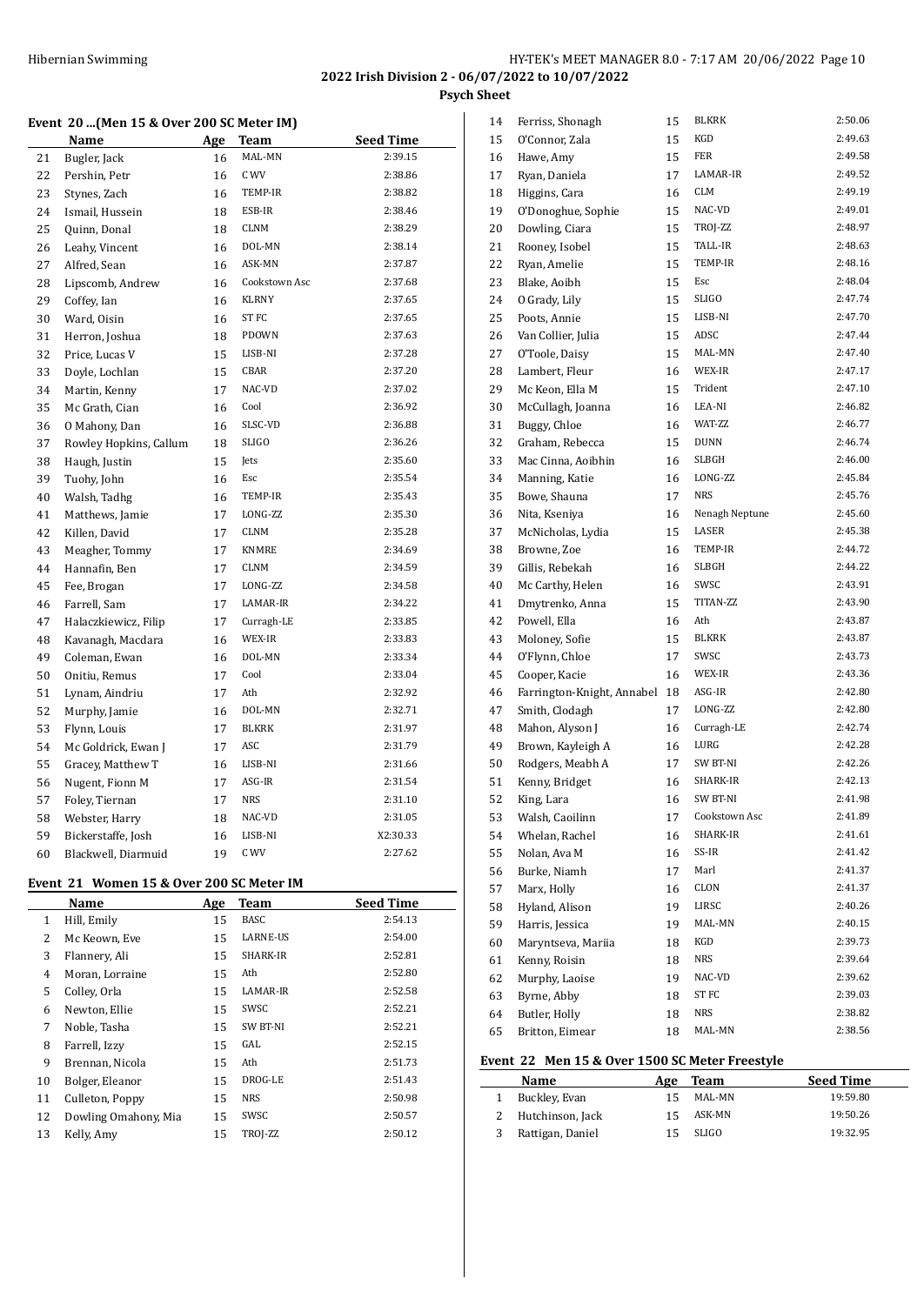#### **Event 20 ...(Men 15 & Over 200 SC Meter IM)**

|    | Name                   | Age | Team             | <b>Seed Time</b> |
|----|------------------------|-----|------------------|------------------|
| 21 | Bugler, Jack           | 16  | MAL-MN           | 2:39.15          |
| 22 | Pershin, Petr          | 16  | C WV             | 2:38.86          |
| 23 | Stynes, Zach           | 16  | TEMP-IR          | 2:38.82          |
| 24 | Ismail, Hussein        | 18  | ESB-IR           | 2:38.46          |
| 25 | Quinn, Donal           | 18  | CLNM             | 2:38.29          |
| 26 | Leahy, Vincent         | 16  | DOL-MN           | 2:38.14          |
| 27 | Alfred, Sean           | 16  | ASK-MN           | 2:37.87          |
| 28 | Lipscomb, Andrew       | 16  | Cookstown Asc    | 2:37.68          |
| 29 | Coffey, Ian            | 16  | <b>KLRNY</b>     | 2:37.65          |
| 30 | Ward, Oisin            | 16  | ST <sub>FC</sub> | 2:37.65          |
| 31 | Herron, Joshua         | 18  | PDOWN            | 2:37.63          |
| 32 | Price, Lucas V         | 15  | LISB-NI          | 2:37.28          |
| 33 | Doyle, Lochlan         | 15  | CBAR             | 2:37.20          |
| 34 | Martin, Kenny          | 17  | NAC-VD           | 2:37.02          |
| 35 | Mc Grath, Cian         | 16  | Cool             | 2:36.92          |
| 36 | O Mahony, Dan          | 16  | SLSC-VD          | 2:36.88          |
| 37 | Rowley Hopkins, Callum | 18  | <b>SLIGO</b>     | 2:36.26          |
| 38 | Haugh, Justin          | 15  | Jets             | 2:35.60          |
| 39 | Tuohy, John            | 16  | Esc              | 2:35.54          |
| 40 | Walsh, Tadhg           | 16  | TEMP-IR          | 2:35.43          |
| 41 | Matthews, Jamie        | 17  | LONG-ZZ          | 2:35.30          |
| 42 | Killen, David          | 17  | <b>CLNM</b>      | 2:35.28          |
| 43 | Meagher, Tommy         | 17  | KNMRE            | 2:34.69          |
| 44 | Hannafin, Ben          | 17  | <b>CLNM</b>      | 2:34.59          |
| 45 | Fee, Brogan            | 17  | LONG-ZZ          | 2:34.58          |
| 46 | Farrell, Sam           | 17  | LAMAR-IR         | 2:34.22          |
| 47 | Halaczkiewicz, Filip   | 17  | Curragh-LE       | 2:33.85          |
| 48 | Kavanagh, Macdara      | 16  | WEX-IR           | 2:33.83          |
| 49 | Coleman, Ewan          | 16  | DOL-MN           | 2:33.34          |
| 50 | Onitiu, Remus          | 17  | Cool             | 2:33.04          |
| 51 | Lynam, Aindriu         | 17  | Ath              | 2:32.92          |
| 52 | Murphy, Jamie          | 16  | DOL-MN           | 2:32.71          |
| 53 | Flynn, Louis           | 17  | <b>BLKRK</b>     | 2:31.97          |
| 54 | Mc Goldrick, Ewan J    | 17  | ASC              | 2:31.79          |
| 55 | Gracey, Matthew T      | 16  | LISB-NI          | 2:31.66          |
| 56 | Nugent, Fionn M        | 17  | ASG-IR           | 2:31.54          |
| 57 | Foley, Tiernan         | 17  | NRS              | 2:31.10          |
| 58 | Webster, Harry         | 18  | NAC-VD           | 2:31.05          |
| 59 | Bickerstaffe, Josh     | 16  | LISB-NI          | X2:30.33         |
| 60 | Blackwell, Diarmuid    | 19  | C WV             | 2:27.62          |

# **Event 21 Women 15 & Over 200 SC Meter IM**

|              | Name                 | Age | <b>Team</b>     | <b>Seed Time</b> |
|--------------|----------------------|-----|-----------------|------------------|
| $\mathbf{1}$ | Hill, Emily          | 15  | <b>BASC</b>     | 2:54.13          |
| 2            | Mc Keown, Eve        | 15  | <b>LARNE-US</b> | 2:54.00          |
| 3            | Flannery, Ali        | 15  | SHARK-IR        | 2:52.81          |
| 4            | Moran, Lorraine      | 15  | Ath             | 2:52.80          |
| 5            | Colley, Orla         | 15  | LAMAR-IR        | 2:52.58          |
| 6            | Newton, Ellie        | 15  | SWSC            | 2:52.21          |
| 7            | Noble, Tasha         | 15  | <b>SW BT-NI</b> | 2:52.21          |
| 8            | Farrell, Izzy        | 15  | GAL             | 2:52.15          |
| 9            | Brennan, Nicola      | 15  | Ath             | 2:51.73          |
| 10           | Bolger, Eleanor      | 15  | DROG-LE         | 2:51.43          |
| 11           | Culleton, Poppy      | 15  | <b>NRS</b>      | 2:50.98          |
| 12           | Dowling Omahony, Mia | 15  | SWSC            | 2:50.57          |
| 13           | Kelly, Amy           | 15  | TROJ-ZZ         | 2:50.12          |

| 14 | Ferriss, Shonagh           | 15 | <b>BLKRK</b>   | 2:50.06 |
|----|----------------------------|----|----------------|---------|
| 15 | O'Connor, Zala             | 15 | KGD            | 2:49.63 |
| 16 | Hawe, Amy                  | 15 | <b>FER</b>     | 2:49.58 |
| 17 | Ryan, Daniela              | 17 | LAMAR-IR       | 2:49.52 |
| 18 | Higgins, Cara              | 16 | <b>CLM</b>     | 2:49.19 |
| 19 | O'Donoghue, Sophie         | 15 | NAC-VD         | 2:49.01 |
| 20 | Dowling, Ciara             | 15 | TROJ-ZZ        | 2:48.97 |
| 21 | Rooney, Isobel             | 15 | TALL-IR        | 2:48.63 |
| 22 | Ryan, Amelie               | 15 | TEMP-IR        | 2:48.16 |
| 23 | Blake, Aoibh               | 15 | Esc            | 2:48.04 |
| 24 | O Grady, Lily              | 15 | SLIGO          | 2:47.74 |
| 25 | Poots, Annie               | 15 | LISB-NI        | 2:47.70 |
| 26 | Van Collier, Julia         | 15 | ADSC           | 2:47.44 |
| 27 | O'Toole, Daisy             | 15 | MAL-MN         | 2:47.40 |
| 28 | Lambert, Fleur             | 16 | WEX-IR         | 2:47.17 |
| 29 | Mc Keon, Ella M            | 15 | Trident        | 2:47.10 |
| 30 | McCullagh, Joanna          | 16 | LEA-NI         | 2:46.82 |
| 31 | Buggy, Chloe               | 16 | WAT-ZZ         | 2:46.77 |
| 32 | Graham, Rebecca            | 15 | DUNN           | 2:46.74 |
| 33 | Mac Cinna, Aoibhin         | 16 | <b>SLBGH</b>   | 2:46.00 |
| 34 | Manning, Katie             | 16 | LONG-ZZ        | 2:45.84 |
| 35 | Bowe, Shauna               | 17 | <b>NRS</b>     | 2:45.76 |
| 36 | Nita, Kseniya              | 16 | Nenagh Neptune | 2:45.60 |
| 37 | McNicholas, Lydia          | 15 | LASER          | 2:45.38 |
| 38 | Browne, Zoe                | 16 | TEMP-IR        | 2:44.72 |
| 39 | Gillis, Rebekah            | 16 | SLBGH          | 2:44.22 |
| 40 | Mc Carthy, Helen           | 16 | SWSC           | 2:43.91 |
| 41 | Dmytrenko, Anna            | 15 | TITAN-ZZ       | 2:43.90 |
| 42 | Powell, Ella               | 16 | Ath            | 2:43.87 |
| 43 | Moloney, Sofie             | 15 | <b>BLKRK</b>   | 2:43.87 |
| 44 | O'Flynn, Chloe             | 17 | SWSC           | 2:43.73 |
| 45 | Cooper, Kacie              | 16 | WEX-IR         | 2:43.36 |
| 46 | Farrington-Knight, Annabel | 18 | ASG-IR         | 2:42.80 |
| 47 | Smith, Clodagh             | 17 | LONG-ZZ        | 2:42.80 |
| 48 | Mahon, Alyson J            | 16 | Curragh-LE     | 2:42.74 |
| 49 | Brown, Kayleigh A          | 16 | LURG           | 2:42.28 |
| 50 | Rodgers, Meabh A           | 17 | SW BT-NI       | 2:42.26 |
| 51 | Kenny, Bridget             | 16 | SHARK-IR       | 2:42.13 |
| 52 | King, Lara                 | 16 | SW BT-NI       | 2:41.98 |
| 53 | Walsh, Caoilinn            | 17 | Cookstown Asc  | 2:41.89 |
| 54 | Whelan, Rachel             | 16 | SHARK-IR       | 2:41.61 |
| 55 | Nolan, Ava M               | 16 | SS-IR          | 2:41.42 |
| 56 | Burke, Niamh               | 17 | Marl           | 2:41.37 |
| 57 | Marx, Holly                | 16 | CLON           | 2:41.37 |
| 58 | Hyland, Alison             | 19 | LIRSC          | 2:40.26 |
| 59 | Harris, Jessica            | 19 | MAL-MN         | 2:40.15 |
| 60 | Maryntseva, Mariia         | 18 | KGD            | 2:39.73 |
| 61 | Kenny, Roisin              | 18 | NRS            | 2:39.64 |
| 62 | Murphy, Laoise             | 19 | NAC-VD         | 2:39.62 |
| 63 | Byrne, Abby                | 18 | ST FC          | 2:39.03 |
| 64 | Butler, Holly              | 18 | NRS            | 2:38.82 |
| 65 | Britton, Eimear            | 18 | MAL-MN         | 2:38.56 |
|    |                            |    |                |         |

#### **Event 22 Men 15 & Over 1500 SC Meter Freestyle**

| Name               | Age | Team   | <b>Seed Time</b> |
|--------------------|-----|--------|------------------|
| 1 Buckley, Evan    | 15  | MAL-MN | 19:59.80         |
| 2 Hutchinson, Jack | 15  | ASK-MN | 19:50.26         |
| 3 Rattigan, Daniel | 15. | SLIGO  | 19:32.95         |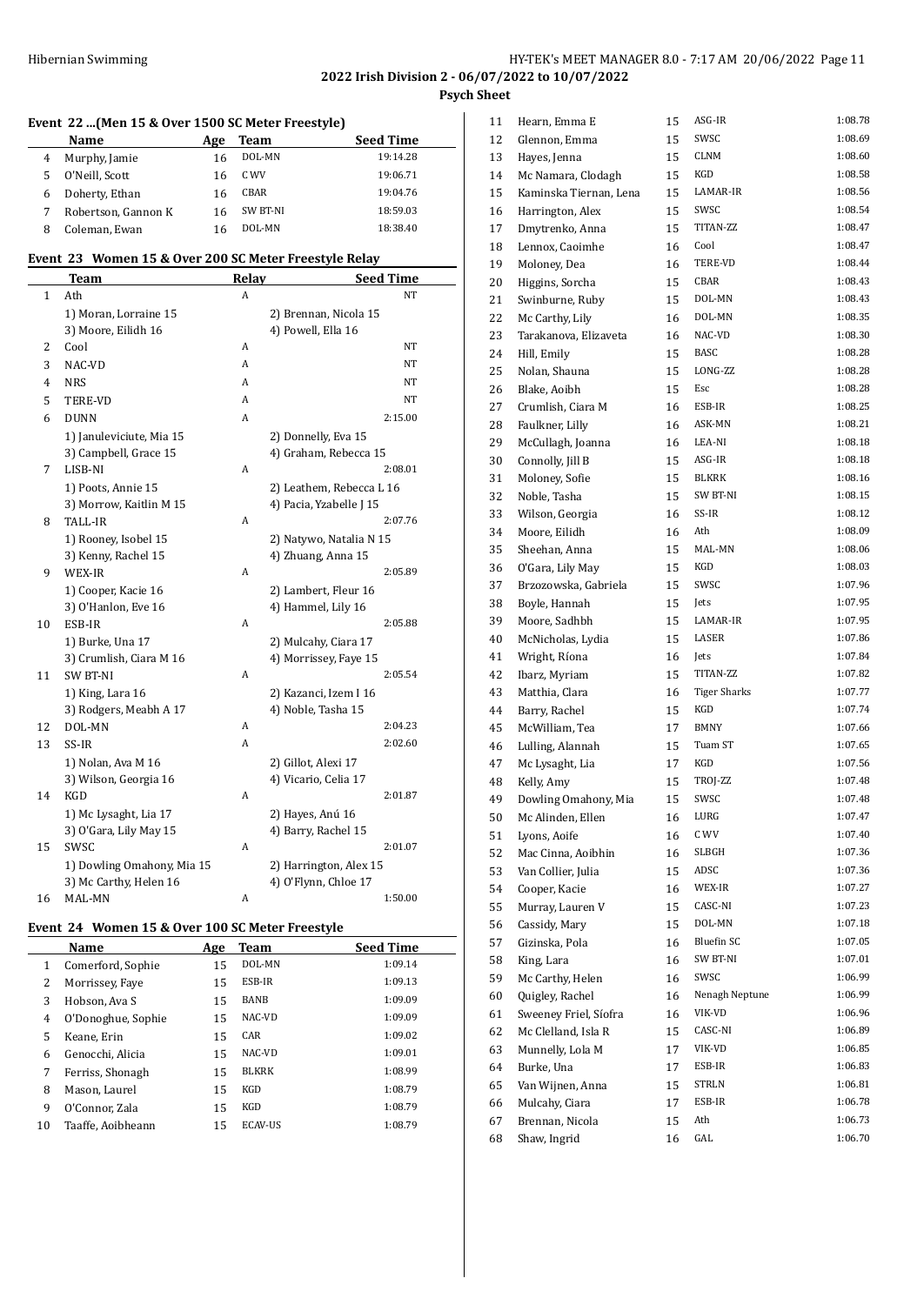# **Event 22 ...(Men 15 & Over 1500 SC Meter Freestyle)**

|   | <b>Name</b>         | Age | Team     | <b>Seed Time</b> |
|---|---------------------|-----|----------|------------------|
| 4 | Murphy, Jamie       | 16  | DOL-MN   | 19:14.28         |
| 5 | O'Neill, Scott      | 16  | C WV     | 19:06.71         |
| 6 | Doherty, Ethan      | 16  | CBAR     | 19:04.76         |
|   | Robertson, Gannon K | 16  | SW BT-NI | 18:59.03         |
| 8 | Coleman, Ewan       | 16  | DOL-MN   | 18:38.40         |

# **Event 23 Women 15 & Over 200 SC Meter Freestyle Relay**

|    | <b>Team</b>                | Relay | <b>Seed Time</b>         |
|----|----------------------------|-------|--------------------------|
| 1  | Ath                        | A     | NT                       |
|    | 1) Moran, Lorraine 15      |       | 2) Brennan, Nicola 15    |
|    | 3) Moore, Eilidh 16        |       | 4) Powell, Ella 16       |
| 2  | Cool                       | A     | NT                       |
| 3  | NAC-VD                     | A     | NT                       |
| 4  | <b>NRS</b>                 | A     | NT                       |
| 5  | TERE-VD                    | A     | NT                       |
| 6  | <b>DUNN</b>                | A     | 2:15.00                  |
|    | 1) Januleviciute, Mia 15   |       | 2) Donnelly, Eva 15      |
|    | 3) Campbell, Grace 15      |       | 4) Graham, Rebecca 15    |
| 7  | LISB-NI                    | A     | 2:08.01                  |
|    | 1) Poots, Annie 15         |       | 2) Leathem, Rebecca L 16 |
|    | 3) Morrow, Kaitlin M 15    |       | 4) Pacia, Yzabelle J 15  |
| 8  | TALL-IR                    | A     | 2:07.76                  |
|    | 1) Rooney, Isobel 15       |       | 2) Natywo, Natalia N 15  |
|    | 3) Kenny, Rachel 15        |       | 4) Zhuang, Anna 15       |
| 9  | WEX-IR                     | A     | 2:05.89                  |
|    | 1) Cooper, Kacie 16        |       | 2) Lambert, Fleur 16     |
|    | 3) O'Hanlon, Eve 16        |       | 4) Hammel, Lily 16       |
| 10 | ESB-IR                     | A     | 2:05.88                  |
|    | 1) Burke, Una 17           |       | 2) Mulcahy, Ciara 17     |
|    | 3) Crumlish, Ciara M 16    |       | 4) Morrissey, Faye 15    |
| 11 | <b>SW BT-NI</b>            | A     | 2:05.54                  |
|    | 1) King, Lara 16           |       | 2) Kazanci, Izem I 16    |
|    | 3) Rodgers, Meabh A 17     |       | 4) Noble, Tasha 15       |
| 12 | DOL-MN                     | A     | 2:04.23                  |
| 13 | SS-IR                      | A     | 2:02.60                  |
|    | 1) Nolan, Ava M 16         |       | 2) Gillot, Alexi 17      |
|    | 3) Wilson, Georgia 16      |       | 4) Vicario, Celia 17     |
| 14 | <b>KGD</b>                 | A     | 2:01.87                  |
|    | 1) Mc Lysaght, Lia 17      |       | 2) Hayes, Anú 16         |
|    | 3) O'Gara, Lily May 15     |       | 4) Barry, Rachel 15      |
| 15 | SWSC                       | A     | 2:01.07                  |
|    | 1) Dowling Omahony, Mia 15 |       | 2) Harrington, Alex 15   |
|    | 3) Mc Carthy, Helen 16     |       | 4) O'Flynn, Chloe 17     |
| 16 | MAL-MN                     | A     | 1:50.00                  |

#### **Event 24 Women 15 & Over 100 SC Meter Freestyle**

|    | Name               | Age | Team         | <b>Seed Time</b> |
|----|--------------------|-----|--------------|------------------|
| 1  | Comerford, Sophie  | 15  | DOL-MN       | 1:09.14          |
| 2  | Morrissey, Faye    | 15  | ESB-IR       | 1:09.13          |
| 3  | Hobson, Ava S      | 15  | <b>BANB</b>  | 1:09.09          |
| 4  | O'Donoghue, Sophie | 15  | NAC-VD       | 1:09.09          |
| 5  | Keane, Erin        | 15  | CAR          | 1:09.02          |
| 6  | Genocchi, Alicia   | 15  | NAC-VD       | 1:09.01          |
| 7  | Ferriss, Shonagh   | 15  | <b>BLKRK</b> | 1:08.99          |
| 8  | Mason. Laurel      | 15  | KGD          | 1:08.79          |
| 9  | O'Connor, Zala     | 15  | KGD          | 1:08.79          |
| 10 | Taaffe, Aoibheann  | 15  | ECAV-US      | 1:08.79          |

| 11 | Hearn, Emma E          | 15 | ASG-IR              | 1:08.78 |
|----|------------------------|----|---------------------|---------|
| 12 | Glennon, Emma          | 15 | SWSC                | 1:08.69 |
| 13 | Hayes, Jenna           | 15 | <b>CLNM</b>         | 1:08.60 |
| 14 | Mc Namara, Clodagh     | 15 | KGD                 | 1:08.58 |
| 15 | Kaminska Tiernan, Lena | 15 | LAMAR-IR            | 1:08.56 |
| 16 | Harrington, Alex       | 15 | SWSC                | 1:08.54 |
| 17 | Dmytrenko, Anna        | 15 | <b>TITAN-ZZ</b>     | 1:08.47 |
| 18 | Lennox, Caoimhe        | 16 | Cool                | 1:08.47 |
| 19 | Moloney, Dea           | 16 | TERE-VD             | 1:08.44 |
| 20 | Higgins, Sorcha        | 15 | CBAR                | 1:08.43 |
| 21 | Swinburne, Ruby        | 15 | DOL-MN              | 1:08.43 |
| 22 | Mc Carthy, Lily        | 16 | DOL-MN              | 1:08.35 |
| 23 | Tarakanova, Elizaveta  | 16 | NAC-VD              | 1:08.30 |
| 24 | Hill, Emily            | 15 | BASC                | 1:08.28 |
| 25 | Nolan, Shauna          | 15 | LONG-ZZ             | 1:08.28 |
| 26 | Blake, Aoibh           | 15 | Esc                 | 1:08.28 |
| 27 | Crumlish, Ciara M      | 16 | ESB-IR              | 1:08.25 |
| 28 | Faulkner, Lilly        | 16 | ASK-MN              | 1:08.21 |
| 29 | McCullagh, Joanna      | 16 | LEA-NI              | 1:08.18 |
| 30 | Connolly, Jill B       | 15 | ASG-IR              | 1:08.18 |
| 31 | Moloney, Sofie         | 15 | <b>BLKRK</b>        | 1:08.16 |
| 32 | Noble, Tasha           | 15 | SW BT-NI            | 1:08.15 |
| 33 | Wilson, Georgia        | 16 | SS-IR               | 1:08.12 |
| 34 | Moore, Eilidh          | 16 | Ath                 | 1:08.09 |
| 35 | Sheehan, Anna          | 15 | MAL-MN              | 1:08.06 |
| 36 | O'Gara, Lily May       | 15 | KGD                 | 1:08.03 |
| 37 | Brzozowska, Gabriela   | 15 | SWSC                | 1:07.96 |
| 38 | Boyle, Hannah          | 15 | Jets                | 1:07.95 |
| 39 | Moore, Sadhbh          | 15 | LAMAR-IR            | 1:07.95 |
| 40 | McNicholas, Lydia      | 15 | LASER               | 1:07.86 |
| 41 | Wright, Ríona          | 16 | Jets                | 1:07.84 |
| 42 | Ibarz, Myriam          | 15 | TITAN-ZZ            | 1:07.82 |
| 43 | Matthia, Clara         | 16 | <b>Tiger Sharks</b> | 1:07.77 |
| 44 | Barry, Rachel          | 15 | KGD                 | 1:07.74 |
| 45 | McWilliam, Tea         | 17 | BMNY                | 1:07.66 |
| 46 | Lulling, Alannah       | 15 | Tuam ST             | 1:07.65 |
| 47 | Mc Lysaght, Lia        | 17 | KGD                 | 1:07.56 |
| 48 | Kelly, Amy             | 15 | TROJ-ZZ             | 1:07.48 |
| 49 | Dowling Omahony, Mia   | 15 | SWSC                | 1:07.48 |
| 50 | Mc Alinden, Ellen      | 16 | LURG                | 1:07.47 |
| 51 | Lyons, Aoife           | 16 | C WV                | 1:07.40 |
| 52 | Mac Cinna, Aoibhin     | 16 | SLBGH               | 1:07.36 |
| 53 | Van Collier, Julia     | 15 | ADSC                | 1:07.36 |
| 54 | Cooper, Kacie          | 16 | WEX-IR              | 1:07.27 |
| 55 | Murray, Lauren V       | 15 | CASC-NI             | 1:07.23 |
| 56 | Cassidy, Mary          | 15 | DOL-MN              | 1:07.18 |
| 57 | Gizinska, Pola         | 16 | Bluefin SC          | 1:07.05 |
| 58 | King, Lara             | 16 | SW BT-NI            | 1:07.01 |
| 59 | Mc Carthy, Helen       | 16 | SWSC                | 1:06.99 |
| 60 | Quigley, Rachel        | 16 | Nenagh Neptune      | 1:06.99 |
| 61 | Sweeney Friel, Síofra  | 16 | VIK-VD              | 1:06.96 |
| 62 | Mc Clelland, Isla R    | 15 | CASC-NI             | 1:06.89 |
| 63 | Munnelly, Lola M       | 17 | VIK-VD              | 1:06.85 |
| 64 | Burke, Una             | 17 | ESB-IR              | 1:06.83 |
| 65 | Van Wijnen, Anna       | 15 | STRLN               | 1:06.81 |
| 66 | Mulcahy, Ciara         | 17 | ESB-IR              | 1:06.78 |
| 67 | Brennan, Nicola        | 15 | Ath                 | 1:06.73 |
| 68 | Shaw, Ingrid           | 16 | GAL                 | 1:06.70 |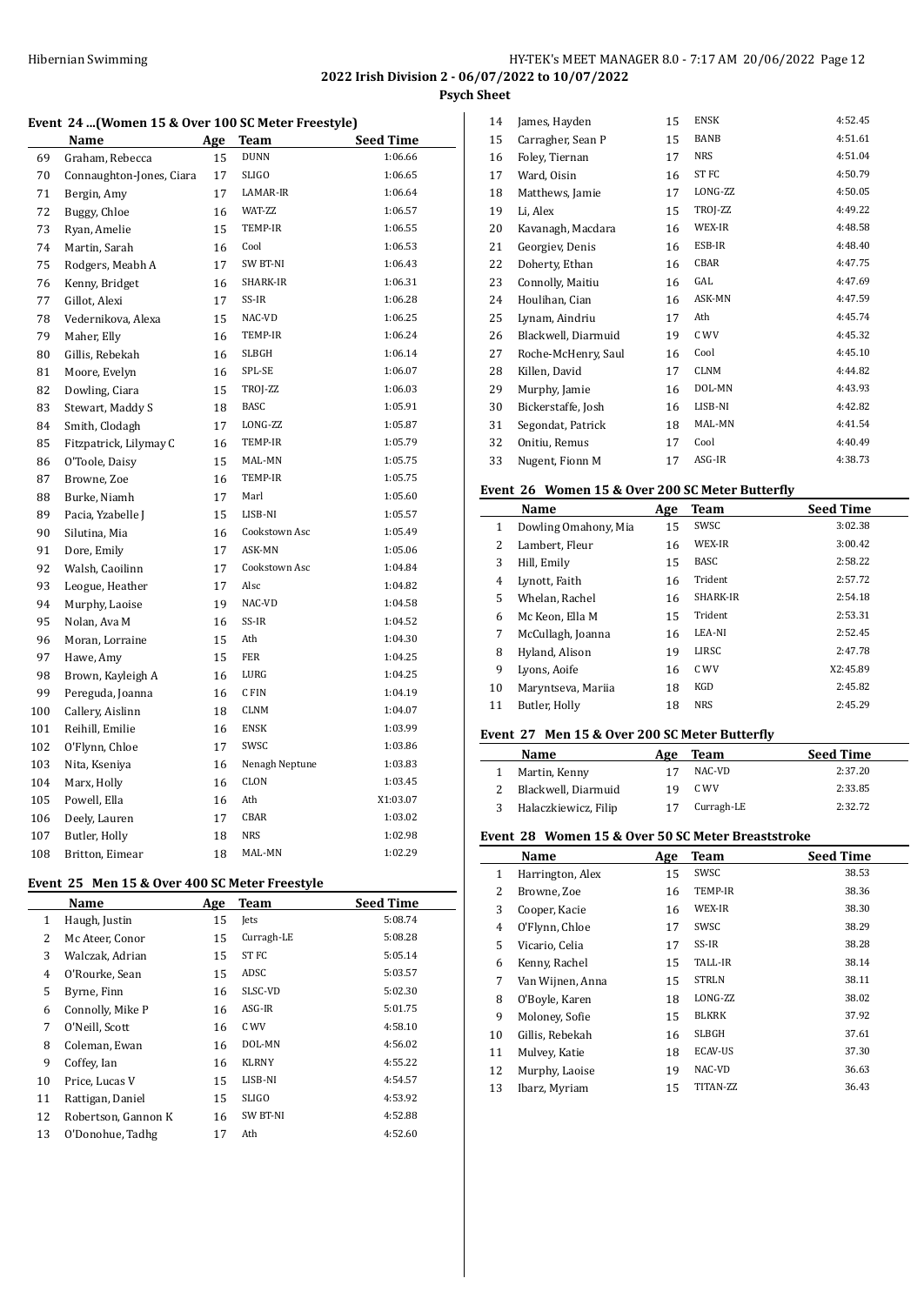**2022 Irish Division 2 - 06/07/2022 to 10/07/2022**

**Psych Sheet**

#### **Event 24 ...(Women 15 & Over 100 SC Meter Freestyle)**

|     | Name                     | Age | Team           | Seed Time |
|-----|--------------------------|-----|----------------|-----------|
| 69  | Graham, Rebecca          | 15  | <b>DUNN</b>    | 1:06.66   |
| 70  | Connaughton-Jones, Ciara | 17  | <b>SLIGO</b>   | 1:06.65   |
| 71  | Bergin, Amy              | 17  | LAMAR-IR       | 1:06.64   |
| 72  | Buggy, Chloe             | 16  | WAT-ZZ         | 1:06.57   |
| 73  | Ryan, Amelie             | 15  | TEMP-IR        | 1:06.55   |
| 74  | Martin, Sarah            | 16  | Cool           | 1:06.53   |
| 75  | Rodgers, Meabh A         | 17  | SW BT-NI       | 1:06.43   |
| 76  | Kenny, Bridget           | 16  | SHARK-IR       | 1:06.31   |
| 77  | Gillot, Alexi            | 17  | SS-IR          | 1:06.28   |
| 78  | Vedernikova, Alexa       | 15  | NAC-VD         | 1:06.25   |
| 79  | Maher, Elly              | 16  | TEMP-IR        | 1:06.24   |
| 80  | Gillis, Rebekah          | 16  | <b>SLBGH</b>   | 1:06.14   |
| 81  | Moore, Evelyn            | 16  | SPL-SE         | 1:06.07   |
| 82  | Dowling, Ciara           | 15  | TROJ-ZZ        | 1:06.03   |
| 83  | Stewart, Maddy S         | 18  | <b>BASC</b>    | 1:05.91   |
| 84  | Smith, Clodagh           | 17  | LONG-ZZ        | 1:05.87   |
| 85  | Fitzpatrick, Lilymay C   | 16  | TEMP-IR        | 1:05.79   |
| 86  | O'Toole, Daisy           | 15  | MAL-MN         | 1:05.75   |
| 87  | Browne, Zoe              | 16  | TEMP-IR        | 1:05.75   |
| 88  | Burke, Niamh             | 17  | Marl           | 1:05.60   |
| 89  | Pacia, Yzabelle J        | 15  | LISB-NI        | 1:05.57   |
| 90  | Silutina, Mia            | 16  | Cookstown Asc  | 1:05.49   |
| 91  | Dore, Emily              | 17  | ASK-MN         | 1:05.06   |
| 92  | Walsh, Caoilinn          | 17  | Cookstown Asc  | 1:04.84   |
| 93  | Leogue, Heather          | 17  | Alsc           | 1:04.82   |
| 94  | Murphy, Laoise           | 19  | NAC-VD         | 1:04.58   |
| 95  | Nolan, Ava M             | 16  | SS-IR          | 1:04.52   |
| 96  | Moran, Lorraine          | 15  | Ath            | 1:04.30   |
| 97  | Hawe, Amy                | 15  | <b>FER</b>     | 1:04.25   |
| 98  | Brown, Kayleigh A        | 16  | LURG           | 1:04.25   |
| 99  | Pereguda, Joanna         | 16  | C FIN          | 1:04.19   |
| 100 | Callery, Aislinn         | 18  | <b>CLNM</b>    | 1:04.07   |
| 101 | Reihill, Emilie          | 16  | <b>ENSK</b>    | 1:03.99   |
| 102 | O'Flynn, Chloe           | 17  | SWSC           | 1:03.86   |
| 103 | Nita, Kseniya            | 16  | Nenagh Neptune | 1:03.83   |
| 104 | Marx, Holly              | 16  | CLON           | 1:03.45   |
| 105 | Powell, Ella             | 16  | Ath            | X1:03.07  |
| 106 | Deely, Lauren            | 17  | CBAR           | 1:03.02   |
| 107 | Butler, Holly            | 18  | <b>NRS</b>     | 1:02.98   |
| 108 | Britton, Eimear          | 18  | MAL-MN         | 1:02.29   |

#### **Event 25 Men 15 & Over 400 SC Meter Freestyle**

|              | Name                | Age | <b>Team</b>     | <b>Seed Time</b> |
|--------------|---------------------|-----|-----------------|------------------|
| $\mathbf{1}$ | Haugh, Justin       | 15  | Jets            | 5:08.74          |
| 2            | Mc Ateer, Conor     | 15  | Curragh-LE      | 5:08.28          |
| 3            | Walczak, Adrian     | 15  | ST FC           | 5:05.14          |
| 4            | O'Rourke, Sean      | 15  | ADSC            | 5:03.57          |
| 5            | Byrne, Finn         | 16  | SLSC-VD         | 5:02.30          |
| 6            | Connolly, Mike P    | 16  | ASG-IR          | 5:01.75          |
| 7            | O'Neill, Scott      | 16  | C WV            | 4:58.10          |
| 8            | Coleman, Ewan       | 16  | DOL-MN          | 4:56.02          |
| 9            | Coffey, Ian         | 16  | <b>KLRNY</b>    | 4:55.22          |
| 10           | Price, Lucas V      | 15  | LISB-NI         | 4:54.57          |
| 11           | Rattigan, Daniel    | 15  | SLIGO           | 4:53.92          |
| 12           | Robertson, Gannon K | 16  | <b>SW BT-NI</b> | 4:52.88          |
| 13           | O'Donohue, Tadhg    | 17  | Ath             | 4:52.60          |
|              |                     |     |                 |                  |

| 14 | James, Hayden       | 15 | <b>ENSK</b> | 4:52.45 |
|----|---------------------|----|-------------|---------|
| 15 | Carragher, Sean P   | 15 | <b>BANB</b> | 4:51.61 |
| 16 | Foley, Tiernan      | 17 | NRS         | 4:51.04 |
| 17 | Ward, Oisin         | 16 | ST FC       | 4:50.79 |
| 18 | Matthews, Jamie     | 17 | LONG-ZZ     | 4:50.05 |
| 19 | Li, Alex            | 15 | TROJ-ZZ     | 4:49.22 |
| 20 | Kavanagh, Macdara   | 16 | WEX-IR      | 4:48.58 |
| 21 | Georgiev, Denis     | 16 | ESB-IR      | 4:48.40 |
| 22 | Doherty, Ethan      | 16 | CBAR        | 4:47.75 |
| 23 | Connolly, Maitiu    | 16 | GAL         | 4:47.69 |
| 24 | Houlihan, Cian      | 16 | ASK-MN      | 4:47.59 |
| 25 | Lynam, Aindriu      | 17 | Ath         | 4:45.74 |
| 26 | Blackwell, Diarmuid | 19 | C WV        | 4:45.32 |
| 27 | Roche-McHenry, Saul | 16 | Cool        | 4:45.10 |
| 28 | Killen, David       | 17 | CLNM        | 4:44.82 |
| 29 | Murphy, Jamie       | 16 | DOL-MN      | 4:43.93 |
| 30 | Bickerstaffe, Josh  | 16 | LISB-NI     | 4:42.82 |
| 31 | Segondat, Patrick   | 18 | MAL-MN      | 4:41.54 |
| 32 | Onitiu, Remus       | 17 | Cool        | 4:40.49 |
| 33 | Nugent, Fionn M     | 17 | ASG-IR      | 4:38.73 |

#### **Event 26 Women 15 & Over 200 SC Meter Butterfly**

|    | Name                 | Age | <b>Team</b>     | <b>Seed Time</b> |  |
|----|----------------------|-----|-----------------|------------------|--|
| 1  | Dowling Omahony, Mia | 15  | SWSC            | 3:02.38          |  |
| 2  | Lambert, Fleur       | 16  | WEX-IR          | 3:00.42          |  |
| 3  | Hill, Emily          | 15  | BASC            | 2:58.22          |  |
| 4  | Lynott, Faith        | 16  | Trident         | 2:57.72          |  |
| 5  | Whelan. Rachel       | 16  | <b>SHARK-IR</b> | 2:54.18          |  |
| 6  | Mc Keon, Ella M      | 15  | Trident         | 2:53.31          |  |
| 7  | McCullagh, Joanna    | 16  | LEA-NI          | 2:52.45          |  |
| 8  | Hyland, Alison       | 19  | LIRSC           | 2:47.78          |  |
| 9  | Lyons, Aoife         | 16  | C WV            | X2:45.89         |  |
| 10 | Maryntseva, Mariia   | 18  | <b>KGD</b>      | 2:45.82          |  |
| 11 | Butler, Holly        | 18  | <b>NRS</b>      | 2:45.29          |  |
|    |                      |     |                 |                  |  |

# **Event 27 Men 15 & Over 200 SC Meter Butterfly**

| Name                 | Age | Team       | <b>Seed Time</b> |
|----------------------|-----|------------|------------------|
| Martin, Kenny        |     | NAC-VD     | 2:37.20          |
| Blackwell, Diarmuid  | 19  | C WV       | 2:33.85          |
| Halaczkiewicz, Filip |     | Curragh-LE | 2:32.72          |

### **Event 28 Women 15 & Over 50 SC Meter Breaststroke**

| omen 10 & 0 Ter 00 00 Meter Breaston one |                  |     |                |                  |  |
|------------------------------------------|------------------|-----|----------------|------------------|--|
|                                          | Name             | Age | Team           | <b>Seed Time</b> |  |
| $\mathbf{1}$                             | Harrington, Alex | 15  | SWSC           | 38.53            |  |
| 2                                        | Browne, Zoe      | 16  | TEMP-IR        | 38.36            |  |
| 3                                        | Cooper, Kacie    | 16  | WEX-IR         | 38.30            |  |
| 4                                        | O'Flynn, Chloe   | 17  | SWSC           | 38.29            |  |
| 5                                        | Vicario, Celia   | 17  | SS-IR          | 38.28            |  |
| 6                                        | Kenny, Rachel    | 15  | TALL-IR        | 38.14            |  |
| 7                                        | Van Wijnen, Anna | 15  | <b>STRLN</b>   | 38.11            |  |
| 8                                        | O'Boyle, Karen   | 18  | LONG-ZZ        | 38.02            |  |
| 9                                        | Moloney, Sofie   | 15  | <b>BLKRK</b>   | 37.92            |  |
| 10                                       | Gillis, Rebekah  | 16  | SLBGH          | 37.61            |  |
| 11                                       | Mulvey, Katie    | 18  | <b>ECAV-US</b> | 37.30            |  |
| 12                                       | Murphy, Laoise   | 19  | NAC-VD         | 36.63            |  |
| 13                                       | Ibarz, Myriam    | 15  | TITAN-ZZ       | 36.43            |  |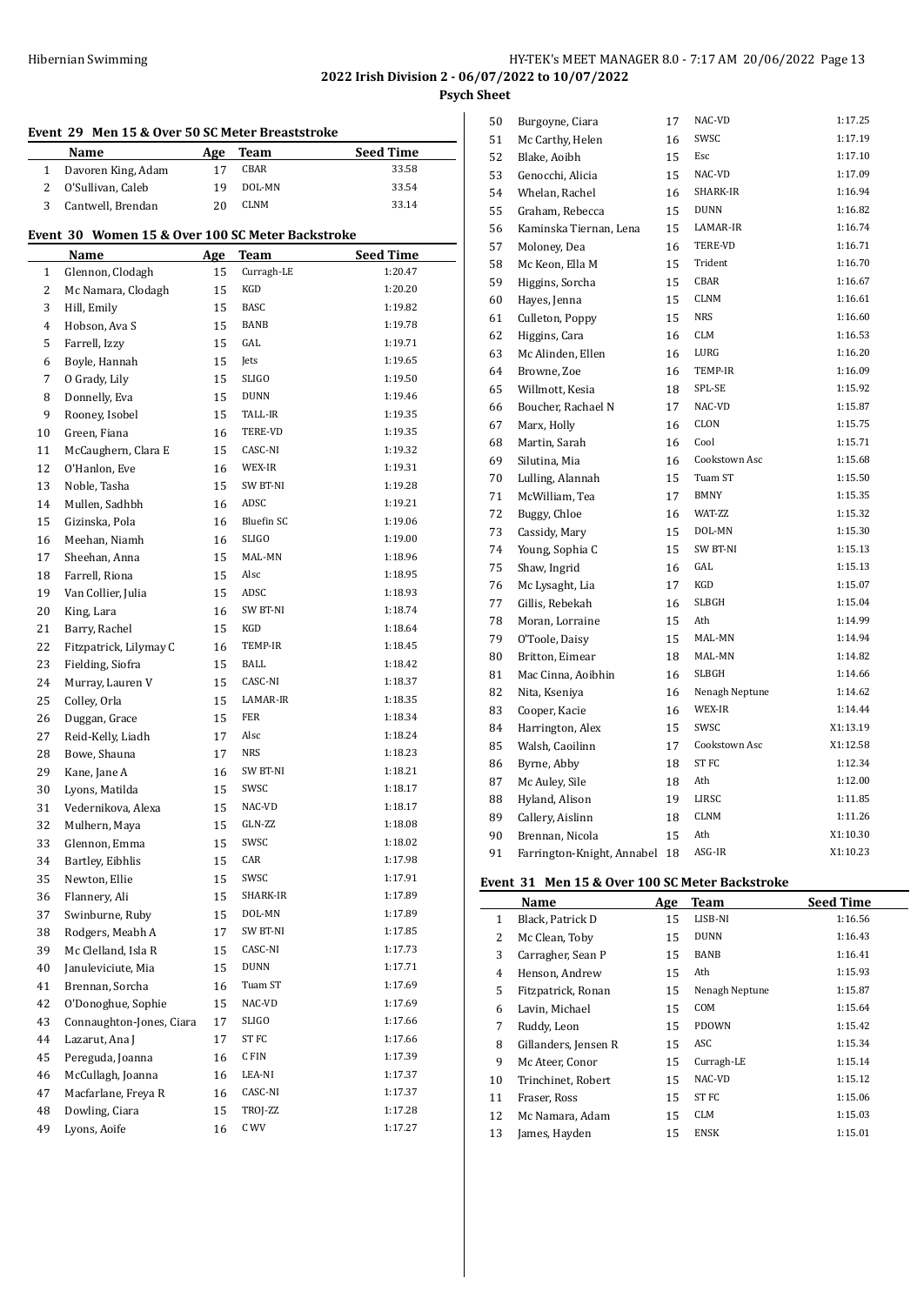# HY-TEK's MEET MANAGER 8.0 - 7:17 AM 20/06/2022 Page 13

**2022 Irish Division 2 - 06/07/2022 to 10/07/2022 Psych Sheet**

|                | Event 29 Men 15 & Over 50 SC Meter Breaststroke  |            |                   |                  |
|----------------|--------------------------------------------------|------------|-------------------|------------------|
|                | Name                                             | <b>Age</b> | <b>Team</b>       | <b>Seed Time</b> |
| $\mathbf{1}$   | Davoren King, Adam                               | 17         | CBAR              | 33.58            |
| $\overline{2}$ | O'Sullivan, Caleb                                | 19         | DOL-MN            | 33.54            |
| 3              | Cantwell, Brendan                                | 20         | CLNM              | 33.14            |
|                | Event 30 Women 15 & Over 100 SC Meter Backstroke |            |                   |                  |
|                | Name                                             | Age        | Team              | <b>Seed Time</b> |
| $\mathbf{1}$   | Glennon, Clodagh                                 | 15         | Curragh-LE        | 1:20.47          |
| 2              | Mc Namara, Clodagh                               | 15         | KGD               | 1:20.20          |
| 3              | Hill, Emily                                      | 15         | <b>BASC</b>       | 1:19.82          |
| 4              | Hobson, Ava S                                    | 15         | <b>BANB</b>       | 1:19.78          |
| 5              | Farrell, Izzy                                    | 15         | GAL               | 1:19.71          |
| 6              | Boyle, Hannah                                    | 15         | Jets              | 1:19.65          |
| 7              | O Grady, Lily                                    | 15         | SLIGO             | 1:19.50          |
| 8              | Donnelly, Eva                                    | 15         | <b>DUNN</b>       | 1:19.46          |
| 9              | Rooney, Isobel                                   | 15         | TALL-IR           | 1:19.35          |
| 10             | Green, Fiana                                     | 16         | TERE-VD           | 1:19.35          |
| 11             | McCaughern, Clara E                              | 15         | CASC-NI           | 1:19.32          |
| 12             | O'Hanlon, Eve                                    | 16         | WEX-IR            | 1:19.31          |
| 13             | Noble, Tasha                                     | 15         | SW BT-NI          | 1:19.28          |
| 14             | Mullen, Sadhbh                                   | 16         | ADSC              | 1:19.21          |
| 15             | Gizinska, Pola                                   | 16         | <b>Bluefin SC</b> | 1:19.06          |
| 16             | Meehan, Niamh                                    | 16         | <b>SLIGO</b>      | 1:19.00          |
| 17             | Sheehan, Anna                                    | 15         | MAL-MN            | 1:18.96          |
| 18             | Farrell, Riona                                   | 15         | Alsc              | 1:18.95          |
| 19             | Van Collier, Julia                               | 15         | ADSC              | 1:18.93          |
| 20             | King, Lara                                       | 16         | SW BT-NI          | 1:18.74          |
| 21             | Barry, Rachel                                    | 15         | KGD               | 1:18.64          |
| 22             | Fitzpatrick, Lilymay C                           | 16         | TEMP-IR           | 1:18.45          |
| 23             | Fielding, Siofra                                 | 15         | BALL              | 1:18.42          |
| 24             | Murray, Lauren V                                 | 15         | CASC-NI           | 1:18.37          |
| 25             | Colley, Orla                                     | 15         | LAMAR-IR          | 1:18.35          |
|                | Duggan, Grace                                    | 15         | FER               | 1:18.34          |
| 26             |                                                  |            | Alsc              | 1:18.24          |
| 27<br>28       | Reid-Kelly, Liadh                                | 17<br>17   | <b>NRS</b>        | 1:18.23          |
|                | Bowe, Shauna                                     |            | SW BT-NI          | 1:18.21          |
| 29             | Kane, Jane A<br>Lyons, Matilda                   | 16         | SWSC              | 1:18.17          |
| 30             |                                                  | 15         | NAC-VD            |                  |
| 31             | Vedernikova, Alexa                               | 15         | GLN-ZZ            | 1:18.17          |
| 32             | Mulhern, Maya                                    | 15         | SWSC              | 1:18.08          |
| 33             | Glennon, Emma                                    | 15         | CAR               | 1:18.02          |
| 34             | Bartley, Eibhlis                                 | 15         |                   | 1:17.98          |
| 35             | Newton, Ellie                                    | 15         | SWSC              | 1:17.91          |
| 36             | Flannery, Ali                                    | 15         | SHARK-IR          | 1:17.89          |
| 37             | Swinburne, Ruby                                  | 15         | DOL-MN            | 1:17.89          |
| 38             | Rodgers, Meabh A                                 | 17         | SW BT-NI          | 1:17.85          |
| 39             | Mc Clelland, Isla R                              | 15         | CASC-NI           | 1:17.73          |
| 40             | Januleviciute, Mia                               | 15         | DUNN              | 1:17.71          |
| 41             | Brennan, Sorcha                                  | 16         | Tuam ST           | 1:17.69          |
| 42             | O'Donoghue, Sophie                               | 15         | NAC-VD            | 1:17.69          |
| 43             | Connaughton-Jones, Ciara                         | 17         | SLIGO             | 1:17.66          |
| 44             | Lazarut, Ana J                                   | 17         | ST FC             | 1:17.66          |
| 45             | Pereguda, Joanna                                 | 16         | C FIN             | 1:17.39          |
| 46             | McCullagh, Joanna                                | 16         | LEA-NI            | 1:17.37          |
| 47             | Macfarlane, Freya R                              | 16         | CASC-NI           | 1:17.37          |
| 48             | Dowling, Ciara                                   | 15         | TROJ-ZZ           | 1:17.28          |
| 49             | Lyons, Aoife                                     | 16         | C WV              | 1:17.27          |
|                |                                                  |            |                   |                  |

| 50 | Burgoyne, Ciara            | 17 | NAC-VD         | 1:17.25  |
|----|----------------------------|----|----------------|----------|
| 51 | Mc Carthy, Helen           | 16 | SWSC           | 1:17.19  |
| 52 | Blake, Aoibh               | 15 | Esc            | 1:17.10  |
| 53 | Genocchi, Alicia           | 15 | NAC-VD         | 1:17.09  |
| 54 | Whelan, Rachel             | 16 | SHARK-IR       | 1:16.94  |
| 55 | Graham, Rebecca            | 15 | <b>DUNN</b>    | 1:16.82  |
| 56 | Kaminska Tiernan, Lena     | 15 | LAMAR-IR       | 1:16.74  |
| 57 | Moloney, Dea               | 16 | TERE-VD        | 1:16.71  |
| 58 | Mc Keon, Ella M            | 15 | Trident        | 1:16.70  |
| 59 | Higgins, Sorcha            | 15 | CBAR           | 1:16.67  |
| 60 | Hayes, Jenna               | 15 | <b>CLNM</b>    | 1:16.61  |
| 61 | Culleton, Poppy            | 15 | <b>NRS</b>     | 1:16.60  |
| 62 | Higgins, Cara              | 16 | <b>CLM</b>     | 1:16.53  |
| 63 | Mc Alinden, Ellen          | 16 | LURG           | 1:16.20  |
| 64 | Browne, Zoe                | 16 | TEMP-IR        | 1:16.09  |
| 65 | Willmott, Kesia            | 18 | SPL-SE         | 1:15.92  |
| 66 | Boucher, Rachael N         | 17 | NAC-VD         | 1:15.87  |
| 67 | Marx, Holly                | 16 | CLON           | 1:15.75  |
| 68 | Martin, Sarah              | 16 | Cool           | 1:15.71  |
| 69 | Silutina, Mia              | 16 | Cookstown Asc  | 1:15.68  |
| 70 | Lulling, Alannah           | 15 | Tuam ST        | 1:15.50  |
| 71 | McWilliam, Tea             | 17 | <b>BMNY</b>    | 1:15.35  |
| 72 | Buggy, Chloe               | 16 | WAT-ZZ         | 1:15.32  |
| 73 | Cassidy, Mary              | 15 | DOL-MN         | 1:15.30  |
| 74 | Young, Sophia C            | 15 | SW BT-NI       | 1:15.13  |
| 75 | Shaw, Ingrid               | 16 | GAL            | 1:15.13  |
| 76 | Mc Lysaght, Lia            | 17 | KGD            | 1:15.07  |
| 77 | Gillis, Rebekah            | 16 | <b>SLBGH</b>   | 1:15.04  |
| 78 | Moran, Lorraine            | 15 | Ath            | 1:14.99  |
| 79 | O'Toole, Daisy             | 15 | MAL-MN         | 1:14.94  |
| 80 | Britton, Eimear            | 18 | MAL-MN         | 1:14.82  |
| 81 | Mac Cinna, Aoibhin         | 16 | <b>SLBGH</b>   | 1:14.66  |
| 82 | Nita, Kseniya              | 16 | Nenagh Neptune | 1:14.62  |
| 83 | Cooper, Kacie              | 16 | WEX-IR         | 1:14.44  |
| 84 | Harrington, Alex           | 15 | SWSC           | X1:13.19 |
| 85 | Walsh, Caoilinn            | 17 | Cookstown Asc  | X1:12.58 |
| 86 | Byrne, Abby                | 18 | <b>STFC</b>    | 1:12.34  |
| 87 | Mc Auley, Sile             | 18 | Ath            | 1:12.00  |
| 88 | Hyland, Alison             | 19 | LIRSC          | 1:11.85  |
| 89 | Callery, Aislinn           | 18 | <b>CLNM</b>    | 1:11.26  |
| 90 | Brennan, Nicola            | 15 | Ath            | X1:10.30 |
| 91 | Farrington-Knight, Annabel | 18 | ASG-IR         | X1:10.23 |

# **Event 31 Men 15 & Over 100 SC Meter Backstroke**

| LVCIIC JI - MCH 19 & OVCI-100 JG MCCI DACISLIONC |     |                |                  |  |
|--------------------------------------------------|-----|----------------|------------------|--|
| Name                                             | Age | <b>Team</b>    | <b>Seed Time</b> |  |
| Black, Patrick D                                 | 15  | LISB-NI        | 1:16.56          |  |
| Mc Clean, Toby                                   | 15  | <b>DUNN</b>    | 1:16.43          |  |
| Carragher, Sean P                                | 15  | <b>BANB</b>    | 1:16.41          |  |
| Henson, Andrew                                   | 15  | Ath            | 1:15.93          |  |
| Fitzpatrick, Ronan                               | 15  | Nenagh Neptune | 1:15.87          |  |
| Lavin, Michael                                   | 15  | COM            | 1:15.64          |  |
| Ruddy, Leon                                      | 15  | <b>PDOWN</b>   | 1:15.42          |  |
| Gillanders, Jensen R                             | 15  | ASC            | 1:15.34          |  |
| Mc Ateer, Conor                                  | 15  | Curragh-LE     | 1:15.14          |  |
| Trinchinet, Robert                               | 15  | NAC-VD         | 1:15.12          |  |
| Fraser, Ross                                     | 15  | ST FC          | 1:15.06          |  |
| Mc Namara, Adam                                  | 15  | CLM            | 1:15.03          |  |
| James, Hayden                                    | 15  | <b>ENSK</b>    | 1:15.01          |  |
|                                                  |     |                |                  |  |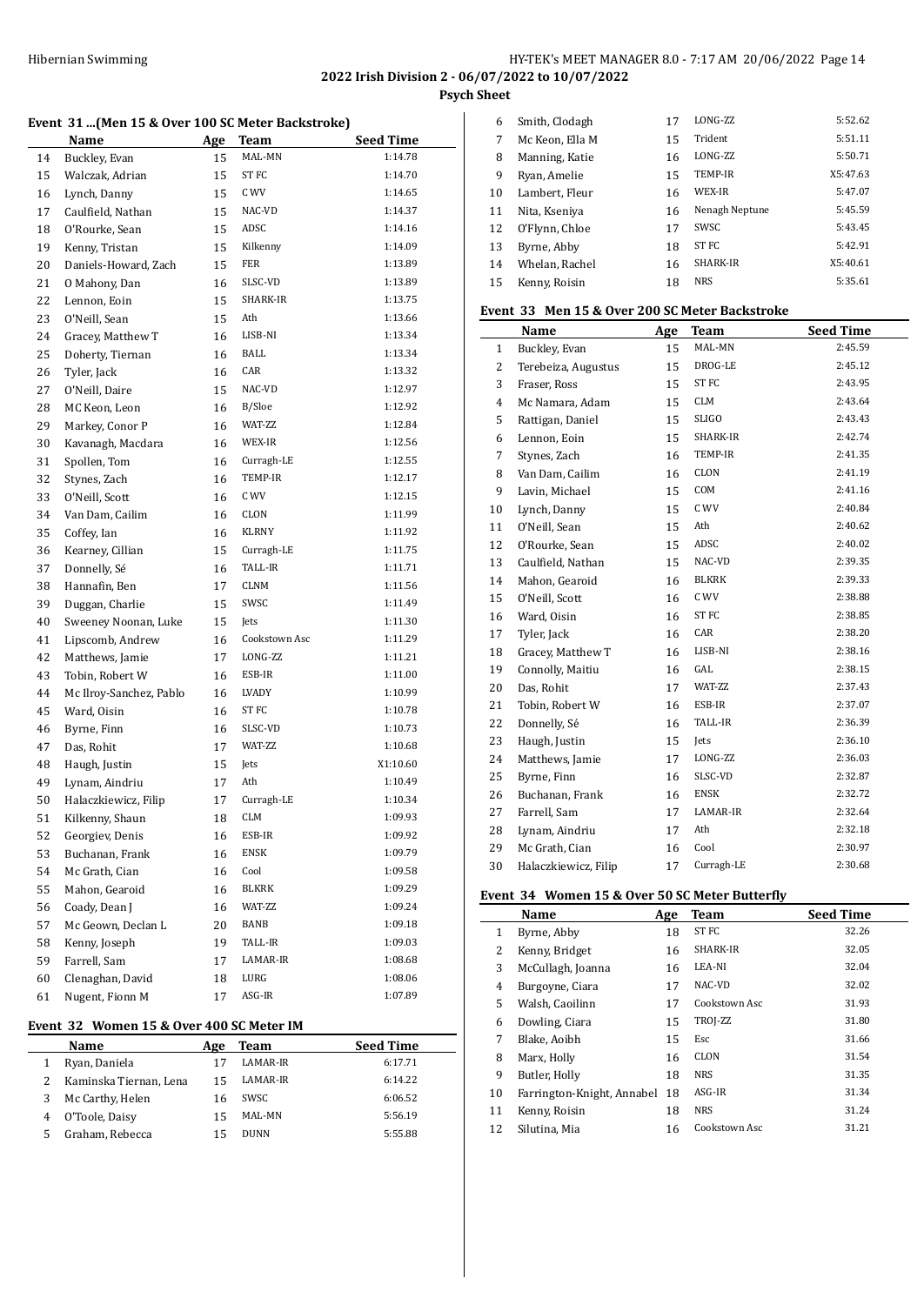**2022 Irish Division 2 - 06/07/2022 to 10/07/2022**

**Psych Sheet**

#### **Event 31 ...(Men 15 & Over 100 SC Meter Backstroke)**

|    | Name                    | <u>Age</u> | Team             | <b>Seed Time</b> |
|----|-------------------------|------------|------------------|------------------|
| 14 | Buckley, Evan           | 15         | MAL-MN           | 1:14.78          |
| 15 | Walczak, Adrian         | 15         | ST <sub>FC</sub> | 1:14.70          |
| 16 | Lynch, Danny            | 15         | C WV             | 1:14.65          |
| 17 | Caulfield, Nathan       | 15         | NAC-VD           | 1:14.37          |
| 18 | O'Rourke, Sean          | 15         | ADSC             | 1:14.16          |
| 19 | Kenny, Tristan          | 15         | Kilkenny         | 1:14.09          |
| 20 | Daniels-Howard, Zach    | 15         | <b>FER</b>       | 1:13.89          |
| 21 | O Mahony, Dan           | 16         | SLSC-VD          | 1:13.89          |
| 22 | Lennon, Eoin            | 15         | SHARK-IR         | 1:13.75          |
| 23 | O'Neill, Sean           | 15         | Ath              | 1:13.66          |
| 24 | Gracey, Matthew T       | 16         | LISB-NI          | 1:13.34          |
| 25 | Doherty, Tiernan        | 16         | BALL             | 1:13.34          |
| 26 | Tyler, Jack             | 16         | CAR              | 1:13.32          |
| 27 | O'Neill, Daire          | 15         | NAC-VD           | 1:12.97          |
| 28 | MC Keon, Leon           | 16         | B/Sloe           | 1:12.92          |
| 29 | Markey, Conor P         | 16         | WAT-ZZ           | 1:12.84          |
| 30 | Kavanagh, Macdara       | 16         | WEX-IR           | 1:12.56          |
| 31 | Spollen, Tom            | 16         | Curragh-LE       | 1:12.55          |
| 32 | Stynes, Zach            | 16         | TEMP-IR          | 1:12.17          |
| 33 | O'Neill, Scott          | 16         | C WV             | 1:12.15          |
| 34 | Van Dam, Cailim         | 16         | CLON             | 1:11.99          |
| 35 | Coffey, Ian             | 16         | KLRNY            | 1:11.92          |
| 36 | Kearney, Cillian        | 15         | Curragh-LE       | 1:11.75          |
| 37 | Donnelly, Sé            | 16         | TALL-IR          | 1:11.71          |
| 38 | Hannafin, Ben           | 17         | <b>CLNM</b>      | 1:11.56          |
| 39 | Duggan, Charlie         | 15         | SWSC             | 1:11.49          |
| 40 | Sweeney Noonan, Luke    | 15         | Jets             | 1:11.30          |
| 41 | Lipscomb, Andrew        | 16         | Cookstown Asc    | 1:11.29          |
| 42 | Matthews, Jamie         | 17         | LONG-ZZ          | 1:11.21          |
| 43 | Tobin, Robert W         | 16         | ESB-IR           | 1:11.00          |
| 44 | Mc Ilroy-Sanchez, Pablo | 16         | LVADY            | 1:10.99          |
| 45 | Ward, Oisin             | 16         | ST <sub>FC</sub> | 1:10.78          |
| 46 | Byrne, Finn             | 16         | SLSC-VD          | 1:10.73          |
| 47 | Das, Rohit              | 17         | WAT-ZZ           | 1:10.68          |
| 48 | Haugh, Justin           | 15         | Jets             | X1:10.60         |
| 49 | Lynam, Aindriu          | 17         | Ath              | 1:10.49          |
| 50 | Halaczkiewicz, Filip    | 17         | Curragh-LE       | 1:10.34          |
| 51 | Kilkenny, Shaun         | 18         | <b>CLM</b>       | 1:09.93          |
| 52 | Georgiev, Denis         | 16         | ESB-IR           | 1:09.92          |
| 53 | Buchanan, Frank         | 16         | ENSK             | 1:09.79          |
| 54 | Mc Grath, Cian          | 16         | Cool             | 1:09.58          |
| 55 | Mahon, Gearoid          | 16         | BLKRK            | 1:09.29          |
| 56 | Coady, Dean J           | 16         | WAT-ZZ           | 1:09.24          |
| 57 | Mc Geown, Declan L      | 20         | BANB             | 1:09.18          |
| 58 | Kenny, Joseph           | 19         | TALL-IR          | 1:09.03          |
| 59 | Farrell, Sam            | 17         | LAMAR-IR         | 1:08.68          |
| 60 | Clenaghan, David        | 18         | LURG             | 1:08.06          |
| 61 | Nugent, Fionn M         | 17         | ASG-IR           | 1:07.89          |

#### **Event 32 Women 15 & Over 400 SC Meter IM**

|   | Name                   | Age | Team            | <b>Seed Time</b> |
|---|------------------------|-----|-----------------|------------------|
|   | Ryan, Daniela          |     | <b>LAMAR-IR</b> | 6:17.71          |
|   | Kaminska Tiernan, Lena | 15  | LAMAR-IR        | 6:14.22          |
| 3 | Mc Carthy, Helen       | 16  | SWSC            | 6:06.52          |
|   | O'Toole, Daisy         | 15  | MAL-MN          | 5:56.19          |
|   | Graham, Rebecca        |     | <b>DUNN</b>     | 5:55.88          |

| 6  | Smith, Clodagh  | 17 | LONG-ZZ        | 5:52.62  |
|----|-----------------|----|----------------|----------|
| 7  | Mc Keon, Ella M | 15 | Trident        | 5:51.11  |
| 8  | Manning, Katie  | 16 | <b>LONG-ZZ</b> | 5:50.71  |
| 9  | Ryan, Amelie    | 15 | TEMP-IR        | X5:47.63 |
| 10 | Lambert, Fleur  | 16 | WEX-IR         | 5:47.07  |
| 11 | Nita, Kseniya   | 16 | Nenagh Neptune | 5:45.59  |
| 12 | O'Flynn, Chloe  | 17 | SWSC           | 5:43.45  |
| 13 | Byrne, Abby     | 18 | <b>STFC</b>    | 5:42.91  |
| 14 | Whelan, Rachel  | 16 | SHARK-IR       | X5:40.61 |
| 15 | Kenny, Roisin   | 18 | <b>NRS</b>     | 5:35.61  |
|    |                 |    |                |          |

# **Event 33 Men 15 & Over 200 SC Meter Backstroke**

|                | Name                 | Age | <b>Team</b>      | <b>Seed Time</b> |
|----------------|----------------------|-----|------------------|------------------|
| $\mathbf{1}$   | Buckley, Evan        | 15  | MAL-MN           | 2:45.59          |
| 2              | Terebeiza, Augustus  | 15  | DROG-LE          | 2:45.12          |
| 3              | Fraser, Ross         | 15  | ST FC            | 2:43.95          |
| $\overline{4}$ | Mc Namara, Adam      | 15  | <b>CLM</b>       | 2:43.64          |
| 5              | Rattigan, Daniel     | 15  | <b>SLIGO</b>     | 2:43.43          |
| 6              | Lennon, Eoin         | 15  | SHARK-IR         | 2:42.74          |
| 7              | Stynes, Zach         | 16  | TEMP-IR          | 2:41.35          |
| 8              | Van Dam, Cailim      | 16  | CLON             | 2:41.19          |
| 9              | Lavin, Michael       | 15  | COM              | 2:41.16          |
| 10             | Lynch, Danny         | 15  | C WV             | 2:40.84          |
| 11             | O'Neill, Sean        | 15  | Ath              | 2:40.62          |
| 12             | O'Rourke, Sean       | 15  | ADSC             | 2:40.02          |
| 13             | Caulfield, Nathan    | 15  | NAC-VD           | 2:39.35          |
| 14             | Mahon, Gearoid       | 16  | <b>BLKRK</b>     | 2:39.33          |
| 15             | O'Neill, Scott       | 16  | C WV             | 2:38.88          |
| 16             | Ward, Oisin          | 16  | ST <sub>FC</sub> | 2:38.85          |
| 17             | Tyler, Jack          | 16  | CAR              | 2:38.20          |
| 18             | Gracey, Matthew T    | 16  | LISB-NI          | 2:38.16          |
| 19             | Connolly, Maitiu     | 16  | GAL              | 2:38.15          |
| 20             | Das, Rohit           | 17  | WAT-ZZ           | 2:37.43          |
| 21             | Tobin, Robert W      | 16  | ESB-IR           | 2:37.07          |
| 22             | Donnelly, Sé         | 16  | <b>TALL-IR</b>   | 2:36.39          |
| 23             | Haugh, Justin        | 15  | Jets             | 2:36.10          |
| 24             | Matthews, Jamie      | 17  | LONG-ZZ          | 2:36.03          |
| 25             | Byrne, Finn          | 16  | SLSC-VD          | 2:32.87          |
| 26             | Buchanan, Frank      | 16  | <b>ENSK</b>      | 2:32.72          |
| 27             | Farrell, Sam         | 17  | LAMAR-IR         | 2:32.64          |
| 28             | Lynam, Aindriu       | 17  | Ath              | 2:32.18          |
| 29             | Mc Grath, Cian       | 16  | Cool             | 2:30.97          |
| 30             | Halaczkiewicz, Filip | 17  | Curragh-LE       | 2:30.68          |

# **Event 34 Women 15 & Over 50 SC Meter Butterfly**

|    | Name                       | Age | <b>Team</b>      | <b>Seed Time</b> |
|----|----------------------------|-----|------------------|------------------|
| 1  | Byrne, Abby                | 18  | ST <sub>FC</sub> | 32.26            |
| 2  | Kenny, Bridget             | 16  | SHARK-IR         | 32.05            |
| 3  | McCullagh, Joanna          | 16  | LEA-NI           | 32.04            |
| 4  | Burgoyne, Ciara            | 17  | NAC-VD           | 32.02            |
| 5  | Walsh, Caoilinn            | 17  | Cookstown Asc    | 31.93            |
| 6  | Dowling, Ciara             | 15  | TROJ-ZZ          | 31.80            |
| 7  | Blake, Aoibh               | 15  | Esc              | 31.66            |
| 8  | Marx, Holly                | 16  | <b>CLON</b>      | 31.54            |
| 9  | Butler, Holly              | 18  | <b>NRS</b>       | 31.35            |
| 10 | Farrington-Knight, Annabel | 18  | ASG-IR           | 31.34            |
| 11 | Kenny, Roisin              | 18  | <b>NRS</b>       | 31.24            |
| 12 | Silutina, Mia              | 16  | Cookstown Asc    | 31.21            |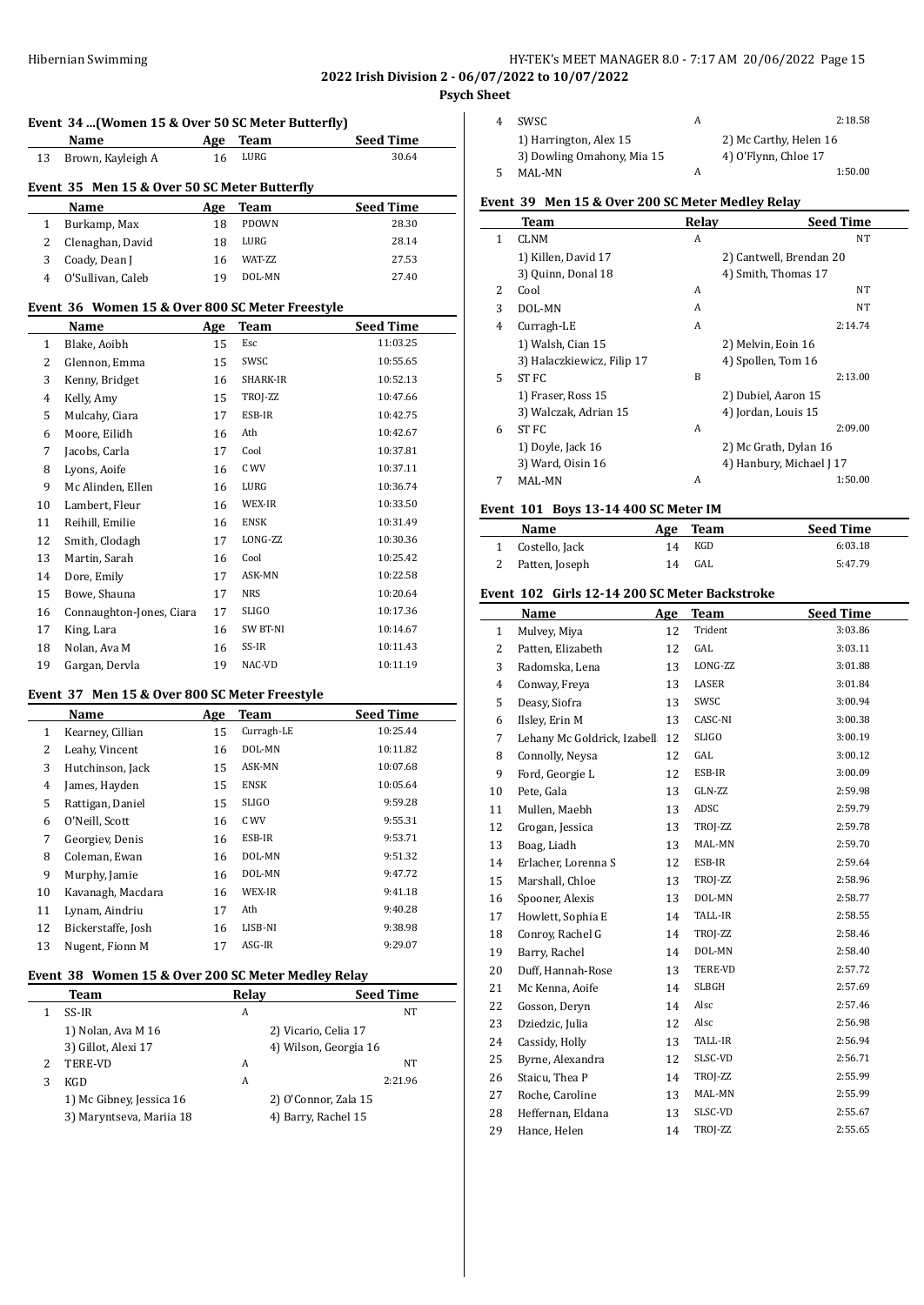# Hibernian Swimming HY-TEK's MEET MANAGER 8.0 - 7:17 AM 20/06/2022 Page 15

**2022 Irish Division 2 - 06/07/2022 to 10/07/2022**

**Psych Sheet**

|             | Event 34  (Women 15 & Over 50 SC Meter Butterfly) |                  |
|-------------|---------------------------------------------------|------------------|
| <b>Name</b> | Age Team                                          | <b>Seed Time</b> |

| 13 | Brown, Kayleigh A                            | 16  | LURG            | 30.64            |
|----|----------------------------------------------|-----|-----------------|------------------|
|    | Event 35 Men 15 & Over 50 SC Meter Butterfly |     |                 |                  |
|    | Name                                         | Age | Team            | <b>Seed Time</b> |
|    | Burkamp, Max                                 | 18  | <b>PDOWN</b>    | 28.30            |
|    | Clenaghan, David                             | 18  | LURG            | 28.14            |
| 3  | Coady, Dean J                                | 16  | <b>WAT-7.7.</b> | 27.53            |

O'Sullivan, Caleb 19 DOL-MN 27.40

### **Event 36 Women 15 & Over 800 SC Meter Freestyle**

|                | Name                     | Age | <b>Team</b> | <b>Seed Time</b> |
|----------------|--------------------------|-----|-------------|------------------|
| 1              | Blake, Aoibh             | 15  | Esc         | 11:03.25         |
| 2              | Glennon, Emma            | 15  | SWSC        | 10:55.65         |
| 3              | Kenny, Bridget           | 16  | SHARK-IR    | 10:52.13         |
| $\overline{4}$ | Kelly, Amy               | 15  | TROJ-ZZ     | 10:47.66         |
| 5              | Mulcahy, Ciara           | 17  | ESB-IR      | 10:42.75         |
| 6              | Moore, Eilidh            | 16  | Ath         | 10:42.67         |
| 7              | Jacobs, Carla            | 17  | Cool        | 10:37.81         |
| 8              | Lyons, Aoife             | 16  | C WV        | 10:37.11         |
| 9              | Mc Alinden, Ellen        | 16  | LURG        | 10:36.74         |
| 10             | Lambert, Fleur           | 16  | WEX-IR      | 10:33.50         |
| 11             | Reihill, Emilie          | 16  | <b>ENSK</b> | 10:31.49         |
| 12             | Smith, Clodagh           | 17  | LONG-ZZ     | 10:30.36         |
| 13             | Martin, Sarah            | 16  | Cool        | 10:25.42         |
| 14             | Dore, Emily              | 17  | ASK-MN      | 10:22.58         |
| 15             | Bowe, Shauna             | 17  | <b>NRS</b>  | 10:20.64         |
| 16             | Connaughton-Jones, Ciara | 17  | SLIGO       | 10:17.36         |
| 17             | King, Lara               | 16  | SW BT-NI    | 10:14.67         |
| 18             | Nolan, Ava M             | 16  | SS-IR       | 10:11.43         |
| 19             | Gargan, Dervla           | 19  | NAC-VD      | 10:11.19         |

#### **Event 37 Men 15 & Over 800 SC Meter Freestyle**

|                | Name               | Age | Team         | <b>Seed Time</b> |
|----------------|--------------------|-----|--------------|------------------|
| $\mathbf{1}$   | Kearney, Cillian   | 15  | Curragh-LE   | 10:25.44         |
| 2              | Leahy, Vincent     | 16  | DOL-MN       | 10:11.82         |
| 3              | Hutchinson, Jack   | 15  | ASK-MN       | 10:07.68         |
| $\overline{4}$ | James, Hayden      | 15  | <b>ENSK</b>  | 10:05.64         |
| 5              | Rattigan, Daniel   | 15  | <b>SLIGO</b> | 9:59.28          |
| 6              | O'Neill, Scott     | 16  | C WV         | 9:55.31          |
| 7              | Georgiev, Denis    | 16  | ESB-IR       | 9:53.71          |
| 8              | Coleman, Ewan      | 16  | DOL-MN       | 9:51.32          |
| 9              | Murphy, Jamie      | 16  | DOL-MN       | 9:47.72          |
| 10             | Kavanagh, Macdara  | 16  | WEX-IR       | 9:41.18          |
| 11             | Lynam, Aindriu     | 17  | Ath          | 9:40.28          |
| 12             | Bickerstaffe, Josh | 16  | LISB-NI      | 9:38.98          |
| 13             | Nugent, Fionn M    | 17  | ASG-IR       | 9:29.07          |

#### **Event 38 Women 15 & Over 200 SC Meter Medley Relay**

|   | Team                     | Relav |                       | <b>Seed Time</b> |
|---|--------------------------|-------|-----------------------|------------------|
|   | SS-IR                    | А     |                       | NT               |
|   | 1) Nolan, Ava M 16       |       | 2) Vicario, Celia 17  |                  |
|   | 3) Gillot, Alexi 17      |       | 4) Wilson, Georgia 16 |                  |
|   | <b>TERE-VD</b>           | А     |                       | NT               |
| 3 | KGD                      | A     |                       | 2:21.96          |
|   | 1) Mc Gibney, Jessica 16 |       | 2) O'Connor, Zala 15  |                  |
|   | 3) Maryntseva, Mariia 18 |       | 4) Barry, Rachel 15   |                  |

| 4 | SWSC                       |                        | 2:18.58 |
|---|----------------------------|------------------------|---------|
|   | 1) Harrington, Alex 15     | 2) Mc Carthy, Helen 16 |         |
|   | 3) Dowling Omahony, Mia 15 | 4) O'Flynn, Chloe 17   |         |
| 5 | MAL-MN                     |                        | 1:50.00 |

## **Event 39 Men 15 & Over 200 SC Meter Medley Relay**

|   | Team                       | Relay          | <b>Seed Time</b>         |
|---|----------------------------|----------------|--------------------------|
| 1 | CLNM                       | A              | NT                       |
|   | 1) Killen, David 17        |                | 2) Cantwell, Brendan 20  |
|   | 3) Quinn, Donal 18         |                | 4) Smith, Thomas 17      |
| 2 | Cool                       | A              | NT                       |
| 3 | DOL-MN                     | A              | NT                       |
| 4 | Curragh-LE                 | $\overline{A}$ | 2:14.74                  |
|   | 1) Walsh, Cian 15          |                | 2) Melvin, Eoin 16       |
|   | 3) Halaczkiewicz, Filip 17 |                | 4) Spollen, Tom 16       |
| 5 | ST FC                      | <sub>B</sub>   | 2:13.00                  |
|   | 1) Fraser, Ross 15         |                | 2) Dubiel, Aaron 15      |
|   | 3) Walczak, Adrian 15      |                | 4) Jordan, Louis 15      |
| 6 | ST FC                      | A              | 2:09.00                  |
|   | 1) Doyle, Jack 16          |                | 2) Mc Grath, Dylan 16    |
|   | 3) Ward, Oisin 16          |                | 4) Hanbury, Michael J 17 |
| 7 | MAL-MN                     | A              | 1:50.00                  |

#### **Event 101 Boys 13-14 400 SC Meter IM**

| <b>Name</b>      |    | Age Team | <b>Seed Time</b> |
|------------------|----|----------|------------------|
| 1 Costello, Jack | 14 | KGD      | 6:03.18          |
| 2 Patten, Joseph | 14 | GAL      | 5:47.79          |

#### **Event 102 Girls 12-14 200 SC Meter Backstroke**

|              | Name                        | Age | Team         | <b>Seed Time</b> |
|--------------|-----------------------------|-----|--------------|------------------|
| $\mathbf{1}$ | Mulvey, Miya                | 12  | Trident      | 3:03.86          |
| 2            | Patten, Elizabeth           | 12  | GAL          | 3:03.11          |
| 3            | Radomska, Lena              | 13  | LONG-ZZ      | 3:01.88          |
| 4            | Conway, Freya               | 13  | LASER        | 3:01.84          |
| 5            | Deasy, Siofra               | 13  | SWSC         | 3:00.94          |
| 6            | Ilsley, Erin M              | 13  | CASC-NI      | 3:00.38          |
| 7            | Lehany Mc Goldrick, Izabell | 12  | <b>SLIGO</b> | 3:00.19          |
| 8            | Connolly, Neysa             | 12  | GAL          | 3:00.12          |
| 9            | Ford, Georgie L             | 12  | ESB-IR       | 3:00.09          |
| 10           | Pete, Gala                  | 13  | GLN-ZZ       | 2:59.98          |
| 11           | Mullen, Maebh               | 13  | ADSC         | 2:59.79          |
| 12           | Grogan, Jessica             | 13  | TROJ-ZZ      | 2:59.78          |
| 13           | Boag, Liadh                 | 13  | MAL-MN       | 2:59.70          |
| 14           | Erlacher, Lorenna S         | 12  | ESB-IR       | 2:59.64          |
| 15           | Marshall, Chloe             | 13  | TROJ-ZZ      | 2:58.96          |
| 16           | Spooner, Alexis             | 13  | DOL-MN       | 2:58.77          |
| 17           | Howlett, Sophia E           | 14  | TALL-IR      | 2:58.55          |
| 18           | Conroy, Rachel G            | 14  | TROJ-ZZ      | 2:58.46          |
| 19           | Barry, Rachel               | 14  | DOL-MN       | 2:58.40          |
| 20           | Duff, Hannah-Rose           | 13  | TERE-VD      | 2:57.72          |
| 21           | Mc Kenna, Aoife             | 14  | <b>SLBGH</b> | 2:57.69          |
| 22           | Gosson, Deryn               | 14  | Alsc         | 2:57.46          |
| 23           | Dziedzic, Julia             | 12  | Alsc         | 2:56.98          |
| 24           | Cassidy, Holly              | 13  | TALL-IR      | 2:56.94          |
| 25           | Byrne, Alexandra            | 12  | SLSC-VD      | 2:56.71          |
| 26           | Staicu, Thea P              | 14  | TROJ-ZZ      | 2:55.99          |
| 27           | Roche, Caroline             | 13  | MAL-MN       | 2:55.99          |
| 28           | Heffernan, Eldana           | 13  | SLSC-VD      | 2:55.67          |
| 29           | Hance, Helen                | 14  | TROJ-ZZ      | 2:55.65          |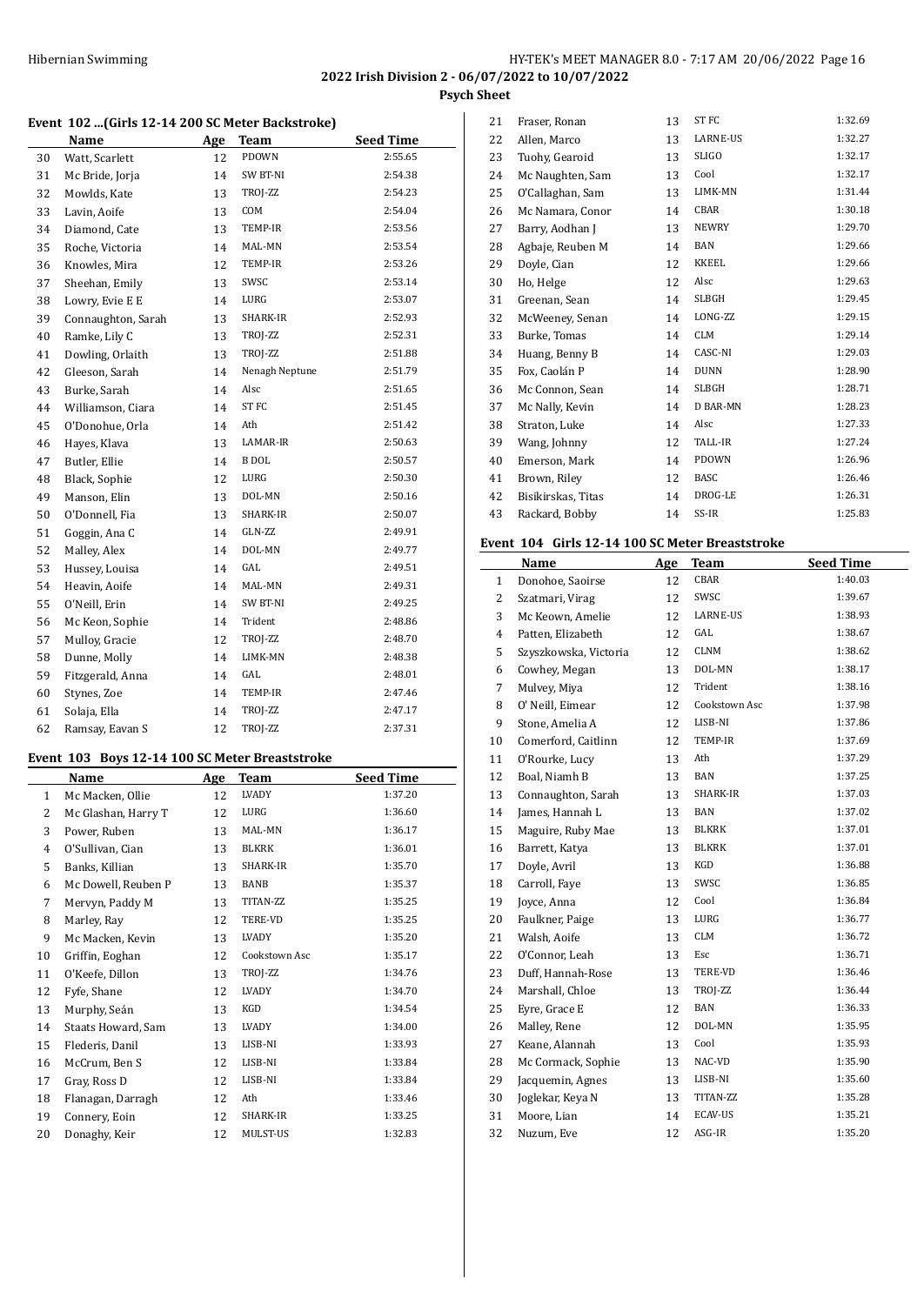# HY-TEK's MEET MANAGER 8.0 - 7:17 AM 20/06/2022 Page 16 **2022 Irish Division 2 - 06/07/2022 to 10/07/2022**

**Psych Sheet**

# **Event 102 ...(Girls 12-14 200 SC Meter Backstroke)**

|    | Name               | Age | <b>Team</b>    | <b>Seed Time</b> |
|----|--------------------|-----|----------------|------------------|
| 30 | Watt, Scarlett     | 12  | PDOWN          | 2:55.65          |
| 31 | Mc Bride, Jorja    | 14  | SW BT-NI       | 2:54.38          |
| 32 | Mowlds, Kate       | 13  | TROJ-ZZ        | 2:54.23          |
| 33 | Lavin, Aoife       | 13  | COM            | 2:54.04          |
| 34 | Diamond, Cate      | 13  | TEMP-IR        | 2:53.56          |
| 35 | Roche, Victoria    | 14  | MAL-MN         | 2:53.54          |
| 36 | Knowles, Mira      | 12  | TEMP-IR        | 2:53.26          |
| 37 | Sheehan, Emily     | 13  | SWSC           | 2:53.14          |
| 38 | Lowry, Evie E E    | 14  | LURG           | 2:53.07          |
| 39 | Connaughton, Sarah | 13  | SHARK-IR       | 2:52.93          |
| 40 | Ramke, Lily C      | 13  | TROJ-ZZ        | 2:52.31          |
| 41 | Dowling, Orlaith   | 13  | TROJ-ZZ        | 2:51.88          |
| 42 | Gleeson, Sarah     | 14  | Nenagh Neptune | 2:51.79          |
| 43 | Burke, Sarah       | 14  | Alsc           | 2:51.65          |
| 44 | Williamson, Ciara  | 14  | <b>ST FC</b>   | 2:51.45          |
| 45 | O'Donohue, Orla    | 14  | Ath            | 2:51.42          |
| 46 | Hayes, Klava       | 13  | LAMAR-IR       | 2:50.63          |
| 47 | Butler, Ellie      | 14  | <b>B</b> DOL   | 2:50.57          |
| 48 | Black, Sophie      | 12  | LURG           | 2:50.30          |
| 49 | Manson, Elin       | 13  | DOL-MN         | 2:50.16          |
| 50 | O'Donnell, Fia     | 13  | SHARK-IR       | 2:50.07          |
| 51 | Goggin, Ana C      | 14  | GLN-ZZ         | 2:49.91          |
| 52 | Malley, Alex       | 14  | DOL-MN         | 2:49.77          |
| 53 | Hussey, Louisa     | 14  | GAL            | 2:49.51          |
| 54 | Heavin, Aoife      | 14  | MAL-MN         | 2:49.31          |
| 55 | O'Neill, Erin      | 14  | SW BT-NI       | 2:49.25          |
| 56 | Mc Keon, Sophie    | 14  | Trident        | 2:48.86          |
| 57 | Mulloy, Gracie     | 12  | TROJ-ZZ        | 2:48.70          |
| 58 | Dunne, Molly       | 14  | LIMK-MN        | 2:48.38          |
| 59 | Fitzgerald, Anna   | 14  | GAL            | 2:48.01          |
| 60 | Stynes, Zoe        | 14  | TEMP-IR        | 2:47.46          |
| 61 | Solaja, Ella       | 14  | TROJ-ZZ        | 2:47.17          |
| 62 | Ramsay, Eavan S    | 12  | TROJ-ZZ        | 2:37.31          |

# **Event 103 Boys 12-14 100 SC Meter Breaststroke**

|              | Name                | Age | Team            | <b>Seed Time</b> |
|--------------|---------------------|-----|-----------------|------------------|
| $\mathbf{1}$ | Mc Macken, Ollie    | 12  | LVADY           | 1:37.20          |
| 2            | Mc Glashan, Harry T | 12  | LURG            | 1:36.60          |
| 3            | Power, Ruben        | 13  | MAL-MN          | 1:36.17          |
| 4            | O'Sullivan, Cian    | 13  | BLKRK           | 1:36.01          |
| 5            | Banks, Killian      | 13  | SHARK-IR        | 1:35.70          |
| 6            | Mc Dowell, Reuben P | 13  | <b>BANB</b>     | 1:35.37          |
| 7            | Mervyn, Paddy M     | 13  | TITAN-ZZ        | 1:35.25          |
| 8            | Marley, Ray         | 12  | <b>TERE-VD</b>  | 1:35.25          |
| 9            | Mc Macken, Kevin    | 13  | LVADY           | 1:35.20          |
| 10           | Griffin, Eoghan     | 12  | Cookstown Asc   | 1:35.17          |
| 11           | O'Keefe, Dillon     | 13  | TROJ-ZZ         | 1:34.76          |
| 12           | Fyfe, Shane         | 12  | LVADY           | 1:34.70          |
| 13           | Murphy, Seán        | 13  | KGD             | 1:34.54          |
| 14           | Staats Howard, Sam  | 13  | LVADY           | 1:34.00          |
| 15           | Flederis, Danil     | 13  | LISB-NI         | 1:33.93          |
| 16           | McCrum, Ben S       | 12  | LISB-NI         | 1:33.84          |
| 17           | Gray, Ross D        | 12  | LISB-NI         | 1:33.84          |
| 18           | Flanagan, Darragh   | 12  | Ath             | 1:33.46          |
| 19           | Connery, Eoin       | 12  | SHARK-IR        | 1:33.25          |
| 20           | Donaghy, Keir       | 12  | <b>MULST-US</b> | 1:32.83          |

| Fraser, Ronan      | 13 | <b>STFC</b>     | 1:32.69 |
|--------------------|----|-----------------|---------|
| Allen, Marco       | 13 | LARNE-US        | 1:32.27 |
| Tuohy, Gearoid     | 13 | <b>SLIGO</b>    | 1:32.17 |
| Mc Naughten, Sam   | 13 | Cool            | 1:32.17 |
| O'Callaghan, Sam   | 13 | LIMK-MN         | 1:31.44 |
| Mc Namara, Conor   | 14 | CBAR            | 1:30.18 |
| Barry, Aodhan J    | 13 | <b>NEWRY</b>    | 1:29.70 |
| Agbaje, Reuben M   | 14 | <b>BAN</b>      | 1:29.66 |
| Doyle, Cian        | 12 | <b>KKEEL</b>    | 1:29.66 |
| Ho, Helge          | 12 | Alsc            | 1:29.63 |
| Greenan, Sean      | 14 | SLBGH           | 1:29.45 |
| McWeeney, Senan    | 14 | LONG-ZZ         | 1:29.15 |
| Burke, Tomas       | 14 | <b>CLM</b>      | 1:29.14 |
| Huang, Benny B     | 14 | CASC-NI         | 1:29.03 |
| Fox, Caolán P      | 14 | <b>DUNN</b>     | 1:28.90 |
| Mc Connon, Sean    | 14 | <b>SLBGH</b>    | 1:28.71 |
| Mc Nally, Kevin    | 14 | <b>D BAR-MN</b> | 1:28.23 |
| Straton, Luke      | 14 | Alsc            | 1:27.33 |
| Wang, Johnny       | 12 | TALL-IR         | 1:27.24 |
| Emerson, Mark      | 14 | PDOWN           | 1:26.96 |
| Brown, Riley       | 12 | <b>BASC</b>     | 1:26.46 |
| Bisikirskas, Titas | 14 | DROG-LE         | 1:26.31 |
| Rackard, Bobby     | 14 | SS-IR           | 1:25.83 |
|                    |    |                 |         |

#### **Event 104 Girls 12-14 100 SC Meter Breaststroke**

|              | Name                  | Age | Team          | <b>Seed Time</b> |
|--------------|-----------------------|-----|---------------|------------------|
| $\mathbf{1}$ | Donohoe, Saoirse      | 12  | CBAR          | 1:40.03          |
| 2            | Szatmari, Virag       | 12  | SWSC          | 1:39.67          |
| 3            | Mc Keown, Amelie      | 12  | LARNE-US      | 1:38.93          |
| 4            | Patten, Elizabeth     | 12  | GAL           | 1:38.67          |
| 5            | Szyszkowska, Victoria | 12  | CLNM          | 1:38.62          |
| 6            | Cowhey, Megan         | 13  | DOL-MN        | 1:38.17          |
| 7            | Mulvey, Miya          | 12  | Trident       | 1:38.16          |
| 8            | O' Neill, Eimear      | 12  | Cookstown Asc | 1:37.98          |
| 9            | Stone, Amelia A       | 12  | LISB-NI       | 1:37.86          |
| 10           | Comerford, Caitlinn   | 12  | TEMP-IR       | 1:37.69          |
| 11           | O'Rourke, Lucy        | 13  | Ath           | 1:37.29          |
| 12           | Boal, Niamh B         | 13  | BAN           | 1:37.25          |
| 13           | Connaughton, Sarah    | 13  | SHARK-IR      | 1:37.03          |
| 14           | James, Hannah L       | 13  | <b>BAN</b>    | 1:37.02          |
| 15           | Maguire, Ruby Mae     | 13  | <b>BLKRK</b>  | 1:37.01          |
| 16           | Barrett, Katya        | 13  | <b>BLKRK</b>  | 1:37.01          |
| 17           | Doyle, Avril          | 13  | KGD           | 1:36.88          |
| 18           | Carroll, Faye         | 13  | SWSC          | 1:36.85          |
| 19           | Joyce, Anna           | 12  | Cool          | 1:36.84          |
| 20           | Faulkner, Paige       | 13  | LURG          | 1:36.77          |
| 21           | Walsh, Aoife          | 13  | <b>CLM</b>    | 1:36.72          |
| 22           | O'Connor, Leah        | 13  | Esc           | 1:36.71          |
| 23           | Duff, Hannah-Rose     | 13  | TERE-VD       | 1:36.46          |
| 24           | Marshall, Chloe       | 13  | TROJ-ZZ       | 1:36.44          |
| 25           | Eyre, Grace E         | 12  | BAN           | 1:36.33          |
| 26           | Malley, Rene          | 12  | DOL-MN        | 1:35.95          |
| 27           | Keane, Alannah        | 13  | Cool          | 1:35.93          |
| 28           | Mc Cormack, Sophie    | 13  | NAC-VD        | 1:35.90          |
| 29           | Jacquemin, Agnes      | 13  | LISB-NI       | 1:35.60          |
| 30           | Joglekar, Keya N      | 13  | TITAN-ZZ      | 1:35.28          |
| 31           | Moore, Lian           | 14  | ECAV-US       | 1:35.21          |
| 32           | Nuzum, Eve            | 12  | ASG-IR        | 1:35.20          |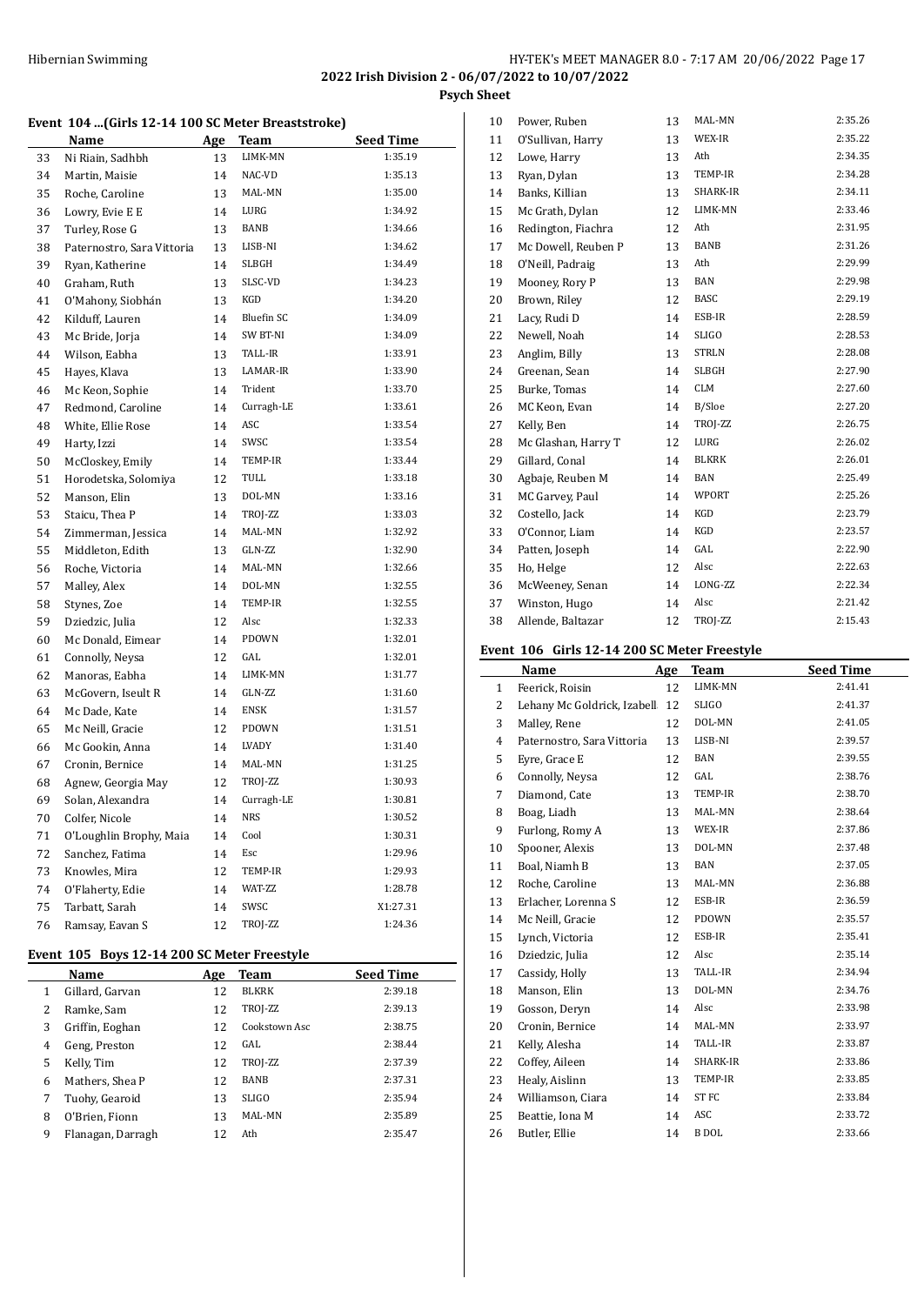#### **Event 104 ...(Girls 12-14 100 SC Meter Breaststroke)**

|    | <u>Name</u>                | Age | Team              | Seed Time |
|----|----------------------------|-----|-------------------|-----------|
| 33 | Ni Riain, Sadhbh           | 13  | LIMK-MN           | 1:35.19   |
| 34 | Martin, Maisie             | 14  | NAC-VD            | 1:35.13   |
| 35 | Roche, Caroline            | 13  | MAL-MN            | 1:35.00   |
| 36 | Lowry, Evie E E            | 14  | LURG              | 1:34.92   |
| 37 | Turley, Rose G             | 13  | BANB              | 1:34.66   |
| 38 | Paternostro, Sara Vittoria | 13  | LISB-NI           | 1:34.62   |
| 39 | Ryan, Katherine            | 14  | SLBGH             | 1:34.49   |
| 40 | Graham, Ruth               | 13  | SLSC-VD           | 1:34.23   |
| 41 | O'Mahony, Siobhán          | 13  | KGD               | 1:34.20   |
| 42 | Kilduff, Lauren            | 14  | <b>Bluefin SC</b> | 1:34.09   |
| 43 | Mc Bride, Jorja            | 14  | SW BT-NI          | 1:34.09   |
| 44 | Wilson, Eabha              | 13  | TALL-IR           | 1:33.91   |
| 45 | Hayes, Klava               | 13  | LAMAR-IR          | 1:33.90   |
| 46 | Mc Keon, Sophie            | 14  | Trident           | 1:33.70   |
| 47 | Redmond, Caroline          | 14  | Curragh-LE        | 1:33.61   |
| 48 | White, Ellie Rose          | 14  | ASC               | 1:33.54   |
| 49 | Harty, Izzi                | 14  | SWSC              | 1:33.54   |
| 50 | McCloskey, Emily           | 14  | TEMP-IR           | 1:33.44   |
| 51 | Horodetska, Solomiya       | 12  | TULL              | 1:33.18   |
| 52 | Manson, Elin               | 13  | DOL-MN            | 1:33.16   |
| 53 | Staicu, Thea P             | 14  | TROJ-ZZ           | 1:33.03   |
| 54 | Zimmerman, Jessica         | 14  | MAL-MN            | 1:32.92   |
| 55 | Middleton, Edith           | 13  | GLN-ZZ            | 1:32.90   |
| 56 | Roche, Victoria            | 14  | MAL-MN            | 1:32.66   |
| 57 | Malley, Alex               | 14  | DOL-MN            | 1:32.55   |
| 58 | Stynes, Zoe                | 14  | TEMP-IR           | 1:32.55   |
| 59 | Dziedzic, Julia            | 12  | Alsc              | 1:32.33   |
| 60 | Mc Donald, Eimear          | 14  | PDOWN             | 1:32.01   |
| 61 | Connolly, Neysa            | 12  | GAL               | 1:32.01   |
| 62 | Manoras, Eabha             | 14  | LIMK-MN           | 1:31.77   |
| 63 | McGovern, Iseult R         | 14  | GLN-ZZ            | 1:31.60   |
| 64 | Mc Dade, Kate              | 14  | <b>ENSK</b>       | 1:31.57   |
| 65 | Mc Neill, Gracie           | 12  | PDOWN             | 1:31.51   |
| 66 | Mc Gookin, Anna            | 14  | LVADY             | 1:31.40   |
| 67 | Cronin, Bernice            | 14  | MAL-MN            | 1:31.25   |
| 68 | Agnew, Georgia May         | 12  | TROJ-ZZ           | 1:30.93   |
| 69 | Solan, Alexandra           | 14  | Curragh-LE        | 1:30.81   |
| 70 | Colfer, Nicole             | 14  | <b>NRS</b>        | 1:30.52   |
| 71 | O'Loughlin Brophy, Maia    | 14  | Cool              | 1:30.31   |
| 72 | Sanchez, Fatima            | 14  | Esc               | 1:29.96   |
| 73 | Knowles, Mira              | 12  | TEMP-IR           | 1:29.93   |
| 74 | O'Flaherty, Edie           | 14  | WAT-ZZ            | 1:28.78   |
| 75 | Tarbatt, Sarah             | 14  | SWSC              | X1:27.31  |
| 76 | Ramsay, Eavan S            | 12  | TROJ-ZZ           | 1:24.36   |

# **Event 105 Boys 12-14 200 SC Meter Freestyle**

|   | Name              | Age | Team          | <b>Seed Time</b> |
|---|-------------------|-----|---------------|------------------|
| 1 | Gillard, Garvan   | 12  | <b>BLKRK</b>  | 2:39.18          |
| 2 | Ramke, Sam        | 12  | TROJ-ZZ       | 2:39.13          |
| 3 | Griffin, Eoghan   | 12  | Cookstown Asc | 2:38.75          |
| 4 | Geng, Preston     | 12  | GAL           | 2:38.44          |
| 5 | Kelly, Tim        | 12  | TROJ-ZZ       | 2:37.39          |
| 6 | Mathers, Shea P   | 12  | <b>BANB</b>   | 2:37.31          |
| 7 | Tuohy, Gearoid    | 13  | <b>SLIGO</b>  | 2:35.94          |
| 8 | O'Brien, Fionn    | 13  | MAL-MN        | 2:35.89          |
| 9 | Flanagan, Darragh | 12  | Ath           | 2:35.47          |

| Power, Ruben        | 13 | MAL-MN       | 2:35.26 |
|---------------------|----|--------------|---------|
| O'Sullivan, Harry   | 13 | WEX-IR       | 2:35.22 |
| Lowe, Harry         | 13 | Ath          | 2:34.35 |
| Ryan, Dylan         | 13 | TEMP-IR      | 2:34.28 |
| Banks, Killian      | 13 | SHARK-IR     | 2:34.11 |
| Mc Grath, Dylan     | 12 | LIMK-MN      | 2:33.46 |
| Redington, Fiachra  | 12 | Ath          | 2:31.95 |
| Mc Dowell, Reuben P | 13 | <b>BANB</b>  | 2:31.26 |
| O'Neill, Padraig    | 13 | Ath          | 2:29.99 |
| Mooney, Rory P      | 13 | BAN          | 2:29.98 |
| Brown, Riley        | 12 | <b>BASC</b>  | 2:29.19 |
| Lacy, Rudi D        | 14 | ESB-IR       | 2:28.59 |
| Newell, Noah        | 14 | <b>SLIGO</b> | 2:28.53 |
| Anglim, Billy       | 13 | <b>STRLN</b> | 2:28.08 |
| Greenan, Sean       | 14 | <b>SLBGH</b> | 2:27.90 |
| Burke, Tomas        | 14 | <b>CLM</b>   | 2:27.60 |
| MC Keon, Evan       | 14 | B/Sloe       | 2:27.20 |
| Kelly, Ben          | 14 | TROJ-ZZ      | 2:26.75 |
| Mc Glashan, Harry T | 12 | LURG         | 2:26.02 |
| Gillard, Conal      | 14 | <b>BLKRK</b> | 2:26.01 |
| Agbaje, Reuben M    | 14 | <b>BAN</b>   | 2:25.49 |
| MC Garvey, Paul     | 14 | WPORT        | 2:25.26 |
| Costello, Jack      | 14 | KGD          | 2:23.79 |
| O'Connor, Liam      | 14 | KGD          | 2:23.57 |
| Patten, Joseph      | 14 | GAL          | 2:22.90 |
| Ho, Helge           | 12 | Alsc         | 2:22.63 |
| McWeeney, Senan     | 14 | LONG-ZZ      | 2:22.34 |
| Winston, Hugo       | 14 | Alsc         | 2:21.42 |
| Allende, Baltazar   | 12 | TROJ-ZZ      | 2:15.43 |
|                     |    |              |         |

# **Event 106 Girls 12-14 200 SC Meter Freestyle**

|              | Name                        | Age | <b>Team</b>      | <b>Seed Time</b> |
|--------------|-----------------------------|-----|------------------|------------------|
| $\mathbf{1}$ | Feerick, Roisin             | 12  | LIMK-MN          | 2:41.41          |
| 2            | Lehany Mc Goldrick, Izabell | 12  | <b>SLIGO</b>     | 2:41.37          |
| 3            | Malley, Rene                | 12  | DOL-MN           | 2:41.05          |
| 4            | Paternostro, Sara Vittoria  | 13  | LISB-NI          | 2:39.57          |
| 5            | Eyre, Grace E               | 12  | <b>BAN</b>       | 2:39.55          |
| 6            | Connolly, Neysa             | 12  | GAL              | 2:38.76          |
| 7            | Diamond, Cate               | 13  | TEMP-IR          | 2:38.70          |
| 8            | Boag, Liadh                 | 13  | MAL-MN           | 2:38.64          |
| 9            | Furlong, Romy A             | 13  | WEX-IR           | 2:37.86          |
| 10           | Spooner, Alexis             | 13  | DOL-MN           | 2:37.48          |
| 11           | Boal, Niamh B               | 13  | <b>BAN</b>       | 2:37.05          |
| 12           | Roche, Caroline             | 13  | MAL-MN           | 2:36.88          |
| 13           | Erlacher, Lorenna S         | 12  | ESB-IR           | 2:36.59          |
| 14           | Mc Neill, Gracie            | 12  | PDOWN            | 2:35.57          |
| 15           | Lynch, Victoria             | 12  | ESB-IR           | 2:35.41          |
| 16           | Dziedzic, Julia             | 12  | Alsc             | 2:35.14          |
| 17           | Cassidy, Holly              | 13  | TALL-IR          | 2:34.94          |
| 18           | Manson, Elin                | 13  | DOL-MN           | 2:34.76          |
| 19           | Gosson, Deryn               | 14  | Alsc             | 2:33.98          |
| 20           | Cronin, Bernice             | 14  | MAL-MN           | 2:33.97          |
| 21           | Kelly, Alesha               | 14  | TALL-IR          | 2:33.87          |
| 22           | Coffey, Aileen              | 14  | SHARK-IR         | 2:33.86          |
| 23           | Healy, Aislinn              | 13  | TEMP-IR          | 2:33.85          |
| 24           | Williamson, Ciara           | 14  | ST <sub>FC</sub> | 2:33.84          |
| 25           | Beattie, Iona M             | 14  | ASC              | 2.33.72          |
| 26           | Butler, Ellie               | 14  | <b>B</b> DOL     | 2:33.66          |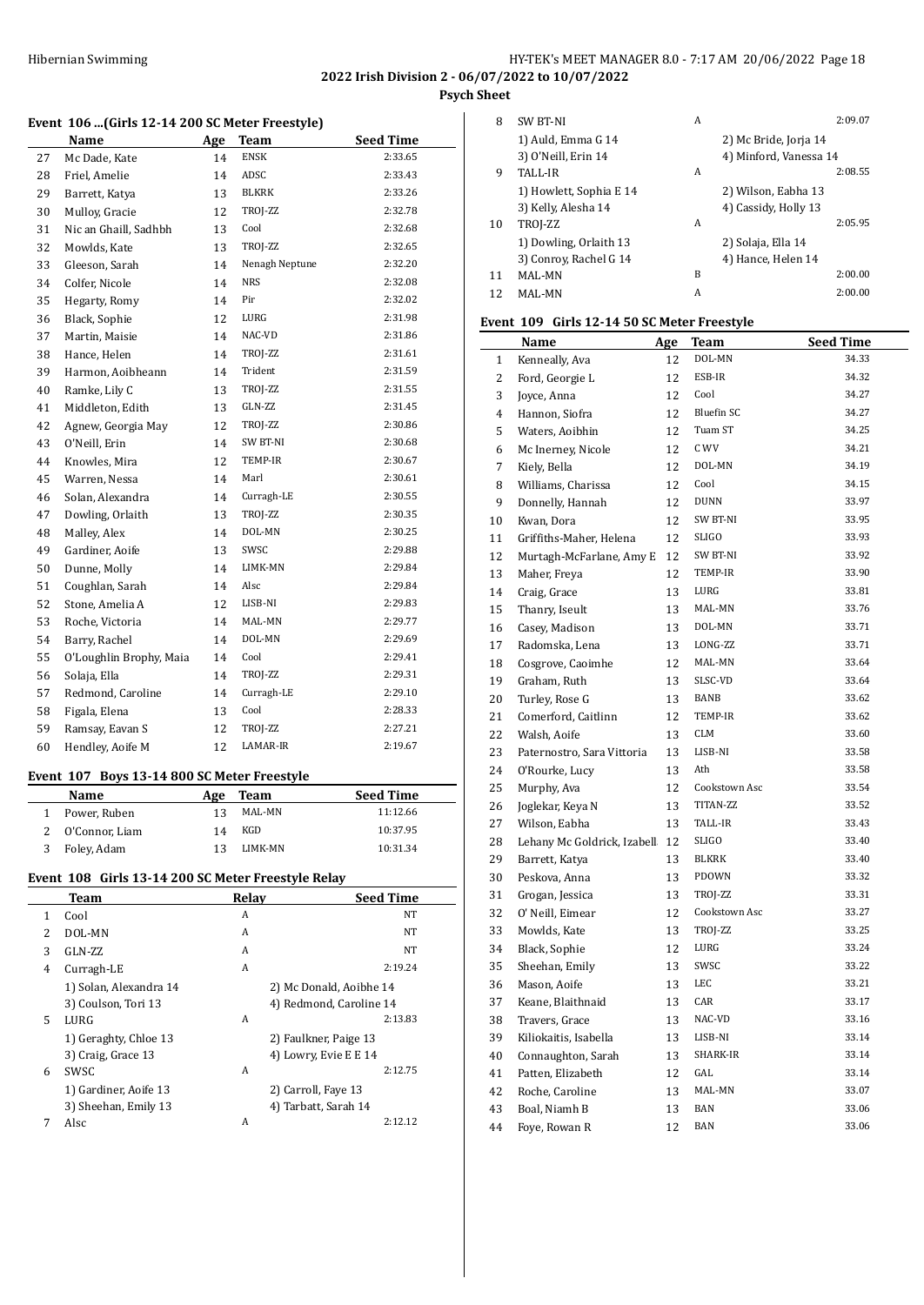#### HY-TEK's MEET MANAGER 8.0 - 7:17 AM 20/06/2022 Page 18 **2022 Irish Division 2 - 06/07/2022 to 10/07/2022 Psych Sheet**

# **Event 106 ...(Girls 12-14 200 SC Meter Freestyle)**

|    | Name                    | Age | <b>Team</b>    | <b>Seed Time</b> |
|----|-------------------------|-----|----------------|------------------|
| 27 | Mc Dade, Kate           | 14  | <b>ENSK</b>    | 2:33.65          |
| 28 | Friel, Amelie           | 14  | ADSC           | 2:33.43          |
| 29 | Barrett, Katya          | 13  | BLKRK          | 2:33.26          |
| 30 | Mulloy, Gracie          | 12  | TROJ-ZZ        | 2:32.78          |
| 31 | Nic an Ghaill, Sadhbh   | 13  | Cool           | 2:32.68          |
| 32 | Mowlds, Kate            | 13  | TROJ-ZZ        | 2:32.65          |
| 33 | Gleeson, Sarah          | 14  | Nenagh Neptune | 2:32.20          |
| 34 | Colfer, Nicole          | 14  | <b>NRS</b>     | 2:32.08          |
| 35 | Hegarty, Romy           | 14  | Pir            | 2:32.02          |
| 36 | Black, Sophie           | 12  | LURG           | 2:31.98          |
| 37 | Martin, Maisie          | 14  | NAC-VD         | 2:31.86          |
| 38 | Hance, Helen            | 14  | TROJ-ZZ        | 2:31.61          |
| 39 | Harmon, Aoibheann       | 14  | Trident        | 2:31.59          |
| 40 | Ramke, Lily C           | 13  | TROJ-ZZ        | 2:31.55          |
| 41 | Middleton, Edith        | 13  | GLN-ZZ         | 2:31.45          |
| 42 | Agnew, Georgia May      | 12  | TROJ-ZZ        | 2:30.86          |
| 43 | O'Neill, Erin           | 14  | SW BT-NI       | 2:30.68          |
| 44 | Knowles, Mira           | 12  | TEMP-IR        | 2:30.67          |
| 45 | Warren, Nessa           | 14  | Marl           | 2:30.61          |
| 46 | Solan, Alexandra        | 14  | Curragh-LE     | 2:30.55          |
| 47 | Dowling, Orlaith        | 13  | TROJ-ZZ        | 2:30.35          |
| 48 | Malley, Alex            | 14  | DOL-MN         | 2:30.25          |
| 49 | Gardiner, Aoife         | 13  | SWSC           | 2:29.88          |
| 50 | Dunne, Molly            | 14  | LIMK-MN        | 2:29.84          |
| 51 | Coughlan, Sarah         | 14  | Alsc           | 2:29.84          |
| 52 | Stone, Amelia A         | 12  | LISB-NI        | 2:29.83          |
| 53 | Roche, Victoria         | 14  | MAL-MN         | 2:29.77          |
| 54 | Barry, Rachel           | 14  | DOL-MN         | 2:29.69          |
| 55 | O'Loughlin Brophy, Maia | 14  | Cool           | 2:29.41          |
| 56 | Solaja, Ella            | 14  | TROJ-ZZ        | 2:29.31          |
| 57 | Redmond, Caroline       | 14  | Curragh-LE     | 2:29.10          |
| 58 | Figala, Elena           | 13  | Cool           | 2:28.33          |
| 59 | Ramsay, Eavan S         | 12  | TROJ-ZZ        | 2:27.21          |
| 60 | Hendley, Aoife M        | 12  | LAMAR-IR       | 2:19.67          |
|    |                         |     |                |                  |

# **Event 107 Boys 13-14 800 SC Meter Freestyle**

| Name           | Age | Team    | <b>Seed Time</b> |
|----------------|-----|---------|------------------|
| Power, Ruben   | 13  | MAL-MN  | 11:12.66         |
| O'Connor, Liam | 14  | KGD     | 10:37.95         |
| Foley, Adam    |     | LIMK-MN | 10:31.34         |

# **Event 108 Girls 13-14 200 SC Meter Freestyle Relay**

|   | Team                   | Relay | <b>Seed Time</b>        |
|---|------------------------|-------|-------------------------|
| 1 | Cool                   | A     | NT                      |
| 2 | DOL-MN                 | A     | NT                      |
| 3 | GLN-ZZ                 | A     | NT                      |
| 4 | Curragh-LE             | A     | 2:19.24                 |
|   | 1) Solan, Alexandra 14 |       | 2) Mc Donald, Aoibhe 14 |
|   | 3) Coulson, Tori 13    |       | 4) Redmond, Caroline 14 |
| 5 | LURG                   | A     | 2:13.83                 |
|   | 1) Geraghty, Chloe 13  |       | 2) Faulkner, Paige 13   |
|   | 3) Craig, Grace 13     |       | 4) Lowry, Evie E E 14   |
| 6 | SWSC.                  | A     | 2:12.75                 |
|   | 1) Gardiner, Aoife 13  |       | 2) Carroll, Faye 13     |
|   | 3) Sheehan, Emily 13   |       | 4) Tarbatt, Sarah 14    |
| 7 | Alsc                   | A     | 2.12.12                 |
|   |                        |       |                         |

| 8  | <b>SW BT-NI</b>         | Α | 2:09.07                |
|----|-------------------------|---|------------------------|
|    | 1) Auld, Emma G 14      |   | 2) Mc Bride, Joria 14  |
|    | 3) O'Neill, Erin 14     |   | 4) Minford, Vanessa 14 |
| 9  | TALL-IR                 | Α | 2:08.55                |
|    | 1) Howlett, Sophia E 14 |   | 2) Wilson, Eabha 13    |
|    | 3) Kelly, Alesha 14     |   | 4) Cassidy, Holly 13   |
| 10 | TROJ-ZZ                 | Α | 2:05.95                |
|    | 1) Dowling, Orlaith 13  |   | 2) Solaja, Ella 14     |
|    | 3) Conroy, Rachel G 14  |   | 4) Hance, Helen 14     |
| 11 | MAL-MN                  | B | 2:00.00                |
| 12 | MAL-MN                  | Α | 2:00.00                |

#### **Event 109 Girls 12-14 50 SC Meter Freestyle**

|    | Name                        | Age | <b>Team</b>       | <b>Seed Time</b> |
|----|-----------------------------|-----|-------------------|------------------|
| 1  | Kenneally, Ava              | 12  | DOL-MN            | 34.33            |
| 2  | Ford, Georgie L             | 12  | ESB-IR            | 34.32            |
| 3  | Joyce, Anna                 | 12  | Cool              | 34.27            |
| 4  | Hannon, Siofra              | 12  | <b>Bluefin SC</b> | 34.27            |
| 5  | Waters, Aoibhin             | 12  | Tuam ST           | 34.25            |
| 6  | Mc Inerney, Nicole          | 12  | C WV              | 34.21            |
| 7  | Kiely, Bella                | 12  | DOL-MN            | 34.19            |
| 8  | Williams, Charissa          | 12  | Cool              | 34.15            |
| 9  | Donnelly, Hannah            | 12  | <b>DUNN</b>       | 33.97            |
| 10 | Kwan, Dora                  | 12  | SW BT-NI          | 33.95            |
| 11 | Griffiths-Maher, Helena     | 12  | SLIGO             | 33.93            |
| 12 | Murtagh-McFarlane, Amy E    | 12  | <b>SW BT-NI</b>   | 33.92            |
| 13 | Maher, Freya                | 12  | TEMP-IR           | 33.90            |
| 14 | Craig, Grace                | 13  | LURG              | 33.81            |
| 15 | Thanry, Iseult              | 13  | MAL-MN            | 33.76            |
| 16 | Casey, Madison              | 13  | DOL-MN            | 33.71            |
| 17 | Radomska, Lena              | 13  | LONG-ZZ           | 33.71            |
| 18 | Cosgrove, Caoimhe           | 12  | MAL-MN            | 33.64            |
| 19 | Graham, Ruth                | 13  | SLSC-VD           | 33.64            |
| 20 | Turley, Rose G              | 13  | <b>BANB</b>       | 33.62            |
| 21 | Comerford, Caitlinn         | 12  | TEMP-IR           | 33.62            |
| 22 | Walsh, Aoife                | 13  | <b>CLM</b>        | 33.60            |
| 23 | Paternostro, Sara Vittoria  | 13  | LISB-NI           | 33.58            |
| 24 | O'Rourke, Lucy              | 13  | Ath               | 33.58            |
| 25 | Murphy, Ava                 | 12  | Cookstown Asc     | 33.54            |
| 26 | Joglekar, Keya N            | 13  | TITAN-ZZ          | 33.52            |
| 27 | Wilson, Eabha               | 13  | TALL-IR           | 33.43            |
| 28 | Lehany Mc Goldrick, Izabell | 12  | <b>SLIGO</b>      | 33.40            |
| 29 | Barrett, Katya              | 13  | <b>BLKRK</b>      | 33.40            |
| 30 | Peskova, Anna               | 13  | PDOWN             | 33.32            |
| 31 | Grogan, Jessica             | 13  | TROJ-ZZ           | 33.31            |
| 32 | O' Neill, Eimear            | 12  | Cookstown Asc     | 33.27            |
| 33 | Mowlds, Kate                | 13  | TROJ-ZZ           | 33.25            |
| 34 | Black, Sophie               | 12  | LURG              | 33.24            |
| 35 | Sheehan, Emily              | 13  | SWSC              | 33.22            |
| 36 | Mason, Aoife                | 13  | LEC               | 33.21            |
| 37 | Keane, Blaithnaid           | 13  | CAR               | 33.17            |
| 38 | Travers, Grace              | 13  | NAC-VD            | 33.16            |
| 39 | Kiliokaitis, Isabella       | 13  | LISB-NI           | 33.14            |
| 40 | Connaughton, Sarah          | 13  | SHARK-IR          | 33.14            |
| 41 | Patten, Elizabeth           | 12  | GAL               | 33.14            |
| 42 | Roche, Caroline             | 13  | MAL-MN            | 33.07            |
| 43 | Boal, Niamh B               | 13  | <b>BAN</b>        | 33.06            |
| 44 | Foye, Rowan R               | 12  | <b>BAN</b>        | 33.06            |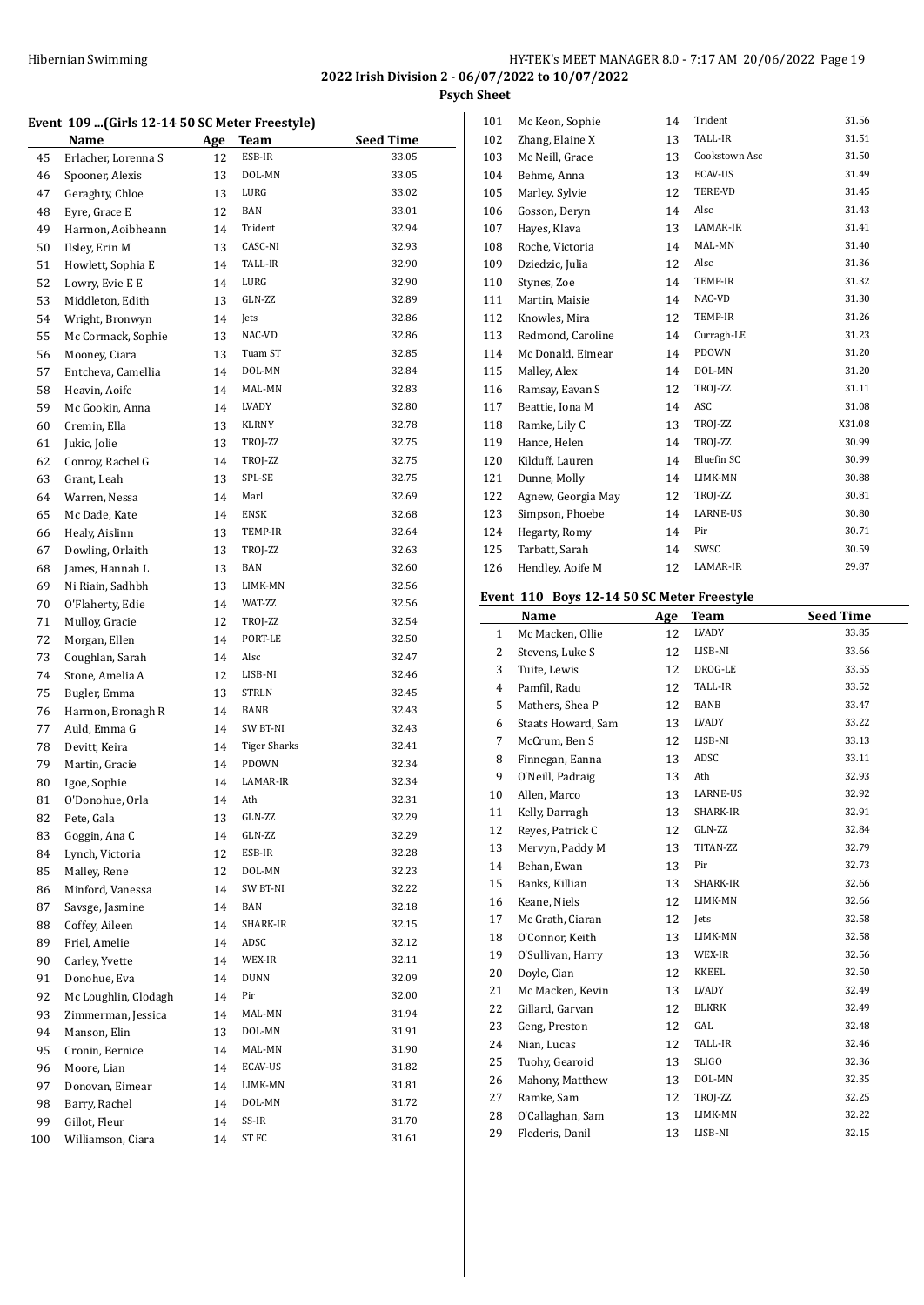# HY-TEK's MEET MANAGER 8.0 - 7:17 AM 20/06/2022 Page 19 **2022 Irish Division 2 - 06/07/2022 to 10/07/2022**

**Psych Sheet**

#### **Event 109 ...(Girls 12-14 50 SC Meter Freestyle)**

|     | Name                 | Age | Team                | <b>Seed Time</b> |
|-----|----------------------|-----|---------------------|------------------|
| 45  | Erlacher, Lorenna S  | 12  | ESB-IR              | 33.05            |
| 46  | Spooner, Alexis      | 13  | DOL-MN              | 33.05            |
| 47  | Geraghty, Chloe      | 13  | LURG                | 33.02            |
| 48  | Eyre, Grace E        | 12  | BAN                 | 33.01            |
| 49  | Harmon, Aoibheann    | 14  | Trident             | 32.94            |
| 50  | Ilsley, Erin M       | 13  | CASC-NI             | 32.93            |
| 51  | Howlett, Sophia E    | 14  | TALL-IR             | 32.90            |
| 52  | Lowry, Evie E E      | 14  | LURG                | 32.90            |
| 53  | Middleton, Edith     | 13  | GLN-ZZ              | 32.89            |
| 54  | Wright, Bronwyn      | 14  | Jets                | 32.86            |
| 55  | Mc Cormack, Sophie   | 13  | NAC-VD              | 32.86            |
| 56  | Mooney, Ciara        | 13  | Tuam ST             | 32.85            |
| 57  | Entcheva, Camellia   | 14  | DOL-MN              | 32.84            |
| 58  | Heavin, Aoife        | 14  | MAL-MN              | 32.83            |
| 59  | Mc Gookin, Anna      | 14  | LVADY               | 32.80            |
| 60  | Cremin, Ella         | 13  | KLRNY               | 32.78            |
| 61  | Jukic, Jolie         | 13  | TROJ-ZZ             | 32.75            |
| 62  | Conroy, Rachel G     | 14  | TROJ-ZZ             | 32.75            |
| 63  | Grant, Leah          | 13  | SPL-SE              | 32.75            |
| 64  | Warren, Nessa        | 14  | Marl                | 32.69            |
| 65  | Mc Dade, Kate        | 14  | ENSK                | 32.68            |
| 66  | Healy, Aislinn       | 13  | TEMP-IR             | 32.64            |
| 67  | Dowling, Orlaith     | 13  | TROJ-ZZ             | 32.63            |
| 68  | James, Hannah L      | 13  | <b>BAN</b>          | 32.60            |
| 69  | Ni Riain, Sadhbh     | 13  | LIMK-MN             | 32.56            |
| 70  | O'Flaherty, Edie     | 14  | WAT-ZZ              | 32.56            |
| 71  | Mulloy, Gracie       | 12  | TROJ-ZZ             | 32.54            |
| 72  | Morgan, Ellen        | 14  | PORT-LE             | 32.50            |
| 73  | Coughlan, Sarah      | 14  | Alsc                | 32.47            |
| 74  | Stone, Amelia A      | 12  | LISB-NI             | 32.46            |
| 75  | Bugler, Emma         | 13  | STRLN               | 32.45            |
| 76  | Harmon, Bronagh R    | 14  | BANB                | 32.43            |
| 77  | Auld, Emma G         | 14  | SW BT-NI            | 32.43            |
| 78  | Devitt, Keira        | 14  | <b>Tiger Sharks</b> | 32.41            |
| 79  | Martin, Gracie       | 14  | PDOWN               | 32.34            |
| 80  | Igoe, Sophie         | 14  | LAMAR-IR            | 32.34            |
| 81  | O'Donohue, Orla      | 14  | Ath                 | 32.31            |
| 82  | Pete. Gala           | 13  | GLN-ZZ              | 32.29            |
| 83  | Goggin, Ana C        | 14  | GLN-ZZ              | 32.29            |
| 84  | Lynch, Victoria      | 12  | ESB-IR              | 32.28            |
| 85  | Malley, Rene         | 12  | DOL-MN              | 32.23            |
| 86  | Minford, Vanessa     | 14  | SW BT-NI            | 32.22            |
| 87  | Savsge, Jasmine      | 14  | BAN                 | 32.18            |
| 88  | Coffey, Aileen       | 14  | SHARK-IR            | 32.15            |
| 89  | Friel, Amelie        | 14  | ADSC                | 32.12            |
| 90  | Carley, Yvette       | 14  | WEX-IR              | 32.11            |
| 91  | Donohue, Eva         | 14  | DUNN                | 32.09            |
| 92  | Mc Loughlin, Clodagh | 14  | Pir                 | 32.00            |
| 93  | Zimmerman, Jessica   | 14  | MAL-MN              | 31.94            |
| 94  | Manson, Elin         | 13  | DOL-MN              | 31.91            |
| 95  | Cronin, Bernice      | 14  | MAL-MN              | 31.90            |
| 96  | Moore, Lian          | 14  | ECAV-US             | 31.82            |
| 97  | Donovan, Eimear      | 14  | LIMK-MN             | 31.81            |
| 98  | Barry, Rachel        | 14  | DOL-MN              | 31.72            |
| 99  | Gillot, Fleur        | 14  | SS-IR               | 31.70            |
| 100 | Williamson, Ciara    | 14  | ST FC               | 31.61            |

| 101 | Mc Keon, Sophie    | 14 | Trident       | 31.56  |
|-----|--------------------|----|---------------|--------|
| 102 | Zhang, Elaine X    | 13 | TALL-IR       | 31.51  |
| 103 | Mc Neill, Grace    | 13 | Cookstown Asc | 31.50  |
| 104 | Behme, Anna        | 13 | ECAV-US       | 31.49  |
| 105 | Marley, Sylvie     | 12 | TERE-VD       | 31.45  |
| 106 | Gosson, Deryn      | 14 | Alsc          | 31.43  |
| 107 | Hayes, Klava       | 13 | LAMAR-IR      | 31.41  |
| 108 | Roche, Victoria    | 14 | MAL-MN        | 31.40  |
| 109 | Dziedzic, Julia    | 12 | Alsc          | 31.36  |
| 110 | Stynes, Zoe        | 14 | TEMP-IR       | 31.32  |
| 111 | Martin, Maisie     | 14 | NAC-VD        | 31.30  |
| 112 | Knowles, Mira      | 12 | TEMP-IR       | 31.26  |
| 113 | Redmond, Caroline  | 14 | Curragh-LE    | 31.23  |
| 114 | Mc Donald, Eimear  | 14 | PDOWN         | 31.20  |
| 115 | Malley, Alex       | 14 | DOL-MN        | 31.20  |
| 116 | Ramsay, Eavan S    | 12 | TROJ-ZZ       | 31.11  |
| 117 | Beattie, Iona M    | 14 | ASC           | 31.08  |
| 118 | Ramke, Lily C      | 13 | TROJ-ZZ       | X31.08 |
| 119 | Hance, Helen       | 14 | TROJ-ZZ       | 30.99  |
| 120 | Kilduff, Lauren    | 14 | Bluefin SC    | 30.99  |
| 121 | Dunne, Molly       | 14 | LIMK-MN       | 30.88  |
| 122 | Agnew, Georgia May | 12 | TROJ-ZZ       | 30.81  |
| 123 | Simpson, Phoebe    | 14 | LARNE-US      | 30.80  |
| 124 | Hegarty, Romy      | 14 | Pir           | 30.71  |
| 125 | Tarbatt, Sarah     | 14 | SWSC          | 30.59  |
| 126 | Hendley, Aoife M   | 12 | LAMAR-IR      | 29.87  |
|     |                    |    |               |        |

# **Event 110 Boys 12-14 50 SC Meter Freestyle**

|              | Name               | Age | Team            | <b>Seed Time</b> |
|--------------|--------------------|-----|-----------------|------------------|
| $\mathbf{1}$ | Mc Macken, Ollie   | 12  | LVADY           | 33.85            |
| 2            | Stevens, Luke S    | 12  | LISB-NI         | 33.66            |
| 3            | Tuite, Lewis       | 12  | DROG-LE         | 33.55            |
| 4            | Pamfil, Radu       | 12  | TALL-IR         | 33.52            |
| 5            | Mathers, Shea P    | 12  | BANB            | 33.47            |
| 6            | Staats Howard, Sam | 13  | LVADY           | 33.22            |
| 7            | McCrum, Ben S      | 12  | LISB-NI         | 33.13            |
| 8            | Finnegan, Eanna    | 13  | ADSC            | 33.11            |
| 9            | O'Neill, Padraig   | 13  | Ath             | 32.93            |
| 10           | Allen, Marco       | 13  | <b>LARNE-US</b> | 32.92            |
| 11           | Kelly, Darragh     | 13  | SHARK-IR        | 32.91            |
| 12           | Reves, Patrick C   | 12  | GLN-ZZ          | 32.84            |
| 13           | Mervyn, Paddy M    | 13  | TITAN-ZZ        | 32.79            |
| 14           | Behan, Ewan        | 13  | Pir             | 32.73            |
| 15           | Banks, Killian     | 13  | SHARK-IR        | 32.66            |
| 16           | Keane, Niels       | 12  | LIMK-MN         | 32.66            |
| 17           | Mc Grath, Ciaran   | 12  | Jets            | 32.58            |
| 18           | O'Connor, Keith    | 13  | LIMK-MN         | 32.58            |
| 19           | O'Sullivan, Harry  | 13  | WEX-IR          | 32.56            |
| 20           | Doyle, Cian        | 12  | KKEEL           | 32.50            |
| 21           | Mc Macken, Kevin   | 13  | LVADY           | 32.49            |
| 22           | Gillard, Garvan    | 12  | <b>BLKRK</b>    | 32.49            |
| 23           | Geng, Preston      | 12  | GAL             | 32.48            |
| 24           | Nian, Lucas        | 12  | TALL-IR         | 32.46            |
| 25           | Tuohy, Gearoid     | 13  | <b>SLIGO</b>    | 32.36            |
| 26           | Mahony, Matthew    | 13  | DOL-MN          | 32.35            |
| 27           | Ramke, Sam         | 12  | TROJ-ZZ         | 32.25            |
| 28           | O'Callaghan, Sam   | 13  | LIMK-MN         | 32.22            |
| 29           | Flederis, Danil    | 13  | LISB-NI         | 32.15            |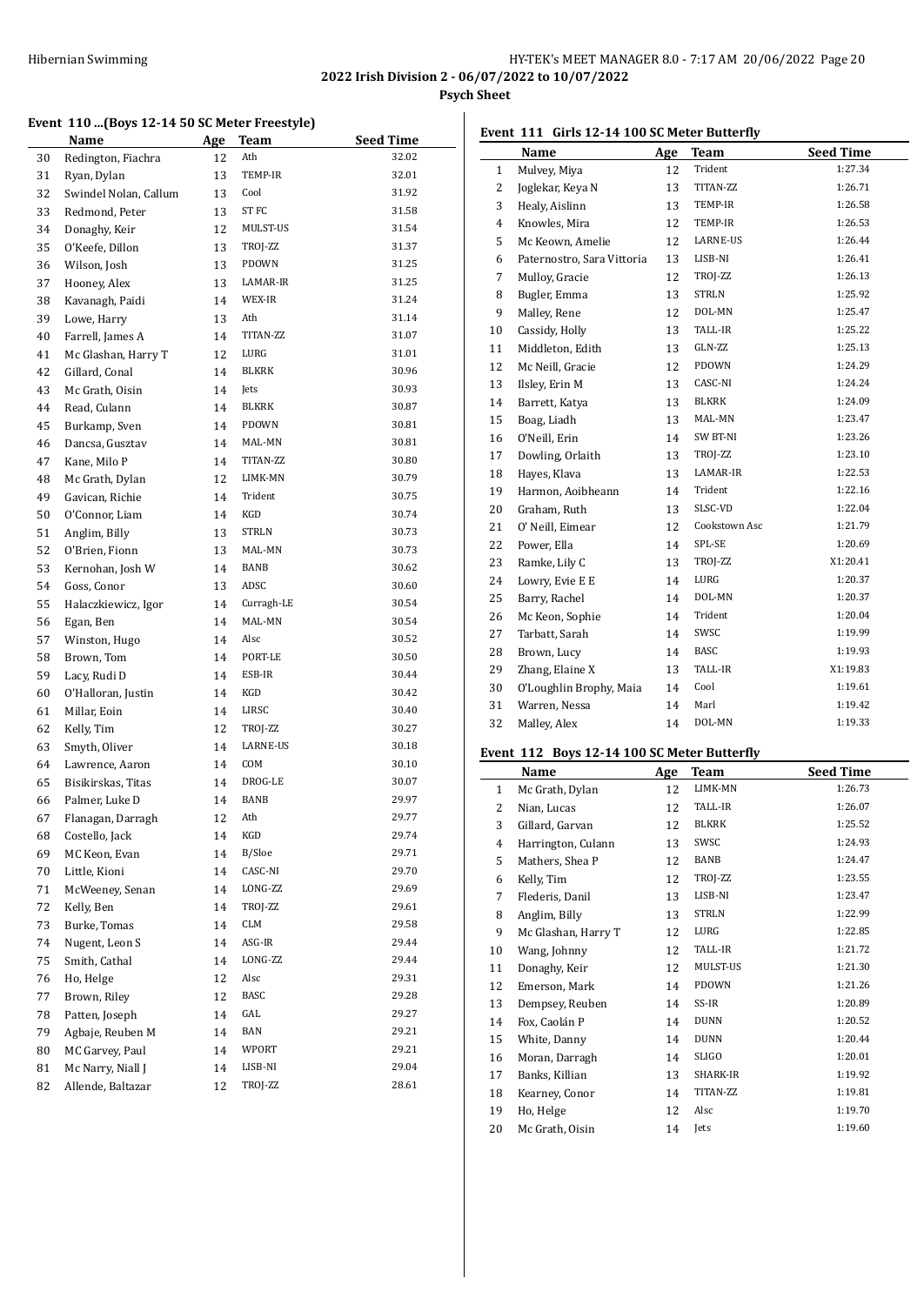## HY-TEK's MEET MANAGER 8.0 - 7:17 AM 20/06/2022 Page 20 **2022 Irish Division 2 - 06/07/2022 to 10/07/2022**

**Psych Sheet**

# **Event 110 ...(Boys 12-14 50 SC Meter Freestyle)**

|    | Name                  | <u>Age</u> | Team         | <b>Seed Time</b> |
|----|-----------------------|------------|--------------|------------------|
| 30 | Redington, Fiachra    | 12         | Ath          | 32.02            |
| 31 | Ryan, Dylan           | 13         | TEMP-IR      | 32.01            |
| 32 | Swindel Nolan, Callum | 13         | Cool         | 31.92            |
| 33 | Redmond, Peter        | 13         | ST FC        | 31.58            |
| 34 | Donaghy, Keir         | 12         | MULST-US     | 31.54            |
| 35 | O'Keefe, Dillon       | 13         | TROJ-ZZ      | 31.37            |
| 36 | Wilson, Josh          | 13         | PDOWN        | 31.25            |
| 37 | Hooney, Alex          | 13         | LAMAR-IR     | 31.25            |
| 38 | Kavanagh, Paidi       | 14         | WEX-IR       | 31.24            |
| 39 | Lowe, Harry           | 13         | Ath          | 31.14            |
| 40 | Farrell, James A      | 14         | TITAN-ZZ     | 31.07            |
| 41 | Mc Glashan, Harry T   | 12         | LURG         | 31.01            |
| 42 | Gillard, Conal        | 14         | <b>BLKRK</b> | 30.96            |
| 43 | Mc Grath, Oisin       | 14         | Jets         | 30.93            |
| 44 | Read, Culann          | 14         | BLKRK        | 30.87            |
| 45 | Burkamp, Sven         | 14         | PDOWN        | 30.81            |
| 46 | Dancsa, Gusztav       | 14         | MAL-MN       | 30.81            |
| 47 | Kane, Milo P          | 14         | TITAN-ZZ     | 30.80            |
| 48 | Mc Grath, Dylan       | 12         | LIMK-MN      | 30.79            |
| 49 | Gavican, Richie       | 14         | Trident      | 30.75            |
| 50 | O'Connor, Liam        | 14         | KGD          | 30.74            |
| 51 | Anglim, Billy         | 13         | <b>STRLN</b> | 30.73            |
| 52 | O'Brien, Fionn        | 13         | MAL-MN       | 30.73            |
| 53 | Kernohan, Josh W      | 14         | BANB         | 30.62            |
| 54 | Goss, Conor           | 13         | ADSC         | 30.60            |
| 55 | Halaczkiewicz, Igor   | 14         | Curragh-LE   | 30.54            |
| 56 | Egan, Ben             | 14         | MAL-MN       | 30.54            |
| 57 | Winston, Hugo         | 14         | Alsc         | 30.52            |
| 58 | Brown, Tom            | 14         | PORT-LE      | 30.50            |
| 59 | Lacy, Rudi D          | 14         | ESB-IR       | 30.44            |
| 60 | O'Halloran, Justin    | 14         | KGD          | 30.42            |
| 61 | Millar, Eoin          | 14         | LIRSC        | 30.40            |
| 62 | Kelly, Tim            | 12         | TROJ-ZZ      | 30.27            |
| 63 | Smyth, Oliver         | 14         | LARNE-US     | 30.18            |
| 64 | Lawrence, Aaron       | 14         | COM          | 30.10            |
| 65 | Bisikirskas, Titas    | 14         | DROG-LE      | 30.07            |
| 66 | Palmer, Luke D        | 14         | BANB         | 29.97            |
| 67 | Flanagan, Darragh     | 12         | Ath          | 29.77            |
| 68 | Costello, Jack        | 14         | KGD          | 29.74            |
| 69 | MC Keon, Evan         | 14         | B/Sloe       | 29.71            |
| 70 | Little, Kioni         | 14         | CASC-NI      | 29.70            |
| 71 | McWeeney, Senan       | 14         | LONG-ZZ      | 29.69            |
| 72 | Kelly, Ben            | 14         | TROJ-ZZ      | 29.61            |
| 73 | Burke, Tomas          | 14         | CLM          | 29.58            |
| 74 | Nugent, Leon S        | 14         | ASG-IR       | 29.44            |
| 75 | Smith, Cathal         | 14         | LONG-ZZ      | 29.44            |
| 76 | Ho, Helge             | 12         | Alsc         | 29.31            |
| 77 | Brown, Riley          | 12         | BASC         | 29.28            |
| 78 | Patten, Joseph        | 14         | GAL          | 29.27            |
| 79 | Agbaje, Reuben M      | 14         | BAN          | 29.21            |
| 80 | MC Garvey, Paul       | 14         | WPORT        | 29.21            |
| 81 | Mc Narry, Niall J     | 14         | LISB-NI      | 29.04            |
| 82 | Allende, Baltazar     | 12         | TROJ-ZZ      | 28.61            |

| Event 111 Girls 12-14 100 SC Meter Butterfly |                     |    |             |                  |
|----------------------------------------------|---------------------|----|-------------|------------------|
|                                              | <b>Name</b>         |    | Age Team    | <b>Seed Time</b> |
| 1                                            | Mulvey, Miya        | 12 | Trident     | 1:27.34          |
|                                              | 2 - Joglekar Keya N |    | 13 TITAN-77 | 1.2671           |

|                | 1.10111011111101           |    |               |          |
|----------------|----------------------------|----|---------------|----------|
| 2              | Joglekar, Keya N           | 13 | TITAN-ZZ      | 1:26.71  |
| 3              | Healy, Aislinn             | 13 | TEMP-IR       | 1:26.58  |
| $\overline{4}$ | Knowles, Mira              | 12 | TEMP-IR       | 1:26.53  |
| 5              | Mc Keown, Amelie           | 12 | LARNE-US      | 1:26.44  |
| 6              | Paternostro, Sara Vittoria | 13 | LISB-NI       | 1:26.41  |
| 7              | Mulloy, Gracie             | 12 | TROJ-ZZ       | 1:26.13  |
| 8              | Bugler, Emma               | 13 | <b>STRLN</b>  | 1:25.92  |
| 9              | Malley, Rene               | 12 | DOL-MN        | 1:25.47  |
| 10             | Cassidy, Holly             | 13 | TALL-IR       | 1:25.22  |
| 11             | Middleton, Edith           | 13 | GLN-ZZ        | 1:25.13  |
| 12             | Mc Neill, Gracie           | 12 | PDOWN         | 1:24.29  |
| 13             | Ilsley, Erin M             | 13 | CASC-NI       | 1:24.24  |
| 14             | Barrett, Katya             | 13 | <b>BLKRK</b>  | 1:24.09  |
| 15             | Boag, Liadh                | 13 | MAL-MN        | 1:23.47  |
| 16             | O'Neill, Erin              | 14 | SW BT-NI      | 1:23.26  |
| 17             | Dowling, Orlaith           | 13 | TROJ-ZZ       | 1:23.10  |
| 18             | Hayes, Klava               | 13 | LAMAR-IR      | 1:22.53  |
| 19             | Harmon, Aoibheann          | 14 | Trident       | 1:22.16  |
| 20             | Graham, Ruth               | 13 | SLSC-VD       | 1:22.04  |
| 21             | O' Neill, Eimear           | 12 | Cookstown Asc | 1:21.79  |
| 22             | Power, Ella                | 14 | SPL-SE        | 1:20.69  |
| 23             | Ramke, Lily C              | 13 | TROJ-ZZ       | X1:20.41 |
| 24             | Lowry, Evie E E            | 14 | LURG          | 1:20.37  |
| 25             | Barry, Rachel              | 14 | DOL-MN        | 1:20.37  |
| 26             | Mc Keon, Sophie            | 14 | Trident       | 1:20.04  |
| 27             | Tarbatt, Sarah             | 14 | SWSC          | 1:19.99  |
| 28             | Brown, Lucy                | 14 | BASC          | 1:19.93  |
| 29             | Zhang, Elaine X            | 13 | TALL-IR       | X1:19.83 |
| 30             | O'Loughlin Brophy, Maia    | 14 | Cool          | 1:19.61  |
| 31             | Warren, Nessa              | 14 | Marl          | 1:19.42  |
| 32             | Malley, Alex               | 14 | DOL-MN        | 1:19.33  |
|                |                            |    |               |          |

# **Event 112 Boys 12-14 100 SC Meter Butterfly**

|              | Name                | Age | <b>Team</b>  | <b>Seed Time</b> |
|--------------|---------------------|-----|--------------|------------------|
| $\mathbf{1}$ | Mc Grath, Dylan     | 12  | LIMK-MN      | 1:26.73          |
| 2            | Nian, Lucas         | 12  | TALL-IR      | 1:26.07          |
| 3            | Gillard, Garvan     | 12  | <b>BLKRK</b> | 1:25.52          |
| 4            | Harrington, Culann  | 13  | SWSC         | 1:24.93          |
| 5            | Mathers, Shea P     | 12  | <b>BANB</b>  | 1:24.47          |
| 6            | Kelly, Tim          | 12  | TROJ-ZZ      | 1:23.55          |
| 7            | Flederis, Danil     | 13  | LISB-NI      | 1:23.47          |
| 8            | Anglim, Billy       | 13  | <b>STRLN</b> | 1:22.99          |
| 9            | Mc Glashan, Harry T | 12  | LURG         | 1:22.85          |
| 10           | Wang, Johnny        | 12  | TALL-IR      | 1:21.72          |
| 11           | Donaghy, Keir       | 12  | MULST-US     | 1:21.30          |
| 12           | Emerson, Mark       | 14  | <b>PDOWN</b> | 1:21.26          |
| 13           | Dempsey, Reuben     | 14  | SS-IR        | 1:20.89          |
| 14           | Fox, Caolán P       | 14  | <b>DUNN</b>  | 1:20.52          |
| 15           | White, Danny        | 14  | <b>DUNN</b>  | 1:20.44          |
| 16           | Moran, Darragh      | 14  | <b>SLIGO</b> | 1:20.01          |
| 17           | Banks, Killian      | 13  | SHARK-IR     | 1:19.92          |
| 18           | Kearney, Conor      | 14  | TITAN-ZZ     | 1:19.81          |
| 19           | Ho, Helge           | 12  | Alsc         | 1:19.70          |
| 20           | Mc Grath, Oisin     | 14  | <b>Jets</b>  | 1:19.60          |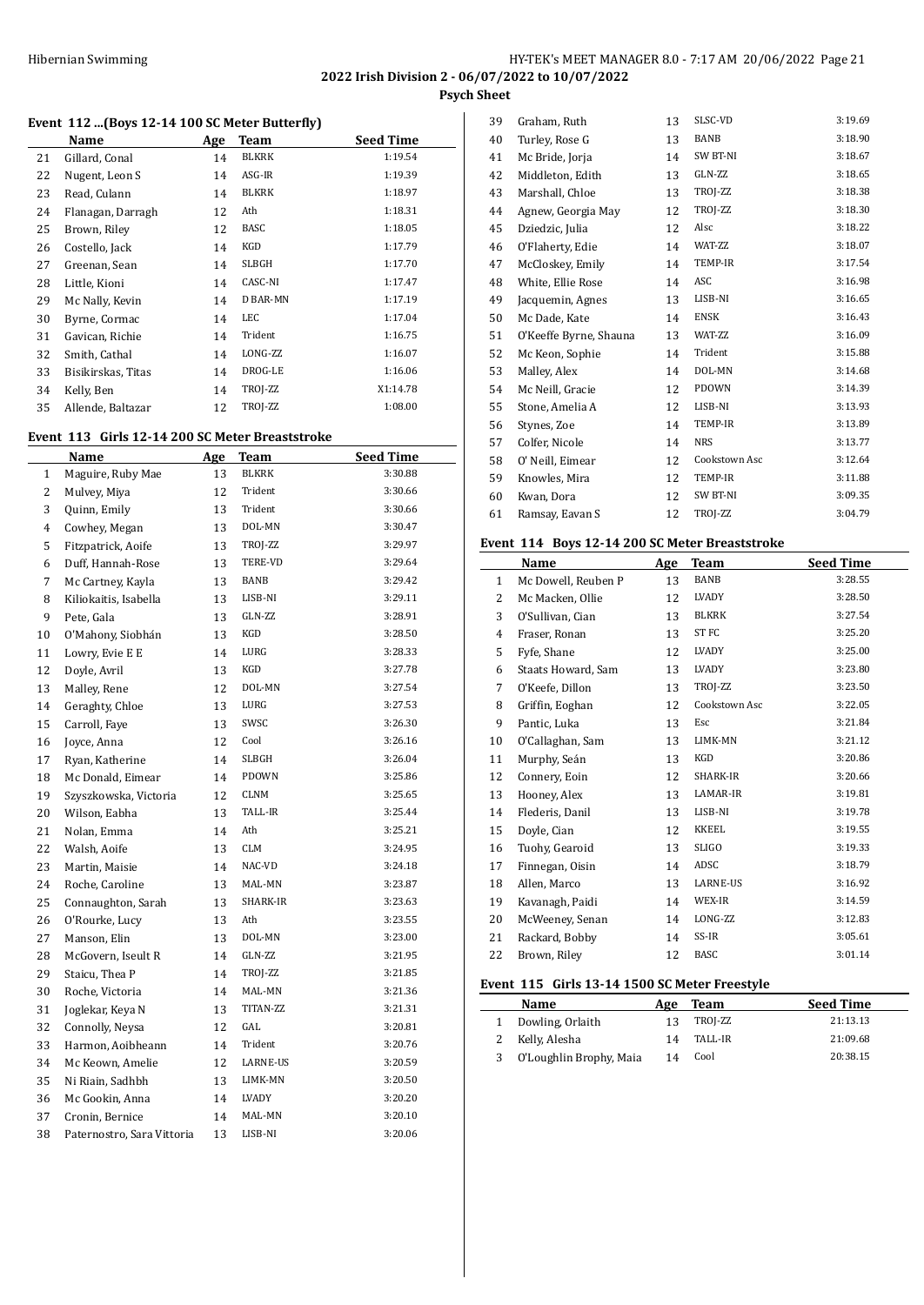**Psych Sheet**

# **Event 112 ...(Boys 12-14 100 SC Meter Butterfly)**

|    | Name               | Age | Team         | <b>Seed Time</b> |
|----|--------------------|-----|--------------|------------------|
| 21 | Gillard, Conal     | 14  | BLKRK        | 1:19.54          |
| 22 | Nugent, Leon S     | 14  | ASG-IR       | 1:19.39          |
| 23 | Read, Culann       | 14  | <b>BLKRK</b> | 1:18.97          |
| 24 | Flanagan, Darragh  | 12  | Ath          | 1:18.31          |
| 25 | Brown, Riley       | 12  | <b>BASC</b>  | 1:18.05          |
| 26 | Costello, Jack     | 14  | KGD          | 1:17.79          |
| 27 | Greenan, Sean      | 14  | <b>SLBGH</b> | 1:17.70          |
| 28 | Little, Kioni      | 14  | CASC-NI      | 1:17.47          |
| 29 | Mc Nally, Kevin    | 14  | D BAR-MN     | 1:17.19          |
| 30 | Byrne, Cormac      | 14  | LEC          | 1:17.04          |
| 31 | Gavican, Richie    | 14  | Trident      | 1:16.75          |
| 32 | Smith, Cathal      | 14  | LONG-ZZ      | 1:16.07          |
| 33 | Bisikirskas, Titas | 14  | DROG-LE      | 1:16.06          |
| 34 | Kelly, Ben         | 14  | TROJ-ZZ      | X1:14.78         |
| 35 | Allende, Baltazar  | 12  | TROJ-ZZ      | 1:08.00          |

#### **Event 113 Girls 12-14 200 SC Meter Breaststroke**

|              | Name                       | Age | <b>Team</b>    | <b>Seed Time</b> |
|--------------|----------------------------|-----|----------------|------------------|
| $\mathbf{1}$ | Maguire, Ruby Mae          | 13  | <b>BLKRK</b>   | 3:30.88          |
| 2            | Mulvey, Miya               | 12  | Trident        | 3:30.66          |
| 3            | Quinn, Emily               | 13  | Trident        | 3:30.66          |
| 4            | Cowhey, Megan              | 13  | DOL-MN         | 3:30.47          |
| 5            | Fitzpatrick, Aoife         | 13  | TROJ-ZZ        | 3:29.97          |
| 6            | Duff, Hannah-Rose          | 13  | <b>TERE-VD</b> | 3:29.64          |
| 7            | Mc Cartney, Kayla          | 13  | BANB           | 3:29.42          |
| 8            | Kiliokaitis, Isabella      | 13  | LISB-NI        | 3:29.11          |
| 9            | Pete, Gala                 | 13  | GLN-ZZ         | 3:28.91          |
| 10           | O'Mahony, Siobhán          | 13  | KGD            | 3:28.50          |
| 11           | Lowry, Evie E E            | 14  | LURG           | 3:28.33          |
| 12           | Doyle, Avril               | 13  | KGD            | 3:27.78          |
| 13           | Malley, Rene               | 12  | DOL-MN         | 3:27.54          |
| 14           | Geraghty, Chloe            | 13  | LURG           | 3:27.53          |
| 15           | Carroll, Fave              | 13  | SWSC           | 3:26.30          |
| 16           | Joyce, Anna                | 12  | Cool           | 3:26.16          |
| 17           | Ryan, Katherine            | 14  | <b>SLBGH</b>   | 3:26.04          |
| 18           | Mc Donald, Eimear          | 14  | PDOWN          | 3:25.86          |
| 19           | Szyszkowska, Victoria      | 12  | CLNM           | 3:25.65          |
| 20           | Wilson, Eabha              | 13  | TALL-IR        | 3:25.44          |
| 21           | Nolan, Emma                | 14  | Ath            | 3:25.21          |
| 22           | Walsh, Aoife               | 13  | <b>CLM</b>     | 3:24.95          |
| 23           | Martin, Maisie             | 14  | NAC-VD         | 3:24.18          |
| 24           | Roche, Caroline            | 13  | MAL-MN         | 3:23.87          |
| 25           | Connaughton, Sarah         | 13  | SHARK-IR       | 3:23.63          |
| 26           | O'Rourke, Lucy             | 13  | Ath            | 3:23.55          |
| 27           | Manson, Elin               | 13  | DOL-MN         | 3:23.00          |
| 28           | McGovern, Iseult R         | 14  | GLN-ZZ         | 3:21.95          |
| 29           | Staicu, Thea P             | 14  | TROJ-ZZ        | 3:21.85          |
| 30           | Roche, Victoria            | 14  | MAL-MN         | 3:21.36          |
| 31           | Joglekar, Keya N           | 13  | TITAN-ZZ       | 3:21.31          |
| 32           | Connolly, Neysa            | 12  | GAL            | 3:20.81          |
| 33           | Harmon, Aoibheann          | 14  | Trident        | 3:20.76          |
| 34           | Mc Keown, Amelie           | 12  | LARNE-US       | 3:20.59          |
| 35           | Ni Riain, Sadhbh           | 13  | LIMK-MN        | 3:20.50          |
| 36           | Mc Gookin, Anna            | 14  | LVADY          | 3:20.20          |
| 37           | Cronin, Bernice            | 14  | MAL-MN         | 3:20.10          |
| 38           | Paternostro, Sara Vittoria | 13  | LISB-NI        | 3:20.06          |

| 39 | Graham, Ruth           | 13 | SLSC-VD       | 3:19.69 |
|----|------------------------|----|---------------|---------|
| 40 | Turley, Rose G         | 13 | <b>BANB</b>   | 3:18.90 |
| 41 | Mc Bride, Jorja        | 14 | SW BT-NI      | 3:18.67 |
| 42 | Middleton, Edith       | 13 | GLN-ZZ        | 3:18.65 |
| 43 | Marshall, Chloe        | 13 | TROJ-ZZ       | 3:18.38 |
| 44 | Agnew, Georgia May     | 12 | TROJ-ZZ       | 3:18.30 |
| 45 | Dziedzic, Julia        | 12 | Alsc          | 3:18.22 |
| 46 | O'Flaherty, Edie       | 14 | WAT-ZZ        | 3:18.07 |
| 47 | McCloskey, Emily       | 14 | TEMP-IR       | 3:17.54 |
| 48 | White, Ellie Rose      | 14 | ASC           | 3:16.98 |
| 49 | Jacquemin, Agnes       | 13 | LISB-NI       | 3:16.65 |
| 50 | Mc Dade, Kate          | 14 | <b>ENSK</b>   | 3:16.43 |
| 51 | O'Keeffe Byrne, Shauna | 13 | WAT-ZZ        | 3:16.09 |
| 52 | Mc Keon, Sophie        | 14 | Trident       | 3:15.88 |
| 53 | Malley, Alex           | 14 | DOL-MN        | 3:14.68 |
| 54 | Mc Neill, Gracie       | 12 | PDOWN         | 3:14.39 |
| 55 | Stone, Amelia A        | 12 | LISB-NI       | 3:13.93 |
| 56 | Stynes, Zoe            | 14 | TEMP-IR       | 3:13.89 |
| 57 | Colfer, Nicole         | 14 | <b>NRS</b>    | 3:13.77 |
| 58 | 0' Neill, Eimear       | 12 | Cookstown Asc | 3:12.64 |
| 59 | Knowles, Mira          | 12 | TEMP-IR       | 3:11.88 |
| 60 | Kwan, Dora             | 12 | SW BT-NI      | 3:09.35 |
| 61 | Ramsay, Eavan S        | 12 | TROJ-ZZ       | 3:04.79 |
|    |                        |    |               |         |

#### **Event 114 Boys 12-14 200 SC Meter Breaststroke**

|              | Name                | <b>Age</b> | Team             | <b>Seed Time</b> |
|--------------|---------------------|------------|------------------|------------------|
| $\mathbf{1}$ | Mc Dowell, Reuben P | 13         | BANB             | 3:28.55          |
| 2            | Mc Macken, Ollie    | 12         | LVADY            | 3:28.50          |
| 3            | O'Sullivan, Cian    | 13         | <b>BLKRK</b>     | 3:27.54          |
| 4            | Fraser, Ronan       | 13         | ST <sub>FC</sub> | 3:25.20          |
| 5            | Fyfe, Shane         | 12         | LVADY            | 3:25.00          |
| 6            | Staats Howard, Sam  | 13         | LVADY            | 3:23.80          |
| 7            | O'Keefe, Dillon     | 13         | TROJ-ZZ          | 3:23.50          |
| 8            | Griffin, Eoghan     | 12         | Cookstown Asc    | 3:22.05          |
| 9            | Pantic, Luka        | 13         | Esc              | 3:21.84          |
| 10           | O'Callaghan, Sam    | 13         | LIMK-MN          | 3:21.12          |
| 11           | Murphy, Seán        | 13         | KGD              | 3:20.86          |
| 12           | Connery, Eoin       | 12         | <b>SHARK-IR</b>  | 3:20.66          |
| 13           | Hooney, Alex        | 13         | LAMAR-IR         | 3:19.81          |
| 14           | Flederis, Danil     | 13         | LISB-NI          | 3:19.78          |
| 15           | Doyle, Cian         | 12         | <b>KKEEL</b>     | 3:19.55          |
| 16           | Tuohy, Gearoid      | 13         | <b>SLIGO</b>     | 3:19.33          |
| 17           | Finnegan, Oisin     | 14         | ADSC             | 3:18.79          |
| 18           | Allen, Marco        | 13         | LARNE-US         | 3:16.92          |
| 19           | Kavanagh, Paidi     | 14         | WEX-IR           | 3:14.59          |
| 20           | McWeeney, Senan     | 14         | LONG-ZZ          | 3:12.83          |
| 21           | Rackard, Bobby      | 14         | SS-IR            | 3:05.61          |
| 22           | Brown, Riley        | 12         | <b>BASC</b>      | 3:01.14          |

#### **Event 115 Girls 13-14 1500 SC Meter Freestyle**

| Little 119 unis 19 17 1900 Schitter Heestric |     |         |                  |  |
|----------------------------------------------|-----|---------|------------------|--|
| <b>Name</b>                                  | Age | Team    | <b>Seed Time</b> |  |
| Dowling, Orlaith                             | 13  | TROI-ZZ | 21:13.13         |  |
| 2 Kelly, Alesha                              | 14  | TALL-IR | 21:09.68         |  |
| O'Loughlin Brophy, Maia                      | 14  | Cool    | 20:38.15         |  |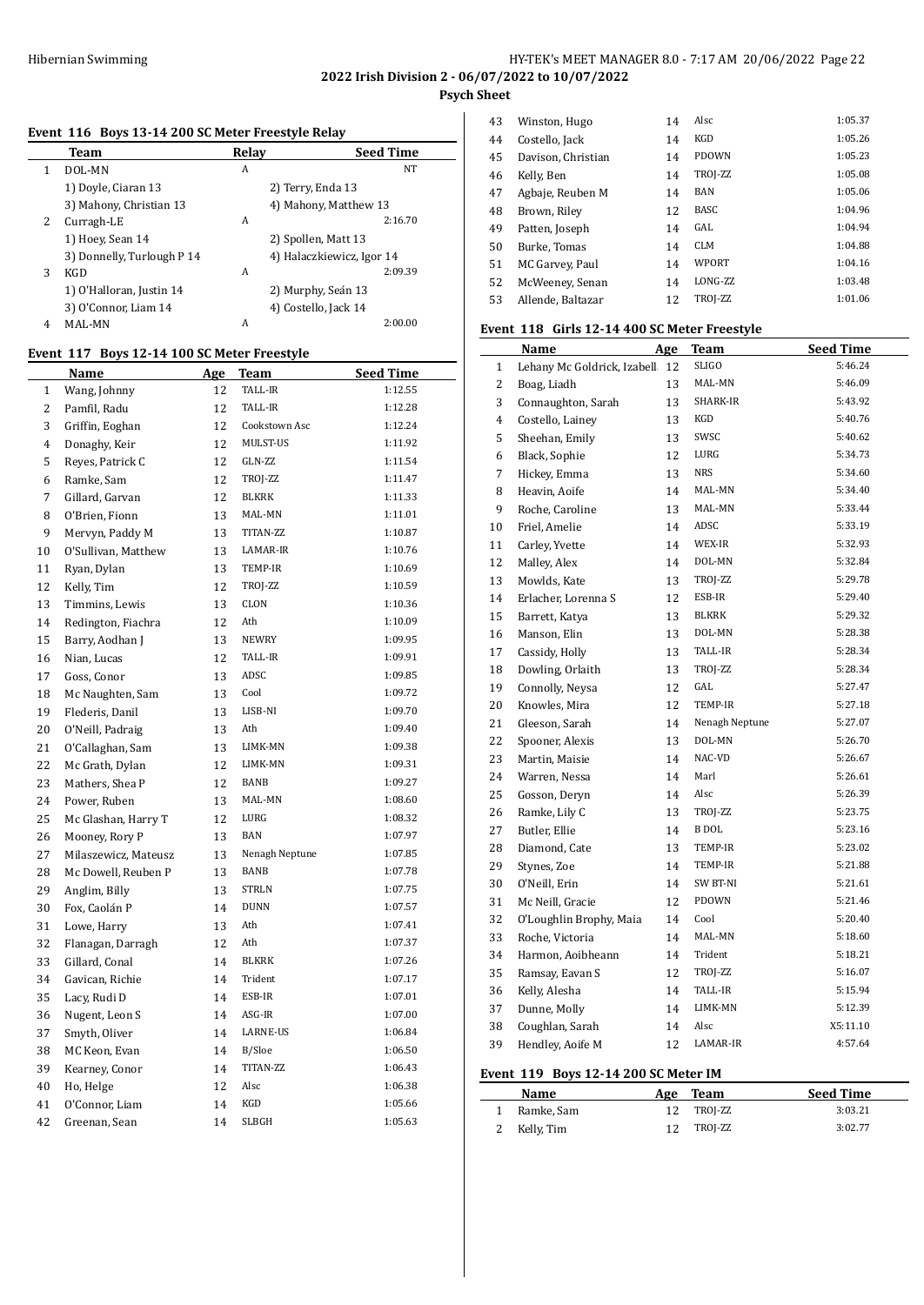**2022 Irish Division 2 - 06/07/2022 to 10/07/2022**

# **Psych Sheet**

# **Event 116 Boys 13-14 200 SC Meter Freestyle Relay**

|   | Team                       | Relav | <b>Seed Time</b>          |
|---|----------------------------|-------|---------------------------|
| 1 | DOL-MN                     | A     | <b>NT</b>                 |
|   | 1) Doyle, Ciaran 13        |       | 2) Terry, Enda 13         |
|   | 3) Mahony, Christian 13    |       | 4) Mahony, Matthew 13     |
| 2 | Curragh-LE                 | A     | 2:16.70                   |
|   | 1) Hoey, Sean 14           |       | 2) Spollen, Matt 13       |
|   | 3) Donnelly, Turlough P 14 |       | 4) Halaczkiewicz, Igor 14 |
| 3 | KGD                        | A     | 2:09.39                   |
|   | 1) O'Halloran, Justin 14   |       | 2) Murphy, Seán 13        |
|   | 3) O'Connor, Liam 14       |       | 4) Costello, Jack 14      |
| 4 | MAL-MN                     | A     | 2:00.00                   |

# **Event 117 Boys 12-14 100 SC Meter Freestyle**

|                | Name                 | Age | Team           | <b>Seed Time</b> |
|----------------|----------------------|-----|----------------|------------------|
| $\mathbf{1}$   | Wang, Johnny         | 12  | TALL-IR        | 1:12.55          |
| 2              | Pamfil, Radu         | 12  | TALL-IR        | 1:12.28          |
| 3              | Griffin, Eoghan      | 12  | Cookstown Asc  | 1:12.24          |
| $\overline{4}$ | Donaghy, Keir        | 12  | MULST-US       | 1:11.92          |
| 5              | Reyes, Patrick C     | 12  | GLN-ZZ         | 1:11.54          |
| 6              | Ramke, Sam           | 12  | TROJ-ZZ        | 1:11.47          |
| 7              | Gillard, Garvan      | 12  | <b>BLKRK</b>   | 1:11.33          |
| 8              | O'Brien, Fionn       | 13  | MAL-MN         | 1:11.01          |
| 9              | Mervyn, Paddy M      | 13  | TITAN-ZZ       | 1:10.87          |
| 10             | O'Sullivan, Matthew  | 13  | LAMAR-IR       | 1:10.76          |
| 11             | Ryan, Dylan          | 13  | TEMP-IR        | 1:10.69          |
| 12             | Kelly, Tim           | 12  | TROJ-ZZ        | 1:10.59          |
| 13             | Timmins, Lewis       | 13  | CLON           | 1:10.36          |
| 14             | Redington, Fiachra   | 12  | Ath            | 1:10.09          |
| 15             | Barry, Aodhan J      | 13  | <b>NEWRY</b>   | 1:09.95          |
| 16             | Nian, Lucas          | 12  | TALL-IR        | 1:09.91          |
| 17             | Goss, Conor          | 13  | ADSC           | 1:09.85          |
| 18             | Mc Naughten, Sam     | 13  | Cool           | 1:09.72          |
| 19             | Flederis, Danil      | 13  | LISB-NI        | 1:09.70          |
| 20             | O'Neill, Padraig     | 13  | Ath            | 1:09.40          |
| 21             | O'Callaghan, Sam     | 13  | LIMK-MN        | 1:09.38          |
| 22             | Mc Grath, Dylan      | 12  | LIMK-MN        | 1:09.31          |
| 23             | Mathers, Shea P      | 12  | BANB           | 1:09.27          |
| 24             | Power, Ruben         | 13  | MAL-MN         | 1:08.60          |
| 25             | Mc Glashan, Harry T  | 12  | LURG           | 1:08.32          |
| 26             | Mooney, Rory P       | 13  | <b>BAN</b>     | 1:07.97          |
| 27             | Milaszewicz, Mateusz | 13  | Nenagh Neptune | 1:07.85          |
| 28             | Mc Dowell, Reuben P  | 13  | BANB           | 1:07.78          |
| 29             | Anglim, Billy        | 13  | <b>STRLN</b>   | 1:07.75          |
| 30             | Fox, Caolán P        | 14  | <b>DUNN</b>    | 1:07.57          |
| 31             | Lowe, Harry          | 13  | Ath            | 1:07.41          |
| 32             | Flanagan, Darragh    | 12  | Ath            | 1:07.37          |
| 33             | Gillard, Conal       | 14  | <b>BLKRK</b>   | 1:07.26          |
| 34             | Gavican, Richie      | 14  | Trident        | 1:07.17          |
| 35             | Lacy, Rudi D         | 14  | ESB-IR         | 1:07.01          |
| 36             | Nugent, Leon S       | 14  | ASG-IR         | 1:07.00          |
| 37             | Smyth, Oliver        | 14  | LARNE-US       | 1:06.84          |
| 38             | MC Keon, Evan        | 14  | B/Sloe         | 1:06.50          |
| 39             | Kearney, Conor       | 14  | TITAN-ZZ       | 1:06.43          |
| 40             | Ho, Helge            | 12  | Alsc           | 1:06.38          |
| 41             | O'Connor, Liam       | 14  | KGD            | 1:05.66          |
| 42             | Greenan, Sean        | 14  | <b>SLBGH</b>   | 1:05.63          |

| 43 | Winston, Hugo      | 14 | Alsc         | 1:05.37 |
|----|--------------------|----|--------------|---------|
| 44 | Costello, Jack     | 14 | KGD          | 1:05.26 |
| 45 | Davison, Christian | 14 | <b>PDOWN</b> | 1:05.23 |
| 46 | Kelly, Ben         | 14 | TROJ-ZZ      | 1:05.08 |
| 47 | Agbaje, Reuben M   | 14 | <b>BAN</b>   | 1:05.06 |
| 48 | Brown, Riley       | 12 | <b>BASC</b>  | 1:04.96 |
| 49 | Patten, Joseph     | 14 | GAL          | 1:04.94 |
| 50 | Burke, Tomas       | 14 | <b>CLM</b>   | 1:04.88 |
| 51 | MC Garvey, Paul    | 14 | WPORT        | 1:04.16 |
| 52 | McWeeney, Senan    | 14 | LONG-ZZ      | 1:03.48 |
| 53 | Allende, Baltazar  | 12 | TROJ-ZZ      | 1:01.06 |
|    |                    |    |              |         |

# **Event 118 Girls 12-14 400 SC Meter Freestyle**

|    | Name                        | Age | Team           | <b>Seed Time</b> |
|----|-----------------------------|-----|----------------|------------------|
| 1  | Lehany Mc Goldrick, Izabell | 12  | <b>SLIGO</b>   | 5:46.24          |
| 2  | Boag, Liadh                 | 13  | MAL-MN         | 5:46.09          |
| 3  | Connaughton, Sarah          | 13  | SHARK-IR       | 5:43.92          |
| 4  | Costello, Lainey            | 13  | KGD            | 5:40.76          |
| 5  | Sheehan, Emily              | 13  | SWSC           | 5:40.62          |
| 6  | Black, Sophie               | 12  | LURG           | 5:34.73          |
| 7  | Hickey, Emma                | 13  | <b>NRS</b>     | 5:34.60          |
| 8  | Heavin, Aoife               | 14  | MAL-MN         | 5:34.40          |
| 9  | Roche, Caroline             | 13  | MAL-MN         | 5:33.44          |
| 10 | Friel, Amelie               | 14  | ADSC           | 5:33.19          |
| 11 | Carley, Yvette              | 14  | WEX-IR         | 5:32.93          |
| 12 | Malley, Alex                | 14  | DOL-MN         | 5:32.84          |
| 13 | Mowlds, Kate                | 13  | TROJ-ZZ        | 5:29.78          |
| 14 | Erlacher, Lorenna S         | 12  | ESB-IR         | 5:29.40          |
| 15 | Barrett, Katya              | 13  | <b>BLKRK</b>   | 5:29.32          |
| 16 | Manson, Elin                | 13  | DOL-MN         | 5:28.38          |
| 17 | Cassidy, Holly              | 13  | TALL-IR        | 5:28.34          |
| 18 | Dowling, Orlaith            | 13  | TROJ-ZZ        | 5:28.34          |
| 19 | Connolly, Neysa             | 12  | GAL            | 5:27.47          |
| 20 | Knowles, Mira               | 12  | TEMP-IR        | 5:27.18          |
| 21 | Gleeson, Sarah              | 14  | Nenagh Neptune | 5:27.07          |
| 22 | Spooner, Alexis             | 13  | DOL-MN         | 5:26.70          |
| 23 | Martin, Maisie              | 14  | NAC-VD         | 5:26.67          |
| 24 | Warren, Nessa               | 14  | Marl           | 5:26.61          |
| 25 | Gosson, Deryn               | 14  | Alsc           | 5:26.39          |
| 26 | Ramke, Lily C               | 13  | TROJ-ZZ        | 5:23.75          |
| 27 | Butler, Ellie               | 14  | <b>B</b> DOL   | 5:23.16          |
| 28 | Diamond, Cate               | 13  | TEMP-IR        | 5:23.02          |
| 29 | Stynes, Zoe                 | 14  | TEMP-IR        | 5:21.88          |
| 30 | O'Neill, Erin               | 14  | SW BT-NI       | 5:21.61          |
| 31 | Mc Neill, Gracie            | 12  | <b>PDOWN</b>   | 5:21.46          |
| 32 | O'Loughlin Brophy, Maia     | 14  | Cool           | 5:20.40          |
| 33 | Roche, Victoria             | 14  | MAL-MN         | 5:18.60          |
| 34 | Harmon, Aoibheann           | 14  | Trident        | 5:18.21          |
| 35 | Ramsay, Eavan S             | 12  | TROJ-ZZ        | 5:16.07          |
| 36 | Kelly, Alesha               | 14  | TALL-IR        | 5:15.94          |
| 37 | Dunne, Molly                | 14  | LIMK-MN        | 5:12.39          |
| 38 | Coughlan, Sarah             | 14  | Alsc           | X5:11.10         |
| 39 | Hendley, Aoife M            | 12  | LAMAR-IR       | 4:57.64          |

#### **Event 119 Boys 12-14 200 SC Meter IM**

| Name         | Age Team | <b>Seed Time</b> |
|--------------|----------|------------------|
| 1 Ramke, Sam | TROI-ZZ  | 3:03.21          |
| 2 Kelly, Tim | TROI-ZZ  | 3:02.77          |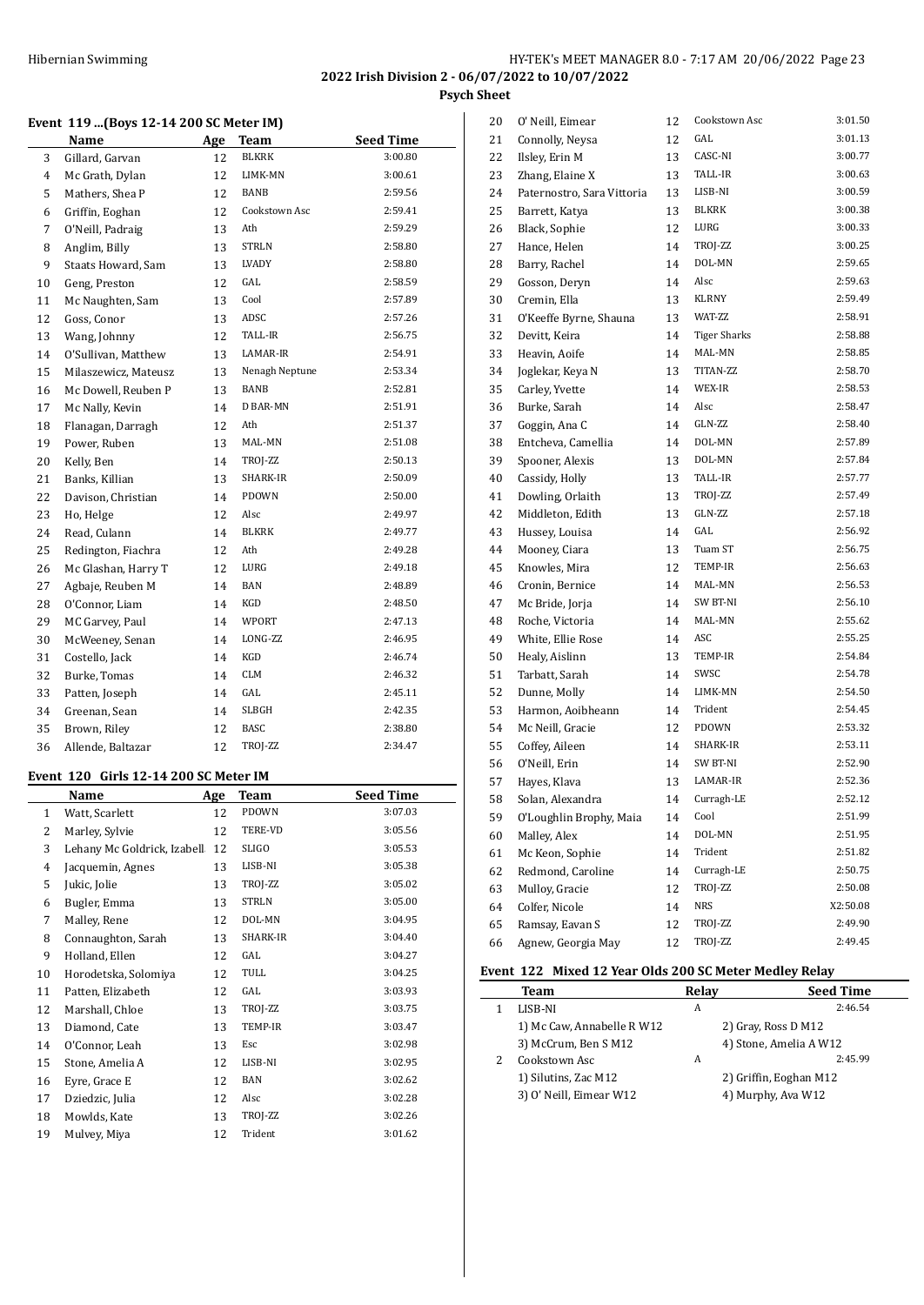## Hibernian Swimming **HY-TEK's MEET MANAGER 8.0 - 7:17 AM 20/06/2022** Page 23 **2022 Irish Division 2 - 06/07/2022 to 10/07/2022**

**Psych Sheet**

#### **Event 119 ...(Boys 12-14 200 SC Meter IM)**

|                | Name                 | Age | <b>Team</b>    | <b>Seed Time</b> |
|----------------|----------------------|-----|----------------|------------------|
| 3              | Gillard, Garvan      | 12  | <b>BLKRK</b>   | 3:00.80          |
| $\overline{4}$ | Mc Grath, Dylan      | 12  | LIMK-MN        | 3:00.61          |
| 5              | Mathers, Shea P      | 12  | BANB           | 2:59.56          |
| 6              | Griffin, Eoghan      | 12  | Cookstown Asc  | 2:59.41          |
| 7              | O'Neill, Padraig     | 13  | Ath            | 2:59.29          |
| 8              | Anglim, Billy        | 13  | <b>STRLN</b>   | 2:58.80          |
| 9              | Staats Howard, Sam   | 13  | LVADY          | 2:58.80          |
| 10             | Geng, Preston        | 12  | GAL            | 2:58.59          |
| 11             | Mc Naughten, Sam     | 13  | Cool           | 2:57.89          |
| 12             | Goss, Conor          | 13  | ADSC           | 2:57.26          |
| 13             | Wang, Johnny         | 12  | TALL-IR        | 2:56.75          |
| 14             | O'Sullivan, Matthew  | 13  | LAMAR-IR       | 2:54.91          |
| 15             | Milaszewicz, Mateusz | 13  | Nenagh Neptune | 2:53.34          |
| 16             | Mc Dowell, Reuben P  | 13  | <b>BANB</b>    | 2:52.81          |
| 17             | Mc Nally, Kevin      | 14  | D BAR-MN       | 2:51.91          |
| 18             | Flanagan, Darragh    | 12  | Ath            | 2:51.37          |
| 19             | Power, Ruben         | 13  | MAL-MN         | 2:51.08          |
| 20             | Kelly, Ben           | 14  | TROJ-ZZ        | 2:50.13          |
| 21             | Banks, Killian       | 13  | SHARK-IR       | 2:50.09          |
| 22             | Davison, Christian   | 14  | PDOWN          | 2:50.00          |
| 23             | Ho, Helge            | 12  | Alsc           | 2:49.97          |
| 24             | Read, Culann         | 14  | <b>BLKRK</b>   | 2:49.77          |
| 25             | Redington, Fiachra   | 12  | Ath            | 2:49.28          |
| 26             | Mc Glashan, Harry T  | 12  | LURG           | 2:49.18          |
| 27             | Agbaje, Reuben M     | 14  | BAN            | 2:48.89          |
| 28             | O'Connor, Liam       | 14  | KGD            | 2:48.50          |
| 29             | MC Garvey, Paul      | 14  | WPORT          | 2:47.13          |
| 30             | McWeeney, Senan      | 14  | LONG-ZZ        | 2:46.95          |
| 31             | Costello, Jack       | 14  | KGD            | 2:46.74          |
| 32             | Burke, Tomas         | 14  | <b>CLM</b>     | 2:46.32          |
| 33             | Patten, Joseph       | 14  | GAL            | 2:45.11          |
| 34             | Greenan, Sean        | 14  | <b>SLBGH</b>   | 2:42.35          |
| 35             | Brown, Riley         | 12  | <b>BASC</b>    | 2:38.80          |
| 36             | Allende, Baltazar    | 12  | TROJ-ZZ        | 2:34.47          |

# **Event 120 Girls 12-14 200 SC Meter IM**

|              | Name                        | Age | <b>Team</b>  | <b>Seed Time</b> |
|--------------|-----------------------------|-----|--------------|------------------|
| $\mathbf{1}$ | Watt, Scarlett              | 12  | PDOWN        | 3:07.03          |
| 2            | Marley, Sylvie              | 12  | TERE-VD      | 3:05.56          |
| 3            | Lehany Mc Goldrick, Izabell | 12  | SLIGO        | 3:05.53          |
| 4            | Jacquemin, Agnes            | 13  | LISB-NI      | 3:05.38          |
| 5            | Jukic, Jolie                | 13  | TROJ-ZZ      | 3:05.02          |
| 6            | Bugler, Emma                | 13  | <b>STRLN</b> | 3:05.00          |
| 7            | Malley, Rene                | 12  | DOL-MN       | 3:04.95          |
| 8            | Connaughton, Sarah          | 13  | SHARK-IR     | 3:04.40          |
| 9            | Holland, Ellen              | 12  | GAL          | 3:04.27          |
| 10           | Horodetska, Solomiya        | 12  | TULL         | 3:04.25          |
| 11           | Patten, Elizabeth           | 12  | GAL          | 3:03.93          |
| 12           | Marshall, Chloe             | 13  | TROJ-ZZ      | 3:03.75          |
| 13           | Diamond, Cate               | 13  | TEMP-IR      | 3:03.47          |
| 14           | O'Connor, Leah              | 13  | Esc          | 3:02.98          |
| 15           | Stone, Amelia A             | 12  | LISB-NI      | 3:02.95          |
| 16           | Eyre, Grace E               | 12  | <b>BAN</b>   | 3:02.62          |
| 17           | Dziedzic, Julia             | 12  | Alsc         | 3:02.28          |
| 18           | Mowlds, Kate                | 13  | TROJ-ZZ      | 3:02.26          |
| 19           | Mulvey, Miya                | 12  | Trident      | 3:01.62          |

| 20 | 0' Neill, Eimear           | 12 | Cookstown Asc       | 3:01.50  |
|----|----------------------------|----|---------------------|----------|
| 21 | Connolly, Neysa            | 12 | GAL                 | 3:01.13  |
| 22 | Ilsley, Erin M             | 13 | CASC-NI             | 3:00.77  |
| 23 | Zhang, Elaine X            | 13 | TALL-IR             | 3:00.63  |
| 24 | Paternostro, Sara Vittoria | 13 | LISB-NI             | 3:00.59  |
| 25 | Barrett, Katya             | 13 | <b>BLKRK</b>        | 3:00.38  |
| 26 | Black, Sophie              | 12 | LURG                | 3:00.33  |
| 27 | Hance, Helen               | 14 | TROJ-ZZ             | 3:00.25  |
| 28 | Barry, Rachel              | 14 | DOL-MN              | 2:59.65  |
| 29 | Gosson, Deryn              | 14 | Alsc                | 2:59.63  |
| 30 | Cremin, Ella               | 13 | <b>KLRNY</b>        | 2:59.49  |
| 31 | O'Keeffe Byrne, Shauna     | 13 | WAT-ZZ              | 2:58.91  |
| 32 | Devitt, Keira              | 14 | <b>Tiger Sharks</b> | 2:58.88  |
| 33 | Heavin, Aoife              | 14 | MAL-MN              | 2:58.85  |
| 34 | Joglekar, Keya N           | 13 | TITAN-ZZ            | 2:58.70  |
| 35 | Carley, Yvette             | 14 | WEX-IR              | 2:58.53  |
| 36 | Burke, Sarah               | 14 | Alsc                | 2:58.47  |
| 37 | Goggin, Ana C              | 14 | GLN-ZZ              | 2:58.40  |
| 38 | Entcheva, Camellia         | 14 | DOL-MN              | 2:57.89  |
| 39 | Spooner, Alexis            | 13 | DOL-MN              | 2:57.84  |
| 40 | Cassidy, Holly             | 13 | TALL-IR             | 2:57.77  |
| 41 | Dowling, Orlaith           | 13 | TROJ-ZZ             | 2:57.49  |
| 42 | Middleton, Edith           | 13 | GLN-ZZ              | 2:57.18  |
| 43 | Hussey, Louisa             | 14 | GAL.                | 2:56.92  |
| 44 | Mooney, Ciara              | 13 | Tuam ST             | 2:56.75  |
| 45 | Knowles, Mira              | 12 | TEMP-IR             | 2:56.63  |
| 46 | Cronin, Bernice            | 14 | MAL-MN              | 2:56.53  |
| 47 | Mc Bride, Jorja            | 14 | SW BT-NI            | 2:56.10  |
| 48 | Roche, Victoria            | 14 | MAL-MN              | 2:55.62  |
| 49 | White, Ellie Rose          | 14 | ASC                 | 2:55.25  |
| 50 | Healy, Aislinn             | 13 | TEMP-IR             | 2:54.84  |
| 51 | Tarbatt, Sarah             | 14 | SWSC                | 2:54.78  |
| 52 | Dunne, Molly               | 14 | LIMK-MN             | 2:54.50  |
| 53 | Harmon, Aoibheann          | 14 | Trident             | 2:54.45  |
| 54 | Mc Neill, Gracie           | 12 | PDOWN               | 2:53.32  |
| 55 | Coffey, Aileen             | 14 | <b>SHARK-IR</b>     | 2:53.11  |
| 56 | O'Neill, Erin              | 14 | SW BT-NI            | 2:52.90  |
| 57 | Hayes, Klava               | 13 | LAMAR-IR            | 2:52.36  |
| 58 | Solan, Alexandra           | 14 | Curragh-LE          | 2:52.12  |
| 59 | O'Loughlin Brophy, Maia    | 14 | Cool                | 2:51.99  |
| 60 | Malley, Alex               | 14 | DOL-MN              | 2:51.95  |
| 61 | Mc Keon, Sophie            | 14 | Trident             | 2:51.82  |
| 62 | Redmond, Caroline          | 14 | Curragh-LE          | 2:50.75  |
| 63 | Mulloy, Gracie             | 12 | TROJ-ZZ             | 2:50.08  |
| 64 | Colfer, Nicole             | 14 | NRS                 | X2:50.08 |
| 65 | Ramsay, Eavan S            | 12 | TROJ-ZZ             | 2:49.90  |
| 66 | Agnew, Georgia May         | 12 | TROJ-ZZ             | 2:49.45  |

# **Event 122 Mixed 12 Year Olds 200 SC Meter Medley Relay**

| EVENT 122 MIXED 12 TEAL UNIS 200 SC METEL MEDIEV REIAV |       |                        |  |  |  |
|--------------------------------------------------------|-------|------------------------|--|--|--|
| Team                                                   | Relay | <b>Seed Time</b>       |  |  |  |
| LISB-NI                                                | A     | 2:46.54                |  |  |  |
| 1) Mc Caw, Annabelle R W12                             |       | 2) Gray, Ross D M12    |  |  |  |
| 3) McCrum, Ben S M12                                   |       | 4) Stone, Amelia A W12 |  |  |  |
| Cookstown Asc                                          | A     | 2:45.99                |  |  |  |
| 1) Silutins, Zac M12                                   |       | 2) Griffin, Eoghan M12 |  |  |  |
| 3) O' Neill, Eimear W12                                |       | 4) Murphy, Aya W12     |  |  |  |
|                                                        |       |                        |  |  |  |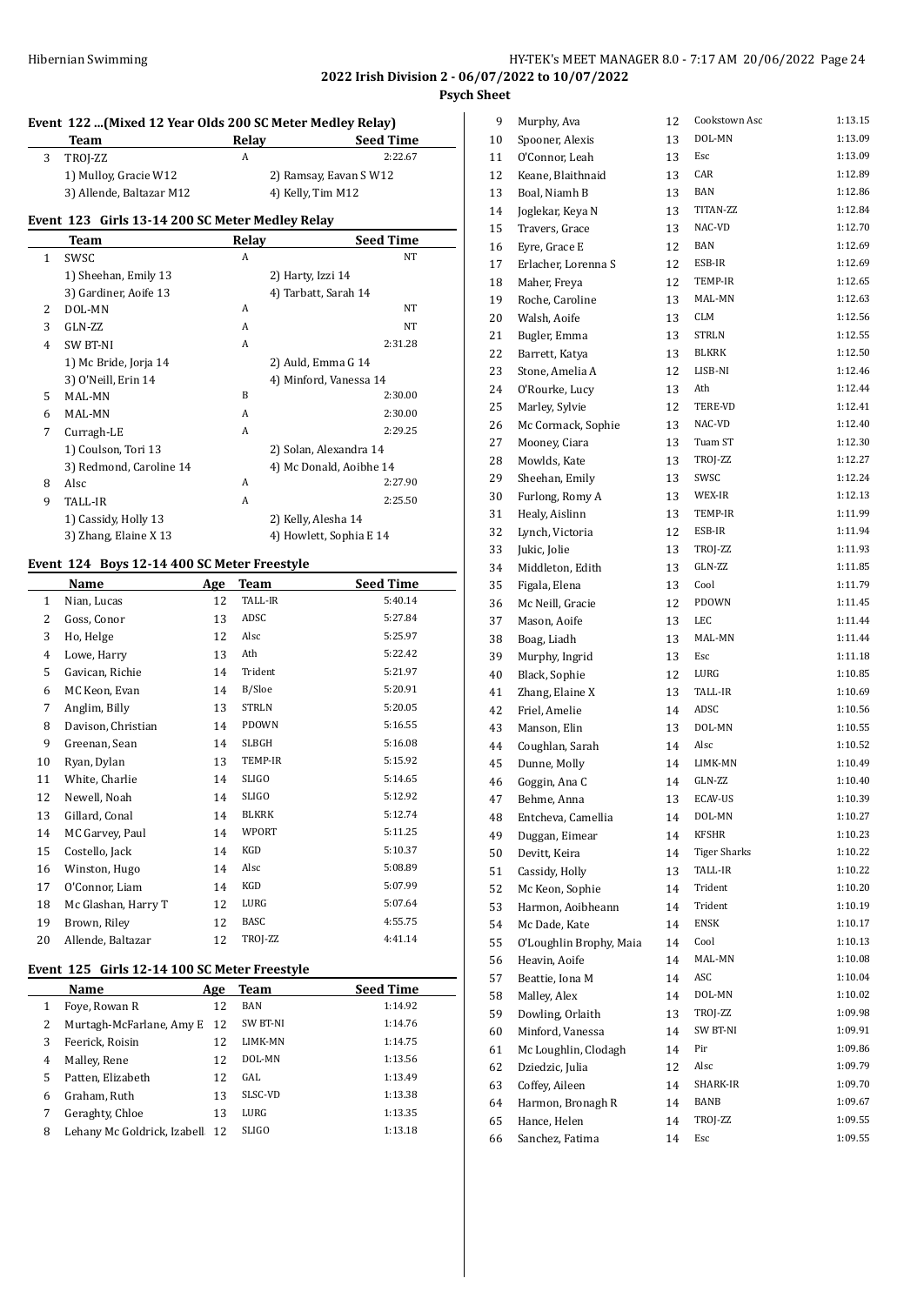#### **Event 122 ...(Mixed 12 Year Olds 200 SC Meter Medley Relay)**

| Team                     | Relay | <b>Seed Time</b>       |
|--------------------------|-------|------------------------|
| TROI-ZZ                  | А     | 2:22.67                |
| 1) Mulloy, Gracie W12    |       | 2) Ramsay, Eavan S W12 |
| 3) Allende, Baltazar M12 |       | 4) Kelly, Tim M12      |

#### **Event 123 Girls 13-14 200 SC Meter Medley Relay**

|   | Team                    | Relav | <b>Seed Time</b>        |
|---|-------------------------|-------|-------------------------|
| 1 | SWSC                    | A     | NT                      |
|   | 1) Sheehan, Emily 13    |       | 2) Harty, Izzi 14       |
|   | 3) Gardiner, Aoife 13   |       | 4) Tarbatt, Sarah 14    |
| 2 | DOL-MN                  | A     | NT                      |
| 3 | GLN-ZZ                  | A     | <b>NT</b>               |
| 4 | <b>SW BT-NI</b>         | A     | 2:31.28                 |
|   | 1) Mc Bride, Jorja 14   |       | 2) Auld, Emma G 14      |
|   | 3) O'Neill, Erin 14     |       | 4) Minford, Vanessa 14  |
| 5 | MAL-MN                  | B     | 2:30.00                 |
| 6 | MAL-MN                  | A     | 2:30.00                 |
| 7 | Curragh-LE              | A     | 2:29.25                 |
|   | 1) Coulson, Tori 13     |       | 2) Solan, Alexandra 14  |
|   | 3) Redmond, Caroline 14 |       | 4) Mc Donald, Aoibhe 14 |
| 8 | Alsc                    | A     | 2:27.90                 |
| 9 | TALL-IR                 | A     | 2:25.50                 |
|   | 1) Cassidy, Holly 13    |       | 2) Kelly, Alesha 14     |
|   | 3) Zhang, Elaine X 13   |       | 4) Howlett, Sophia E 14 |

#### **Event 124 Boys 12-14 400 SC Meter Freestyle**

|                | Name                | Age | Team           | <b>Seed Time</b> |
|----------------|---------------------|-----|----------------|------------------|
| $\mathbf{1}$   | Nian, Lucas         | 12  | <b>TALL-IR</b> | 5:40.14          |
| 2              | Goss, Conor         | 13  | ADSC           | 5:27.84          |
| 3              | Ho, Helge           | 12  | Alsc           | 5:25.97          |
| $\overline{4}$ | Lowe, Harry         | 13  | Ath            | 5:22.42          |
| 5              | Gavican, Richie     | 14  | Trident        | 5:21.97          |
| 6              | MC Keon, Evan       | 14  | B/Sloe         | 5:20.91          |
| 7              | Anglim, Billy       | 13  | <b>STRLN</b>   | 5:20.05          |
| 8              | Davison, Christian  | 14  | <b>PDOWN</b>   | 5:16.55          |
| 9              | Greenan, Sean       | 14  | SLBGH          | 5:16.08          |
| 10             | Ryan, Dylan         | 13  | TEMP-IR        | 5:15.92          |
| 11             | White, Charlie      | 14  | <b>SLIGO</b>   | 5:14.65          |
| 12             | Newell, Noah        | 14  | <b>SLIGO</b>   | 5:12.92          |
| 13             | Gillard, Conal      | 14  | <b>BLKRK</b>   | 5:12.74          |
| 14             | MC Garvey, Paul     | 14  | WPORT          | 5:11.25          |
| 15             | Costello, Jack      | 14  | KGD            | 5:10.37          |
| 16             | Winston, Hugo       | 14  | Alsc           | 5:08.89          |
| 17             | O'Connor, Liam      | 14  | KGD            | 5:07.99          |
| 18             | Mc Glashan, Harry T | 12  | LURG           | 5:07.64          |
| 19             | Brown, Riley        | 12  | <b>BASC</b>    | 4:55.75          |
| 20             | Allende, Baltazar   | 12  | TROJ-ZZ        | 4:41.14          |

# **Event 125 Girls 12-14 100 SC Meter Freestyle**

 $\overline{a}$ 

|   | Name                           | Age | Team         | <b>Seed Time</b> |
|---|--------------------------------|-----|--------------|------------------|
| 1 | Foye, Rowan R                  | 12  | <b>BAN</b>   | 1:14.92          |
| 2 | Murtagh-McFarlane, Amy E       | -12 | SW BT-NI     | 1:14.76          |
| 3 | Feerick, Roisin                | 12  | LIMK-MN      | 1:14.75          |
| 4 | Malley, Rene                   | 12  | DOL-MN       | 1:13.56          |
| 5 | Patten, Elizabeth              | 12  | GAL          | 1:13.49          |
| 6 | Graham, Ruth                   | 13  | SLSC-VD      | 1:13.38          |
| 7 | Geraghty, Chloe                | 13  | LURG         | 1:13.35          |
| 8 | Lehany Mc Goldrick, Izabell 12 |     | <b>SLIGO</b> | 1:13.18          |

| 9  | Murphy, Ava             | 12 | Cookstown Asc       | 1:13.15 |
|----|-------------------------|----|---------------------|---------|
| 10 | Spooner, Alexis         | 13 | DOL-MN              | 1:13.09 |
| 11 | O'Connor, Leah          | 13 | Esc                 | 1:13.09 |
| 12 | Keane, Blaithnaid       | 13 | CAR                 | 1:12.89 |
| 13 | Boal, Niamh B           | 13 | BAN                 | 1:12.86 |
| 14 | Joglekar, Keya N        | 13 | TITAN-ZZ            | 1:12.84 |
| 15 | Travers, Grace          | 13 | NAC-VD              | 1:12.70 |
| 16 | Eyre, Grace E           | 12 | BAN                 | 1:12.69 |
| 17 | Erlacher, Lorenna S     | 12 | ESB-IR              | 1:12.69 |
| 18 | Maher, Freya            | 12 | TEMP-IR             | 1:12.65 |
| 19 | Roche, Caroline         | 13 | MAL-MN              | 1:12.63 |
| 20 | Walsh, Aoife            | 13 | <b>CLM</b>          | 1:12.56 |
| 21 | Bugler, Emma            | 13 | <b>STRLN</b>        | 1:12.55 |
| 22 | Barrett, Katya          | 13 | BLKRK               | 1:12.50 |
| 23 | Stone, Amelia A         | 12 | LISB-NI             | 1:12.46 |
| 24 | O'Rourke, Lucy          | 13 | Ath                 | 1:12.44 |
| 25 | Marley, Sylvie          | 12 | TERE-VD             | 1:12.41 |
| 26 | Mc Cormack, Sophie      | 13 | NAC-VD              | 1:12.40 |
| 27 | Mooney, Ciara           | 13 | Tuam ST             | 1:12.30 |
| 28 | Mowlds, Kate            | 13 | TROJ-ZZ             | 1:12.27 |
| 29 | Sheehan, Emily          | 13 | SWSC                | 1:12.24 |
| 30 | Furlong, Romy A         | 13 | WEX-IR              | 1:12.13 |
| 31 | Healy, Aislinn          | 13 | TEMP-IR             | 1:11.99 |
| 32 | Lynch, Victoria         | 12 | ESB-IR              | 1:11.94 |
| 33 | Jukic, Jolie            | 13 | TROJ-ZZ             | 1:11.93 |
| 34 | Middleton, Edith        | 13 | GLN-ZZ              | 1:11.85 |
| 35 | Figala, Elena           | 13 | Cool                | 1:11.79 |
| 36 | Mc Neill, Gracie        | 12 | PDOWN               | 1:11.45 |
| 37 | Mason, Aoife            | 13 | LEC                 | 1:11.44 |
| 38 | Boag, Liadh             | 13 | MAL-MN              | 1:11.44 |
| 39 | Murphy, Ingrid          | 13 | Esc                 | 1:11.18 |
| 40 | Black, Sophie           | 12 | LURG                | 1:10.85 |
| 41 | Zhang, Elaine X         | 13 | TALL-IR             | 1:10.69 |
| 42 | Friel, Amelie           | 14 | ADSC                | 1:10.56 |
| 43 | Manson, Elin            | 13 | DOL-MN              | 1:10.55 |
| 44 | Coughlan, Sarah         | 14 | Alsc                | 1:10.52 |
| 45 | Dunne, Molly            | 14 | LIMK-MN             | 1:10.49 |
| 46 | Goggin, Ana C           | 14 | GLN-ZZ              | 1:10.40 |
| 47 | Behme, Anna             | 13 | <b>ECAV-US</b>      | 1:10.39 |
| 48 |                         | 14 | DOL-MN              | 1:10.27 |
| 49 | Entcheva, Camellia      |    | KFSHR               | 1:10.23 |
|    | Duggan, Eimear          | 14 | <b>Tiger Sharks</b> | 1:10.22 |
| 50 | Devitt, Keira           | 14 | TALL-IR             | 1:10.22 |
| 51 | Cassidy, Holly          | 13 | Trident             | 1:10.20 |
| 52 | Mc Keon, Sophie         | 14 | Trident             | 1:10.19 |
| 53 | Harmon, Aoibheann       | 14 | <b>ENSK</b>         | 1:10.17 |
| 54 | Mc Dade, Kate           | 14 |                     |         |
| 55 | O'Loughlin Brophy, Maia | 14 | Cool                | 1:10.13 |
| 56 | Heavin, Aoife           | 14 | MAL-MN              | 1:10.08 |
| 57 | Beattie, Iona M         | 14 | ASC                 | 1:10.04 |
| 58 | Malley, Alex            | 14 | DOL-MN              | 1:10.02 |
| 59 | Dowling, Orlaith        | 13 | TROJ-ZZ             | 1:09.98 |
| 60 | Minford, Vanessa        | 14 | SW BT-NI            | 1:09.91 |
| 61 | Mc Loughlin, Clodagh    | 14 | Pir                 | 1:09.86 |
| 62 | Dziedzic, Julia         | 12 | Alsc                | 1:09.79 |
| 63 | Coffey, Aileen          | 14 | SHARK-IR            | 1:09.70 |
| 64 | Harmon, Bronagh R       | 14 | BANB                | 1:09.67 |
| 65 | Hance, Helen            | 14 | TROJ-ZZ             | 1:09.55 |
| 66 | Sanchez, Fatima         | 14 | Esc                 | 1:09.55 |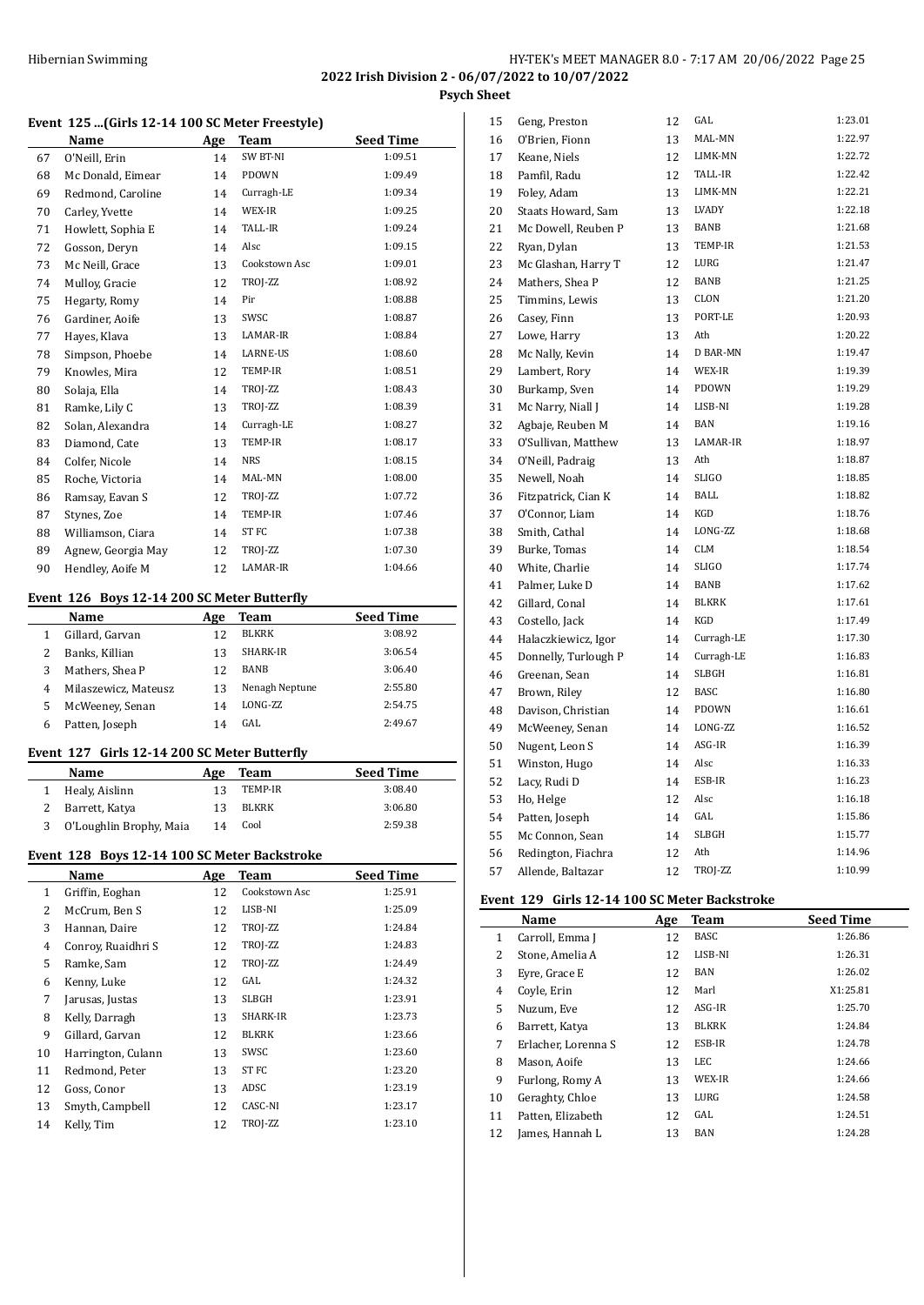# HY-TEK's MEET MANAGER 8.0 - 7:17 AM 20/06/2022 Page 25 **2022 Irish Division 2 - 06/07/2022 to 10/07/2022**

**Psych Sheet**

#### **Event 125 ...(Girls 12-14 100 SC Meter Freestyle)**

|    | Name               | Age | Team             | <b>Seed Time</b> |
|----|--------------------|-----|------------------|------------------|
| 67 | O'Neill, Erin      | 14  | SW BT-NI         | 1:09.51          |
| 68 | Mc Donald, Eimear  | 14  | PDOWN            | 1:09.49          |
| 69 | Redmond, Caroline  | 14  | Curragh-LE       | 1:09.34          |
| 70 | Carley, Yvette     | 14  | WEX-IR           | 1:09.25          |
| 71 | Howlett, Sophia E  | 14  | <b>TALL-IR</b>   | 1:09.24          |
| 72 | Gosson, Deryn      | 14  | Alsc             | 1:09.15          |
| 73 | Mc Neill, Grace    | 13  | Cookstown Asc    | 1:09.01          |
| 74 | Mulloy, Gracie     | 12  | TROJ-ZZ          | 1:08.92          |
| 75 | Hegarty, Romy      | 14  | Pir              | 1:08.88          |
| 76 | Gardiner, Aoife    | 13  | SWSC             | 1:08.87          |
| 77 | Hayes, Klava       | 13  | LAMAR-IR         | 1:08.84          |
| 78 | Simpson, Phoebe    | 14  | LARNE-US         | 1:08.60          |
| 79 | Knowles, Mira      | 12  | TEMP-IR          | 1:08.51          |
| 80 | Solaja, Ella       | 14  | TROJ-ZZ          | 1:08.43          |
| 81 | Ramke, Lily C      | 13  | TROJ-ZZ          | 1:08.39          |
| 82 | Solan, Alexandra   | 14  | Curragh-LE       | 1:08.27          |
| 83 | Diamond, Cate      | 13  | TEMP-IR          | 1:08.17          |
| 84 | Colfer, Nicole     | 14  | <b>NRS</b>       | 1:08.15          |
| 85 | Roche, Victoria    | 14  | MAL-MN           | 1:08.00          |
| 86 | Ramsay, Eavan S    | 12  | TROJ-ZZ          | 1:07.72          |
| 87 | Stynes, Zoe        | 14  | TEMP-IR          | 1:07.46          |
| 88 | Williamson, Ciara  | 14  | ST <sub>FC</sub> | 1:07.38          |
| 89 | Agnew, Georgia May | 12  | TROJ-ZZ          | 1:07.30          |
| 90 | Hendley, Aoife M   | 12  | LAMAR-IR         | 1:04.66          |

#### **Event 126 Boys 12-14 200 SC Meter Butterfly**

 $\frac{1}{2}$ 

|   | Name                 | Age | Team             | <b>Seed Time</b> |
|---|----------------------|-----|------------------|------------------|
|   | Gillard, Garvan      | 12  | <b>BLKRK</b>     | 3:08.92          |
|   | Banks, Killian       | 13  | SHARK-IR         | 3:06.54          |
| 3 | Mathers, Shea P      | 12  | <b>BANB</b>      | 3:06.40          |
| 4 | Milaszewicz, Mateusz | 13  | Nenagh Neptune   | 2:55.80          |
| 5 | McWeeney, Senan      | 14  | <b>LONG-7.7.</b> | 2:54.75          |
| 6 | Patten, Joseph       | 14  | GAL              | 2:49.67          |
|   |                      |     |                  |                  |

## **Event 127 Girls 12-14 200 SC Meter Butterfly**

| Name                    | Age | Team    | <b>Seed Time</b> |
|-------------------------|-----|---------|------------------|
| Healy, Aislinn          |     | TEMP-IR | 3:08.40          |
| Barrett, Katya          |     | BLKRK   | 3:06.80          |
| O'Loughlin Brophy, Maia | 14  | Cool    | 2:59.38          |

#### **Event 128 Boys 12-14 100 SC Meter Backstroke**

|    | Name               | Age | Team          | <b>Seed Time</b> |
|----|--------------------|-----|---------------|------------------|
| 1  | Griffin, Eoghan    | 12  | Cookstown Asc | 1:25.91          |
| 2  | McCrum, Ben S      | 12  | LISB-NI       | 1:25.09          |
| 3  | Hannan, Daire      | 12  | TROJ-ZZ       | 1:24.84          |
| 4  | Conroy, Ruaidhri S | 12  | TROJ-ZZ       | 1:24.83          |
| 5  | Ramke, Sam         | 12  | TROJ-ZZ       | 1:24.49          |
| 6  | Kenny, Luke        | 12  | GAL           | 1:24.32          |
| 7  | Jarusas, Justas    | 13  | SLBGH         | 1:23.91          |
| 8  | Kelly, Darragh     | 13  | SHARK-IR      | 1:23.73          |
| 9  | Gillard, Garvan    | 12  | BLKRK         | 1:23.66          |
| 10 | Harrington, Culann | 13  | SWSC          | 1:23.60          |
| 11 | Redmond, Peter     | 13  | ST FC         | 1:23.20          |
| 12 | Goss, Conor        | 13  | ADSC          | 1:23.19          |
| 13 | Smyth, Campbell    | 12  | CASC-NI       | 1:23.17          |
| 14 | Kelly, Tim         | 12  | TROJ-ZZ       | 1:23.10          |

| 15 | Geng, Preston        | 12 | GAL             | 1:23.01 |
|----|----------------------|----|-----------------|---------|
| 16 | O'Brien, Fionn       | 13 | MAL-MN          | 1:22.97 |
| 17 | Keane, Niels         | 12 | LIMK-MN         | 1:22.72 |
| 18 | Pamfil, Radu         | 12 | TALL-IR         | 1:22.42 |
| 19 | Foley, Adam          | 13 | LIMK-MN         | 1:22.21 |
| 20 | Staats Howard, Sam   | 13 | LVADY           | 1:22.18 |
| 21 | Mc Dowell, Reuben P  | 13 | BANB            | 1:21.68 |
| 22 | Ryan, Dylan          | 13 | TEMP-IR         | 1:21.53 |
| 23 | Mc Glashan, Harry T  | 12 | LURG            | 1:21.47 |
| 24 | Mathers, Shea P      | 12 | <b>BANB</b>     | 1:21.25 |
| 25 | Timmins, Lewis       | 13 | CLON            | 1:21.20 |
| 26 | Casey, Finn          | 13 | PORT-LE         | 1:20.93 |
| 27 | Lowe, Harry          | 13 | Ath             | 1:20.22 |
| 28 | Mc Nally, Kevin      | 14 | <b>D BAR-MN</b> | 1:19.47 |
| 29 | Lambert, Rory        | 14 | WEX-IR          | 1:19.39 |
| 30 | Burkamp, Sven        | 14 | PDOWN           | 1:19.29 |
| 31 | Mc Narry, Niall J    | 14 | LISB-NI         | 1:19.28 |
| 32 | Agbaje, Reuben M     | 14 | BAN             | 1:19.16 |
| 33 | O'Sullivan, Matthew  | 13 | LAMAR-IR        | 1:18.97 |
| 34 | O'Neill, Padraig     | 13 | Ath             | 1:18.87 |
| 35 | Newell, Noah         | 14 | <b>SLIGO</b>    | 1:18.85 |
| 36 | Fitzpatrick, Cian K  | 14 | BALL            | 1:18.82 |
| 37 | O'Connor, Liam       | 14 | KGD             | 1:18.76 |
| 38 | Smith, Cathal        | 14 | LONG-ZZ         | 1:18.68 |
| 39 | Burke, Tomas         | 14 | <b>CLM</b>      | 1:18.54 |
| 40 | White, Charlie       | 14 | <b>SLIGO</b>    | 1:17.74 |
| 41 | Palmer, Luke D       | 14 | BANB            | 1:17.62 |
| 42 | Gillard, Conal       | 14 | <b>BLKRK</b>    | 1:17.61 |
| 43 | Costello, Jack       | 14 | KGD             | 1:17.49 |
| 44 | Halaczkiewicz, Igor  | 14 | Curragh-LE      | 1:17.30 |
| 45 | Donnelly, Turlough P | 14 | Curragh-LE      | 1:16.83 |
| 46 | Greenan, Sean        | 14 | <b>SLBGH</b>    | 1:16.81 |
| 47 | Brown, Riley         | 12 | <b>BASC</b>     | 1:16.80 |
| 48 | Davison, Christian   | 14 | PDOWN           | 1:16.61 |
| 49 | McWeeney, Senan      | 14 | LONG-ZZ         | 1:16.52 |
| 50 | Nugent, Leon S       | 14 | ASG-IR          | 1:16.39 |
| 51 | Winston, Hugo        | 14 | Alsc            | 1:16.33 |
| 52 | Lacy, Rudi D         | 14 | ESB-IR          | 1:16.23 |
| 53 | Ho, Helge            | 12 | Alsc            | 1:16.18 |
| 54 | Patten, Joseph       | 14 | GAL             | 1:15.86 |
| 55 | Mc Connon, Sean      | 14 | <b>SLBGH</b>    | 1:15.77 |
| 56 | Redington, Fiachra   | 12 | Ath             | 1:14.96 |
| 57 | Allende, Baltazar    | 12 | TROJ-ZZ         | 1:10.99 |

## **Event 129 Girls 12-14 100 SC Meter Backstroke**

|    | Name                | Age | <b>Team</b>  | <b>Seed Time</b> |
|----|---------------------|-----|--------------|------------------|
| 1  | Carroll, Emma J     | 12  | <b>BASC</b>  | 1:26.86          |
| 2  | Stone, Amelia A     | 12  | LISB-NI      | 1:26.31          |
| 3  | Eyre, Grace E       | 12  | BAN          | 1:26.02          |
| 4  | Coyle, Erin         | 12  | Marl         | X1:25.81         |
| 5  | Nuzum, Eve          | 12  | $ASG-IR$     | 1:25.70          |
| 6  | Barrett, Katya      | 13  | <b>BLKRK</b> | 1:24.84          |
| 7  | Erlacher, Lorenna S | 12  | ESB-IR       | 1:24.78          |
| 8  | Mason, Aoife        | 13  | LEC          | 1:24.66          |
| 9  | Furlong, Romy A     | 13  | WEX-IR       | 1:24.66          |
| 10 | Geraghty, Chloe     | 13  | LURG         | 1:24.58          |
| 11 | Patten, Elizabeth   | 12  | GAL          | 1:24.51          |
| 12 | James. Hannah L     | 13  | <b>BAN</b>   | 1:24.28          |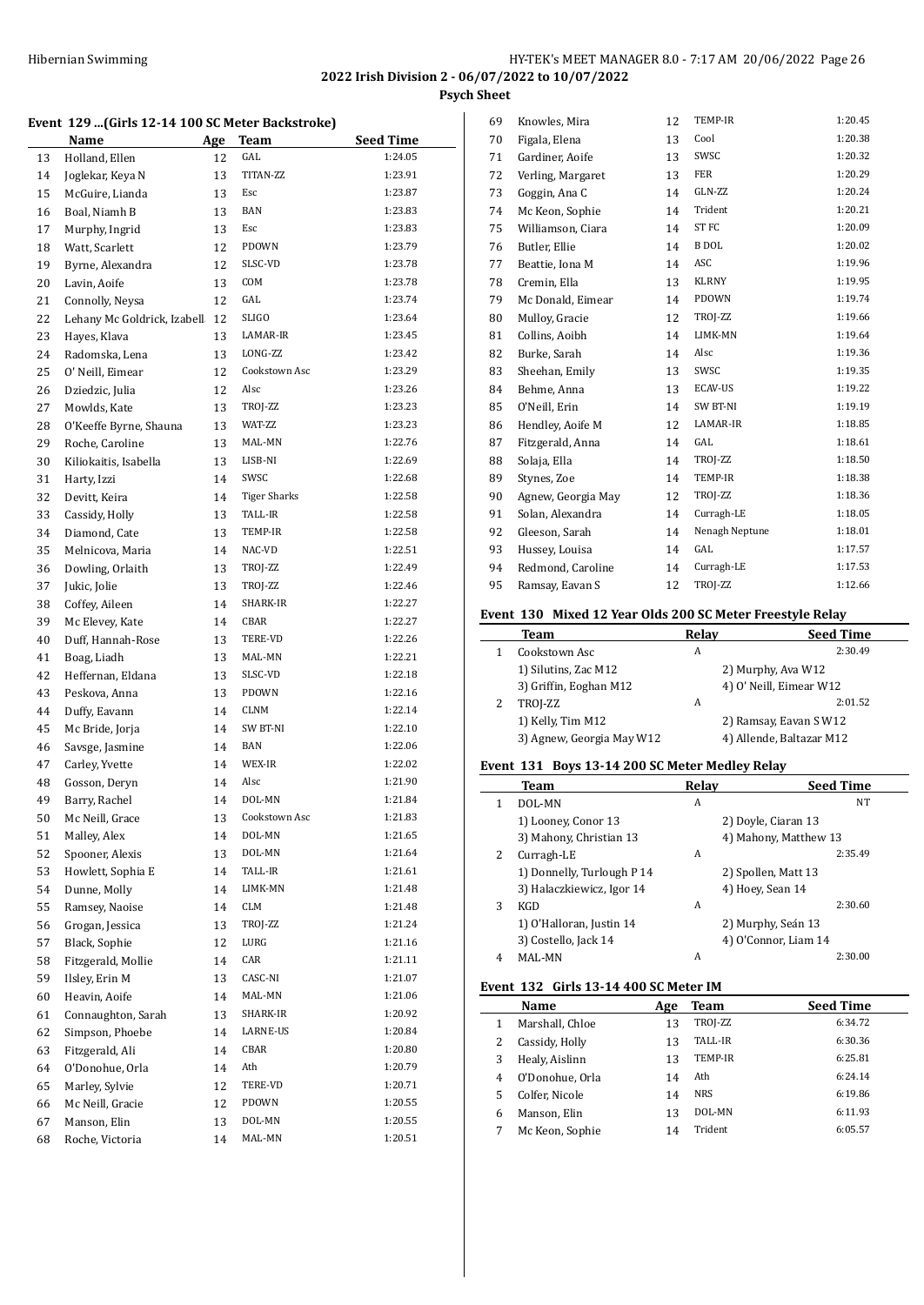**Psych Sheet**

#### **Event 129 ...(Girls 12-14 100 SC Meter Backstroke)**

|    | Name                        | Age | Team                | Seed Time |
|----|-----------------------------|-----|---------------------|-----------|
| 13 | Holland, Ellen              | 12  | GAL                 | 1:24.05   |
| 14 | Joglekar, Keya N            | 13  | TITAN-ZZ            | 1:23.91   |
| 15 | McGuire, Lianda             | 13  | Esc                 | 1:23.87   |
| 16 | Boal, Niamh B               | 13  | <b>BAN</b>          | 1:23.83   |
| 17 | Murphy, Ingrid              | 13  | Esc                 | 1:23.83   |
| 18 | Watt, Scarlett              | 12  | PDOWN               | 1:23.79   |
| 19 | Byrne, Alexandra            | 12  | SLSC-VD             | 1:23.78   |
| 20 | Lavin, Aoife                | 13  | COM                 | 1:23.78   |
| 21 | Connolly, Neysa             | 12  | GAL                 | 1:23.74   |
| 22 | Lehany Mc Goldrick, Izabell | 12  | <b>SLIGO</b>        | 1:23.64   |
| 23 | Hayes, Klava                | 13  | LAMAR-IR            | 1:23.45   |
| 24 | Radomska, Lena              | 13  | LONG-ZZ             | 1:23.42   |
| 25 | O' Neill, Eimear            | 12  | Cookstown Asc       | 1:23.29   |
| 26 | Dziedzic, Julia             | 12  | Alsc                | 1:23.26   |
| 27 | Mowlds, Kate                | 13  | TROJ-ZZ             | 1:23.23   |
| 28 | O'Keeffe Byrne, Shauna      | 13  | WAT-ZZ              | 1:23.23   |
| 29 | Roche, Caroline             | 13  | MAL-MN              | 1:22.76   |
| 30 | Kiliokaitis, Isabella       | 13  | LISB-NI             | 1:22.69   |
| 31 | Harty, Izzi                 | 14  | SWSC                | 1:22.68   |
| 32 | Devitt, Keira               | 14  | <b>Tiger Sharks</b> | 1:22.58   |
| 33 | Cassidy, Holly              | 13  | TALL-IR             | 1:22.58   |
| 34 | Diamond, Cate               | 13  | TEMP-IR             | 1:22.58   |
| 35 | Melnicova, Maria            | 14  | NAC-VD              | 1:22.51   |
| 36 | Dowling, Orlaith            | 13  | TROJ-ZZ             | 1:22.49   |
| 37 | Jukic, Jolie                | 13  | TROJ-ZZ             | 1:22.46   |
| 38 | Coffey, Aileen              | 14  | SHARK-IR            | 1:22.27   |
| 39 | Mc Elevey, Kate             | 14  | CBAR                | 1:22.27   |
| 40 | Duff, Hannah-Rose           | 13  | TERE-VD             | 1:22.26   |
| 41 | Boag, Liadh                 | 13  | MAL-MN              | 1:22.21   |
| 42 | Heffernan, Eldana           | 13  | SLSC-VD             | 1:22.18   |
| 43 | Peskova, Anna               | 13  | PDOWN               | 1:22.16   |
| 44 | Duffy, Eavann               | 14  | <b>CLNM</b>         | 1:22.14   |
| 45 | Mc Bride, Jorja             | 14  | SW BT-NI            | 1:22.10   |
| 46 | Savsge, Jasmine             | 14  | BAN                 | 1:22.06   |
| 47 | Carley, Yvette              | 14  | WEX-IR              | 1:22.02   |
| 48 | Gosson, Deryn               | 14  | Alsc                | 1:21.90   |
| 49 | Barry, Rachel               | 14  | DOL-MN              | 1:21.84   |
| 50 | Mc Neill, Grace             | 13  | Cookstown Asc       | 1:21.83   |
| 51 | Malley, Alex                | 14  | DOL-MN              | 1:21.65   |
| 52 | Spooner, Alexis             | 13  | DOL-MN              | 1:21.64   |
| 53 | Howlett, Sophia E           | 14  | TALL-IR             | 1:21.61   |
| 54 | Dunne, Molly                | 14  | LIMK-MN             | 1:21.48   |
| 55 | Ramsey, Naoise              | 14  | CLM                 | 1:21.48   |
| 56 | Grogan, Jessica             | 13  | TROJ-ZZ             | 1:21.24   |
| 57 | Black, Sophie               | 12  | LURG                | 1:21.16   |
| 58 | Fitzgerald, Mollie          | 14  | CAR                 | 1:21.11   |
| 59 | Ilsley, Erin M              | 13  | CASC-NI             | 1:21.07   |
| 60 | Heavin, Aoife               | 14  | MAL-MN              | 1:21.06   |
| 61 | Connaughton, Sarah          | 13  | SHARK-IR            | 1:20.92   |
| 62 | Simpson, Phoebe             | 14  | LARNE-US            | 1:20.84   |
| 63 | Fitzgerald, Ali             | 14  | CBAR                | 1:20.80   |
| 64 | O'Donohue, Orla             | 14  | Ath                 | 1:20.79   |
| 65 | Marley, Sylvie              | 12  | TERE-VD             | 1:20.71   |
| 66 | Mc Neill, Gracie            | 12  | PDOWN               | 1:20.55   |
| 67 | Manson, Elin                | 13  | DOL-MN              | 1:20.55   |
| 68 | Roche, Victoria             | 14  | MAL-MN              | 1:20.51   |

| 69 | Knowles, Mira      | 12 | TEMP-IR          | 1:20.45 |
|----|--------------------|----|------------------|---------|
| 70 | Figala, Elena      | 13 | Cool             | 1:20.38 |
| 71 | Gardiner, Aoife    | 13 | SWSC             | 1:20.32 |
| 72 | Verling, Margaret  | 13 | FER              | 1:20.29 |
| 73 | Goggin, Ana C      | 14 | GLN-ZZ           | 1:20.24 |
| 74 | Mc Keon, Sophie    | 14 | Trident          | 1:20.21 |
| 75 | Williamson, Ciara  | 14 | ST <sub>FC</sub> | 1:20.09 |
| 76 | Butler, Ellie      | 14 | <b>B</b> DOL     | 1:20.02 |
| 77 | Beattie, Iona M    | 14 | ASC              | 1:19.96 |
| 78 | Cremin, Ella       | 13 | <b>KLRNY</b>     | 1:19.95 |
| 79 | Mc Donald, Eimear  | 14 | PDOWN            | 1:19.74 |
| 80 | Mulloy, Gracie     | 12 | TROJ-ZZ          | 1:19.66 |
| 81 | Collins, Aoibh     | 14 | LIMK-MN          | 1:19.64 |
| 82 | Burke, Sarah       | 14 | Alsc             | 1:19.36 |
| 83 | Sheehan, Emily     | 13 | SWSC             | 1:19.35 |
| 84 | Behme, Anna        | 13 | <b>ECAV-US</b>   | 1:19.22 |
| 85 | O'Neill, Erin      | 14 | SW BT-NI         | 1:19.19 |
| 86 | Hendley, Aoife M   | 12 | LAMAR-IR         | 1:18.85 |
| 87 | Fitzgerald, Anna   | 14 | GAL              | 1:18.61 |
| 88 | Solaja, Ella       | 14 | TROJ-ZZ          | 1:18.50 |
| 89 | Stynes, Zoe        | 14 | TEMP-IR          | 1:18.38 |
| 90 | Agnew, Georgia May | 12 | TROJ-ZZ          | 1:18.36 |
| 91 | Solan, Alexandra   | 14 | Curragh-LE       | 1:18.05 |
| 92 | Gleeson, Sarah     | 14 | Nenagh Neptune   | 1:18.01 |
| 93 | Hussey, Louisa     | 14 | GAL              | 1:17.57 |
| 94 | Redmond, Caroline  | 14 | Curragh-LE       | 1:17.53 |
| 95 | Ramsay, Eavan S    | 12 | TROJ-ZZ          | 1:12.66 |
|    |                    |    |                  |         |

# **Event 130 Mixed 12 Year Olds 200 SC Meter Freestyle Relay**

|   | prent 190 - Filacu 12 Ical Oras 200 Sc Fictel Hetstyle Relay |       |                          |  |  |
|---|--------------------------------------------------------------|-------|--------------------------|--|--|
|   | Team                                                         | Relay | <b>Seed Time</b>         |  |  |
|   | Cookstown Asc                                                | A     | 2:30.49                  |  |  |
|   | 1) Silutins, Zac M12                                         |       | 2) Murphy, Ava W12       |  |  |
|   | 3) Griffin, Eoghan M12                                       |       | 4) O' Neill, Eimear W12  |  |  |
| 2 | TROJ-ZZ                                                      | A     | 2:01.52                  |  |  |
|   | 1) Kelly, Tim M12                                            |       | 2) Ramsay, Eavan S W12   |  |  |
|   | 3) Agnew, Georgia May W12                                    |       | 4) Allende, Baltazar M12 |  |  |
|   |                                                              |       |                          |  |  |

# **Event 131 Boys 13-14 200 SC Meter Medley Relay**

|   | Team                       | Relav | <b>Seed Time</b>      |
|---|----------------------------|-------|-----------------------|
|   | DOL-MN                     | A     | NT                    |
|   | 1) Looney, Conor 13        |       | 2) Doyle, Ciaran 13   |
|   | 3) Mahony, Christian 13    |       | 4) Mahony, Matthew 13 |
| 2 | Curragh-LE                 | A     | 2:35.49               |
|   | 1) Donnelly, Turlough P 14 |       | 2) Spollen, Matt 13   |
|   | 3) Halaczkiewicz, Igor 14  |       | 4) Hoey, Sean 14      |
| 3 | KGD                        | Α     | 2:30.60               |
|   | 1) O'Halloran, Justin 14   |       | 2) Murphy, Seán 13    |
|   | 3) Costello, Jack 14       |       | 4) O'Connor, Liam 14  |
| 4 | MAL-MN                     | A     | 2:30.00               |

#### **Event 132 Girls 13-14 400 SC Meter IM**

|   | Name            | Age | Team       | <b>Seed Time</b> |
|---|-----------------|-----|------------|------------------|
|   | Marshall, Chloe | 13  | TROJ-ZZ    | 6:34.72          |
|   | Cassidy, Holly  | 13  | TALL-IR    | 6:30.36          |
| 3 | Healy, Aislinn  | 13  | TEMP-IR    | 6:25.81          |
| 4 | O'Donohue, Orla | 14  | Ath        | 6:24.14          |
| 5 | Colfer. Nicole  | 14  | <b>NRS</b> | 6:19.86          |
| 6 | Manson, Elin    | 13  | DOL-MN     | 6:11.93          |
|   | Mc Keon, Sophie | 14  | Trident    | 6:05.57          |